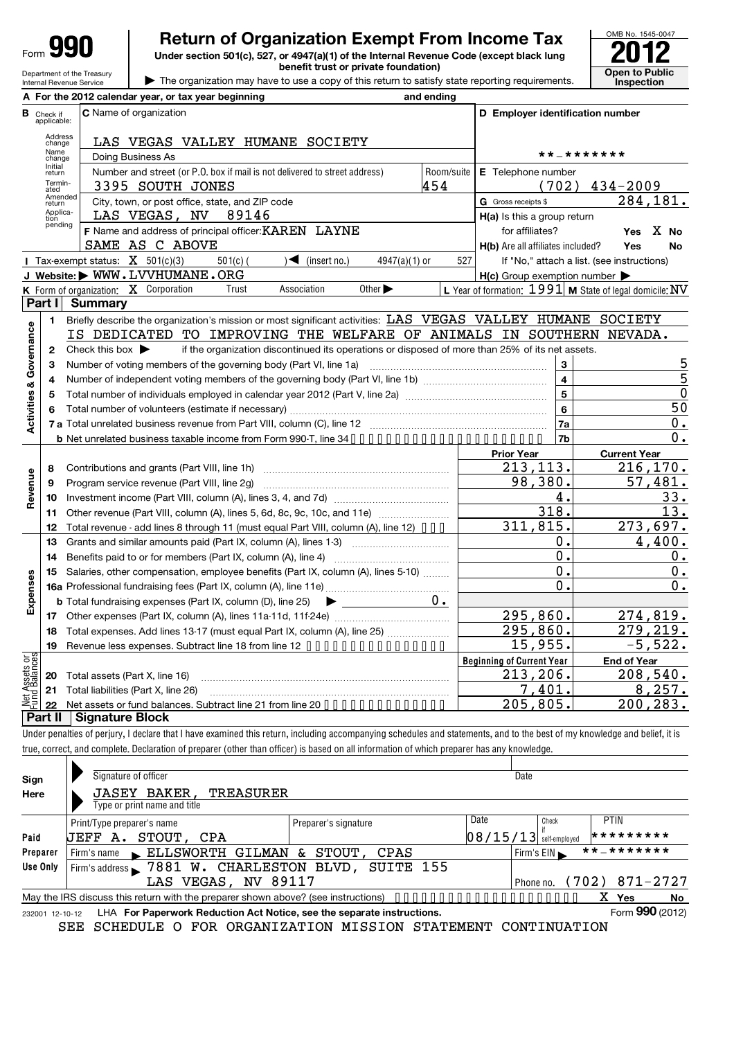| Form |  |
|------|--|
|      |  |

Department of the Treasury Internal Revenue Service

# **Return of Organization Exempt From Income Tax**

**Under section 501(c), 527, or 4947(a)(1) of the Internal Revenue Code (except black lung benefit trust or private foundation) Open to Public** 





|                         |                                  | A For the 2012 calendar year, or tax year beginning                                                                                                                        | and ending |                                                     |                                                           |
|-------------------------|----------------------------------|----------------------------------------------------------------------------------------------------------------------------------------------------------------------------|------------|-----------------------------------------------------|-----------------------------------------------------------|
|                         | <b>B</b> Check if<br>applicable: | C Name of organization                                                                                                                                                     |            | D Employer identification number                    |                                                           |
|                         | Address<br>change                | LAS VEGAS VALLEY HUMANE SOCIETY                                                                                                                                            |            |                                                     |                                                           |
|                         | Name<br>change                   | Doing Business As                                                                                                                                                          |            |                                                     | * * _ * * * * * * *                                       |
|                         | Initial<br>return                | Number and street (or P.O. box if mail is not delivered to street address)                                                                                                 | Room/suite | E Telephone number                                  |                                                           |
|                         | Termin-<br>ated                  | 3395 SOUTH JONES                                                                                                                                                           | 454        | (702)                                               | $434 - 2009$                                              |
|                         | Amended<br>return                | City, town, or post office, state, and ZIP code                                                                                                                            |            | G Gross receipts \$                                 | 284,181.                                                  |
|                         | Applica-<br>tion                 | LAS VEGAS, NV<br>89146                                                                                                                                                     |            | H(a) Is this a group return                         |                                                           |
|                         | pending                          | F Name and address of principal officer: KAREN LAYNE                                                                                                                       |            | for affiliates?                                     | Yes X No                                                  |
|                         |                                  | SAME AS C ABOVE                                                                                                                                                            |            | H(b) Are all affiliates included?                   | Yes<br><b>No</b>                                          |
|                         |                                  | Tax-exempt status: $X$ 501(c)(3)<br>$501(c)$ (<br>4947(a)(1) or<br>$\sqrt{\bullet}$ (insert no.)                                                                           | 527        |                                                     | If "No," attach a list. (see instructions)                |
|                         |                                  | J Website: WWW.LVVHUMANE.ORG                                                                                                                                               |            | $H(c)$ Group exemption number $\blacktriangleright$ |                                                           |
|                         |                                  | K Form of organization: X Corporation<br>Association<br>Other $\blacktriangleright$<br>Trust                                                                               |            |                                                     | L Year of formation: $1991$ M State of legal domicile: NV |
|                         | Part I                           | <b>Summary</b>                                                                                                                                                             |            |                                                     |                                                           |
|                         | 1                                | Briefly describe the organization's mission or most significant activities: LAS VEGAS VALLEY HUMANE SOCIETY                                                                |            |                                                     |                                                           |
| Governance              |                                  | IS DEDICATED TO IMPROVING THE WELFARE OF ANIMALS IN SOUTHERN NEVADA.                                                                                                       |            |                                                     |                                                           |
|                         | 2                                | Check this box $\blacktriangleright$<br>if the organization discontinued its operations or disposed of more than 25% of its net assets.                                    |            |                                                     |                                                           |
|                         | З                                | Number of voting members of the governing body (Part VI, line 1a)                                                                                                          |            | 3                                                   | <u>5</u>                                                  |
|                         | 4                                |                                                                                                                                                                            |            | $\overline{\mathbf{4}}$                             | 5                                                         |
| <b>Activities &amp;</b> | 5                                |                                                                                                                                                                            |            | $\overline{5}$                                      | $\mathbf 0$                                               |
|                         | 6                                |                                                                                                                                                                            |            | $6\phantom{a}$                                      | 50                                                        |
|                         |                                  |                                                                                                                                                                            |            | <b>7a</b>                                           | 0.                                                        |
|                         |                                  |                                                                                                                                                                            |            | 7 <sub>b</sub>                                      | 0.                                                        |
|                         |                                  |                                                                                                                                                                            |            | <b>Prior Year</b>                                   | <b>Current Year</b>                                       |
|                         | 8                                |                                                                                                                                                                            |            | $\overline{2}$ 13, 113.                             | 216, 170.                                                 |
| Revenue                 | 9                                | Program service revenue (Part VIII, line 2g)                                                                                                                               |            | 98,380.                                             | 57,481.                                                   |
|                         | 10                               |                                                                                                                                                                            |            | 4.                                                  | 33.                                                       |
|                         | 11                               | Other revenue (Part VIII, column (A), lines 5, 6d, 8c, 9c, 10c, and 11e)                                                                                                   |            | 318.                                                | 13.                                                       |
|                         | 12                               | Total revenue - add lines 8 through 11 (must equal Part VIII, column (A), line 12) •••                                                                                     |            | 311,815.                                            | 273,697.                                                  |
|                         | 13                               | Grants and similar amounts paid (Part IX, column (A), lines 1-3)                                                                                                           |            | 0.                                                  | 4,400.                                                    |
|                         | 14                               |                                                                                                                                                                            |            | 0.                                                  | 0.                                                        |
|                         | 15                               | Salaries, other compensation, employee benefits (Part IX, column (A), lines 5-10)                                                                                          |            | 0.                                                  | 0.                                                        |
| Expenses                |                                  |                                                                                                                                                                            |            | 0.                                                  | 0.                                                        |
|                         |                                  | <b>b</b> Total fundraising expenses (Part IX, column (D), line 25) $\rightarrow$                                                                                           | 0.         |                                                     |                                                           |
|                         | 17                               |                                                                                                                                                                            |            | 295,860.                                            | 274,819.                                                  |
|                         |                                  | 18 Total expenses. Add lines 13-17 (must equal Part IX, column (A), line 25)                                                                                               |            | 295,860.                                            | 279,219.                                                  |
|                         |                                  | 19 Revenue less expenses. Subtract line 18 from line 12                                                                                                                    |            | 15,955.                                             | 5,522.                                                    |
|                         |                                  |                                                                                                                                                                            |            | <b>Beginning of Current Year</b>                    | <b>End of Year</b>                                        |
|                         | 20                               | Total assets (Part X, line 16)                                                                                                                                             |            | 213,206.                                            | 208,540.                                                  |
| Net Assets or           | 21                               | Total liabilities (Part X, line 26)                                                                                                                                        |            | 7,401.                                              | 8, 257.                                                   |
|                         | 22                               | Net assets or fund balances. Subtract line 21 from line 20 • • • • • • • • • • • • • • •                                                                                   |            | 205,805.                                            | 200,283.                                                  |
|                         | Part II                          | <b>Signature Block</b>                                                                                                                                                     |            |                                                     |                                                           |
|                         |                                  | Under penalties of perjury, I declare that I have examined this return, including accompanying schedules and statements, and to the best of my knowledge and belief, it is |            |                                                     |                                                           |
|                         |                                  | true, correct, and complete. Declaration of preparer (other than officer) is based on all information of which preparer has any knowledge.                                 |            |                                                     |                                                           |
|                         |                                  |                                                                                                                                                                            |            |                                                     |                                                           |
|                         |                                  | Signature of officer                                                                                                                                                       |            | Date                                                |                                                           |
| Sign                    |                                  | JASEY BAKER,<br><b>TREASURER</b>                                                                                                                                           |            |                                                     |                                                           |
| Here                    |                                  | Type or print name and title                                                                                                                                               |            |                                                     |                                                           |
|                         |                                  | Print/Tyne prenarer's name<br>Prenarer's sinnature                                                                                                                         |            | Date<br>Check                                       | PTIN                                                      |

if self-employed 232001 12-10-12 **Paid Preparer Use Only Yes No** LHA For Paperwork Reduction Act Notice, see the separate instructions. Form 990 (2012) Print/Type preparer's name  $\begin{bmatrix} \text{Print/Type } \text{Preparent's signature} \end{bmatrix}$   $\begin{bmatrix} \text{Date} \ \text{Date} \ \text{Date} \end{bmatrix}$ Firm's name ELLSWORTH GILMAN & STOUT, CPAS Firm's EIN \*\*-\*\*\*\*\*\*\* Firm's address 7881 W. CHARLESTON BLVD, SUITE 155 Phone no. May the IRS discuss this return with the preparer shown above? (see instructions) •• Form **990** (2012) JEFF A. STOUT, CPA 08/15/13 \*\*\*\*\*\*\*\*\* LAS VEGAS, NV 89117 (Phone no. (702) 871-2727 X

SEE SCHEDULE O FOR ORGANIZATION MISSION STATEMENT CONTINUATION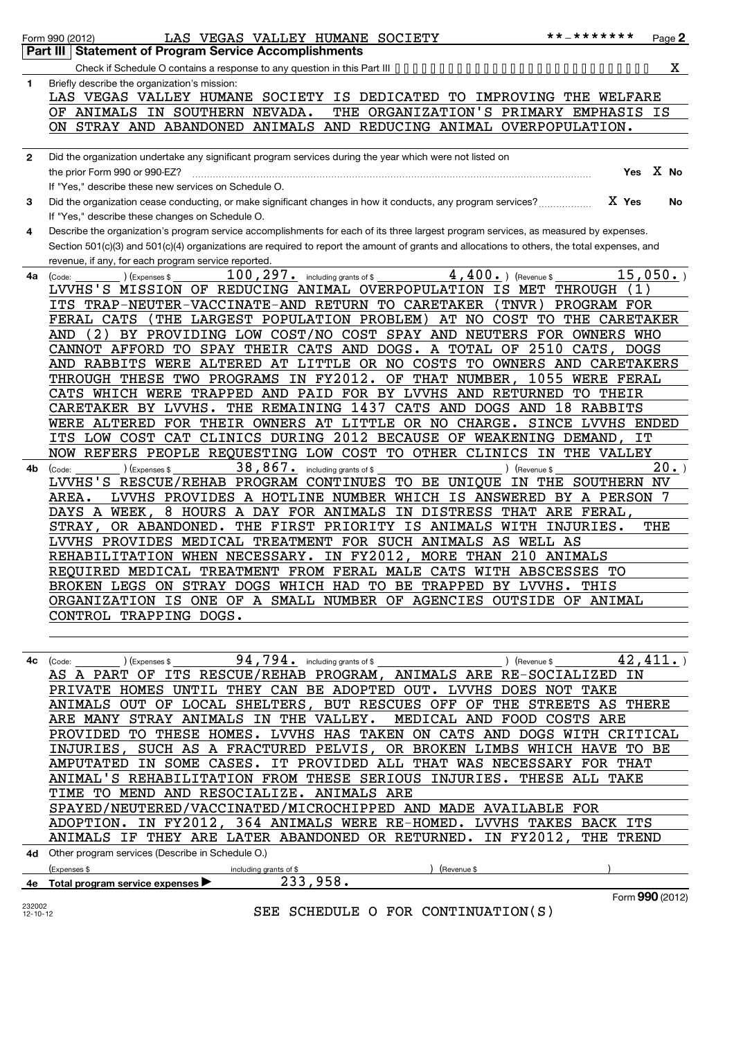|              | * * _ * * * * * * *<br>LAS VEGAS VALLEY HUMANE SOCIETY<br>Page 2<br>Form 990 (2012)                                                                                     |
|--------------|-------------------------------------------------------------------------------------------------------------------------------------------------------------------------|
|              | <b>Statement of Program Service Accomplishments</b><br>Part III                                                                                                         |
|              | X.                                                                                                                                                                      |
| 1            | Briefly describe the organization's mission:                                                                                                                            |
|              | LAS VEGAS VALLEY HUMANE SOCIETY IS DEDICATED TO IMPROVING THE WELFARE                                                                                                   |
|              | THE ORGANIZATION'S PRIMARY EMPHASIS IS<br>OF ANIMALS IN SOUTHERN NEVADA.                                                                                                |
|              | ON STRAY AND ABANDONED ANIMALS AND REDUCING ANIMAL OVERPOPULATION.                                                                                                      |
|              |                                                                                                                                                                         |
| $\mathbf{2}$ | Did the organization undertake any significant program services during the year which were not listed on<br>Yes X No<br>the prior Form 990 or 990-EZ?                   |
|              | If "Yes," describe these new services on Schedule O.                                                                                                                    |
| 3            | X Yes<br>Did the organization cease conducting, or make significant changes in how it conducts, any program services?<br>No                                             |
|              | If "Yes," describe these changes on Schedule O.                                                                                                                         |
| 4            | Describe the organization's program service accomplishments for each of its three largest program services, as measured by expenses.                                    |
|              | Section 501(c)(3) and 501(c)(4) organizations are required to report the amount of grants and allocations to others, the total expenses, and                            |
|              | revenue, if any, for each program service reported.                                                                                                                     |
| 4a           | $4,400.$ (Revenue \$<br>15,050.<br>$100$ , $297$ o including grants of \$<br>(Expenses \$<br>(Code:                                                                     |
|              | LVVHS'S MISSION OF REDUCING ANIMAL OVERPOPULATION IS MET<br>THROUGH<br>(1)                                                                                              |
|              | TRAP-NEUTER-VACCINATE-AND RETURN TO CARETAKER<br>( TNVR )<br>PROGRAM FOR<br>ITS                                                                                         |
|              | FERAL CATS<br>(THE LARGEST POPULATION PROBLEM)<br>AT NO<br>COST<br>TО<br>THE<br>CARETAKER                                                                               |
|              | 2)<br>BY PROVIDING LOW COST/NO COST SPAY AND NEUTERS<br>FOR OWNERS WHO<br>AND                                                                                           |
|              | 2510<br>CANNOT AFFORD<br>TO<br>SPAY<br>THEIR CATS AND DOGS.<br>A TOTAL<br>OF<br>CATS,<br><b>DOGS</b><br>ALTERED AT LITTLE OR NO COSTS<br>AND RABBITS WERE<br>CARETAKERS |
|              | TO OWNERS AND<br>IN FY2012.<br>1055<br>THROUGH THESE<br>TWO PROGRAMS<br>OF THAT NUMBER<br><b>WERE FERAL</b>                                                             |
|              | AND PAID FOR BY LVVHS AND RETURNED<br>CATS<br>WHICH WERE<br>TRAPPED<br>TО<br>THEIR                                                                                      |
|              | CATS AND DOGS AND<br>LVVHS.<br>THE REMAINING 1437<br>18<br>RABBITS<br>CARETAKER BY                                                                                      |
|              | WERE ALTERED<br>FOR THEIR OWNERS AT LITTLE OR NO CHARGE.<br>SINCE LVVHS ENDED                                                                                           |
|              | CLINICS DURING 2012 BECAUSE OF WEAKENING DEMAND,<br>ITS LOW COST<br>CAT<br>IT                                                                                           |
|              | NOW REFERS PEOPLE REQUESTING LOW COST TO OTHER CLINICS<br>IN<br>THE VALLEY                                                                                              |
| 4b           | 38,867.<br>20.<br>including grants of \$<br>(Code:<br>(Expenses \$<br>) (Revenue \$                                                                                     |
|              | LVVHS'S RESCUE/REHAB PROGRAM CONTINUES<br>TO BE UNIQUE<br>IN THE<br>SOUTHERN<br>NV                                                                                      |
|              | LVVHS PROVIDES A HOTLINE NUMBER<br>WHICH IS ANSWERED<br>BY A PERSON<br>AREA.<br>DAYS A WEEK,<br>8 HOURS A DAY FOR ANIMALS<br>IN DISTRESS<br>THAT ARE FERAL,             |
|              | OR ABANDONED.<br>THE FIRST PRIORITY IS ANIMALS<br>WITH<br>INJURIES.<br>THE<br><b>STRAY</b>                                                                              |
|              | LVVHS PROVIDES MEDICAL TREATMENT FOR SUCH ANIMALS AS<br>WELL AS                                                                                                         |
|              | IN FY2012,<br>210<br>REHABILITATION WHEN NECESSARY.<br>MORE THAN<br>ANIMALS                                                                                             |
|              | REQUIRED MEDICAL TREATMENT FROM FERAL MALE CATS WITH ABSCESSES TO                                                                                                       |
|              | BROKEN LEGS ON STRAY DOGS WHICH HAD TO BE TRAPPED BY LVVHS. THIS                                                                                                        |
|              | ORGANIZATION IS ONE OF A SMALL NUMBER OF AGENCIES OUTSIDE OF ANIMAL                                                                                                     |
|              | CONTROL TRAPPING DOGS.                                                                                                                                                  |
|              |                                                                                                                                                                         |
|              | 4c $\left(\text{Code:}\right)$ $\left(\text{Expenses } s\right)$ $\frac{94,794}{s}$ including grants of \$<br>42, 411.<br>) (Revenue \$                                 |
|              | AS A PART OF ITS RESCUE/REHAB PROGRAM, ANIMALS ARE RE-SOCIALIZED IN                                                                                                     |
|              | PRIVATE HOMES UNTIL THEY CAN BE ADOPTED OUT. LVVHS DOES NOT TAKE                                                                                                        |
|              | ANIMALS OUT OF LOCAL SHELTERS, BUT RESCUES OFF OF THE STREETS AS THERE                                                                                                  |
|              | ARE MANY STRAY ANIMALS IN THE VALLEY. MEDICAL AND FOOD COSTS ARE                                                                                                        |
|              | PROVIDED TO THESE HOMES. LVVHS HAS TAKEN ON CATS AND DOGS WITH CRITICAL                                                                                                 |
|              | INJURIES, SUCH AS A FRACTURED PELVIS, OR BROKEN LIMBS WHICH HAVE TO BE                                                                                                  |
|              | AMPUTATED IN SOME CASES. IT PROVIDED ALL THAT WAS NECESSARY FOR THAT                                                                                                    |
|              | ANIMAL'S REHABILITATION FROM THESE SERIOUS INJURIES. THESE ALL TAKE                                                                                                     |
|              | TIME TO MEND AND RESOCIALIZE. ANIMALS ARE                                                                                                                               |
|              | SPAYED/NEUTERED/VACCINATED/MICROCHIPPED AND MADE AVAILABLE FOR                                                                                                          |
|              | ADOPTION. IN FY2012, 364 ANIMALS WERE RE-HOMED. LVVHS TAKES BACK ITS<br>ANIMALS IF THEY ARE LATER ABANDONED OR RETURNED. IN FY2012, THE TREND                           |
|              |                                                                                                                                                                         |

**4d** Other program services (Describe in Schedule O.)

|    | (Expenses                                            | including grants of \$ | Revenue \$ |                               |
|----|------------------------------------------------------|------------------------|------------|-------------------------------|
| 4e | Total program service expenses $\blacktriangleright$ | ـ ـ                    |            |                               |
|    |                                                      |                        |            | $ \sim$ rr $\sim$<br>120 I ZI |

232002 12-10-12

SEE SCHEDULE O FOR CONTINUATION(S)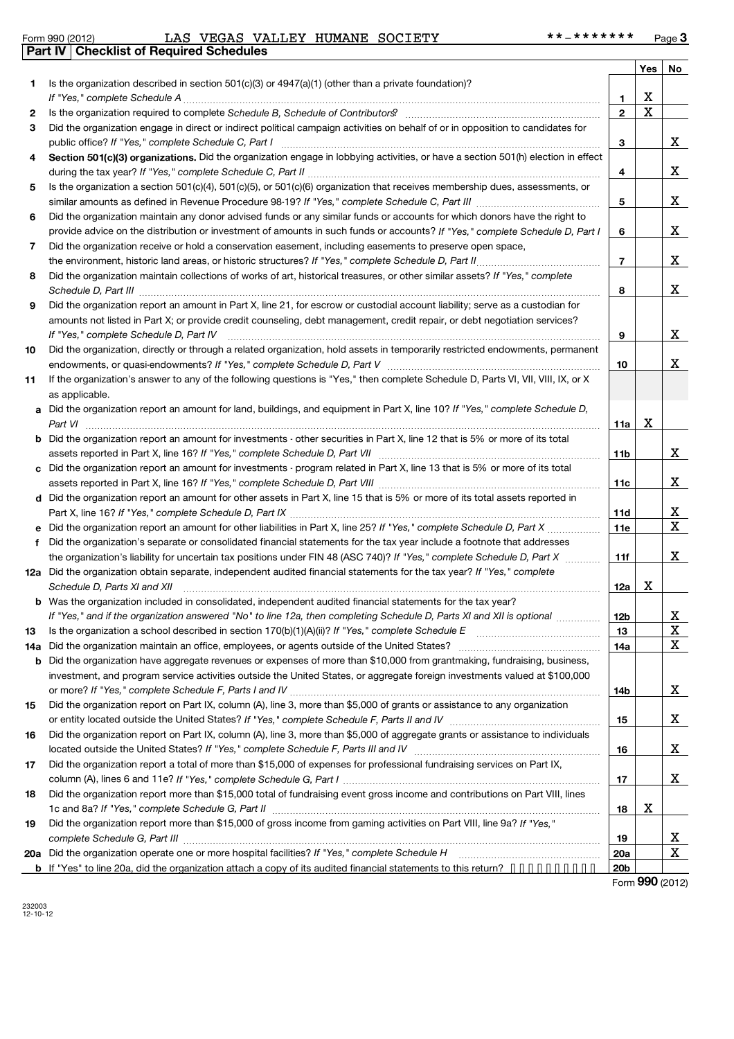|  | Form 990 (2012) |  |
|--|-----------------|--|
|  |                 |  |

|     |                                                                                                                                                                                                                                                       |                 | <b>Yes</b> | No          |
|-----|-------------------------------------------------------------------------------------------------------------------------------------------------------------------------------------------------------------------------------------------------------|-----------------|------------|-------------|
| 1   | Is the organization described in section 501(c)(3) or $4947(a)(1)$ (other than a private foundation)?                                                                                                                                                 |                 |            |             |
|     |                                                                                                                                                                                                                                                       | 1               | х          |             |
| 2   | Is the organization required to complete Schedule B, Schedule of Contributors? [11] the organization required to complete Schedule B, Schedule of Contributors?                                                                                       | $\overline{2}$  | $\rm X$    |             |
| З   | Did the organization engage in direct or indirect political campaign activities on behalf of or in opposition to candidates for                                                                                                                       | 3               |            | X           |
| 4   | Section 501(c)(3) organizations. Did the organization engage in lobbying activities, or have a section 501(h) election in effect                                                                                                                      |                 |            | X           |
|     |                                                                                                                                                                                                                                                       | 4               |            |             |
| 5   | Is the organization a section 501(c)(4), 501(c)(5), or 501(c)(6) organization that receives membership dues, assessments, or                                                                                                                          |                 |            | X           |
|     | Did the organization maintain any donor advised funds or any similar funds or accounts for which donors have the right to                                                                                                                             | 5               |            |             |
| 6   | provide advice on the distribution or investment of amounts in such funds or accounts? If "Yes," complete Schedule D, Part I                                                                                                                          | 6               |            | X           |
| 7   | Did the organization receive or hold a conservation easement, including easements to preserve open space,                                                                                                                                             |                 |            |             |
|     |                                                                                                                                                                                                                                                       | $\overline{7}$  |            | X           |
| 8   | Did the organization maintain collections of works of art, historical treasures, or other similar assets? If "Yes," complete                                                                                                                          |                 |            |             |
|     |                                                                                                                                                                                                                                                       | 8               |            | X           |
| 9   | Did the organization report an amount in Part X, line 21, for escrow or custodial account liability; serve as a custodian for                                                                                                                         |                 |            |             |
|     | amounts not listed in Part X; or provide credit counseling, debt management, credit repair, or debt negotiation services?<br>If "Yes," complete Schedule D, Part IV                                                                                   | 9               |            | x           |
| 10  | Did the organization, directly or through a related organization, hold assets in temporarily restricted endowments, permanent                                                                                                                         |                 |            |             |
|     |                                                                                                                                                                                                                                                       | 10              |            | X           |
| 11  | If the organization's answer to any of the following questions is "Yes," then complete Schedule D, Parts VI, VII, VIII, IX, or X<br>as applicable.                                                                                                    |                 |            |             |
|     | a Did the organization report an amount for land, buildings, and equipment in Part X, line 10? If "Yes," complete Schedule D,                                                                                                                         |                 |            |             |
|     | Part VI                                                                                                                                                                                                                                               | 11a             | Х          |             |
|     | <b>b</b> Did the organization report an amount for investments - other securities in Part X, line 12 that is 5% or more of its total                                                                                                                  |                 |            |             |
|     |                                                                                                                                                                                                                                                       | 11 <sub>b</sub> |            | x           |
|     | c Did the organization report an amount for investments - program related in Part X, line 13 that is 5% or more of its total                                                                                                                          |                 |            |             |
|     |                                                                                                                                                                                                                                                       | 11c             |            | x           |
|     | d Did the organization report an amount for other assets in Part X, line 15 that is 5% or more of its total assets reported in                                                                                                                        |                 |            |             |
|     |                                                                                                                                                                                                                                                       | 11d             |            | <u>x</u>    |
|     | e Did the organization report an amount for other liabilities in Part X, line 25? If "Yes," complete Schedule D, Part X                                                                                                                               | 11e             |            | $\mathbf X$ |
| f   | Did the organization's separate or consolidated financial statements for the tax year include a footnote that addresses                                                                                                                               |                 |            |             |
|     | the organization's liability for uncertain tax positions under FIN 48 (ASC 740)? If "Yes," complete Schedule D, Part X                                                                                                                                | 11f             |            | X           |
|     | 12a Did the organization obtain separate, independent audited financial statements for the tax year? If "Yes," complete                                                                                                                               |                 |            |             |
|     | Schedule D, Parts XI and XII                                                                                                                                                                                                                          | 12a             | х          |             |
|     | <b>b</b> Was the organization included in consolidated, independent audited financial statements for the tax year?                                                                                                                                    |                 |            |             |
|     | If "Yes," and if the organization answered "No" to line 12a, then completing Schedule D, Parts XI and XII is optional                                                                                                                                 | 12D             |            | Δ,          |
| 13  |                                                                                                                                                                                                                                                       | 13              |            | X<br>X      |
| 14a | Did the organization maintain an office, employees, or agents outside of the United States?                                                                                                                                                           | 14a             |            |             |
| b   | Did the organization have aggregate revenues or expenses of more than \$10,000 from grantmaking, fundraising, business,<br>investment, and program service activities outside the United States, or aggregate foreign investments valued at \$100,000 |                 |            |             |
|     |                                                                                                                                                                                                                                                       | 14b             |            | X           |
| 15  | Did the organization report on Part IX, column (A), line 3, more than \$5,000 of grants or assistance to any organization                                                                                                                             |                 |            |             |
|     |                                                                                                                                                                                                                                                       | 15              |            | X           |
| 16  | Did the organization report on Part IX, column (A), line 3, more than \$5,000 of aggregate grants or assistance to individuals                                                                                                                        |                 |            |             |
|     |                                                                                                                                                                                                                                                       | 16              |            | x           |
| 17  | Did the organization report a total of more than \$15,000 of expenses for professional fundraising services on Part IX,                                                                                                                               |                 |            |             |
|     |                                                                                                                                                                                                                                                       | 17              |            | x           |
| 18  | Did the organization report more than \$15,000 total of fundraising event gross income and contributions on Part VIII, lines                                                                                                                          |                 |            |             |
|     |                                                                                                                                                                                                                                                       | 18              | Х          |             |
| 19  | Did the organization report more than \$15,000 of gross income from gaming activities on Part VIII, line 9a? If "Yes,"                                                                                                                                |                 |            |             |
|     |                                                                                                                                                                                                                                                       | 19              |            | <u>x</u>    |
|     | 20a Did the organization operate one or more hospital facilities? If "Yes," complete Schedule H                                                                                                                                                       | 20a             |            | X           |
|     | b If "Yes" to line 20a, did the organization attach a copy of its audited financial statements to this return?                                                                                                                                        | 20 <sub>b</sub> |            |             |

Form **990** (2012)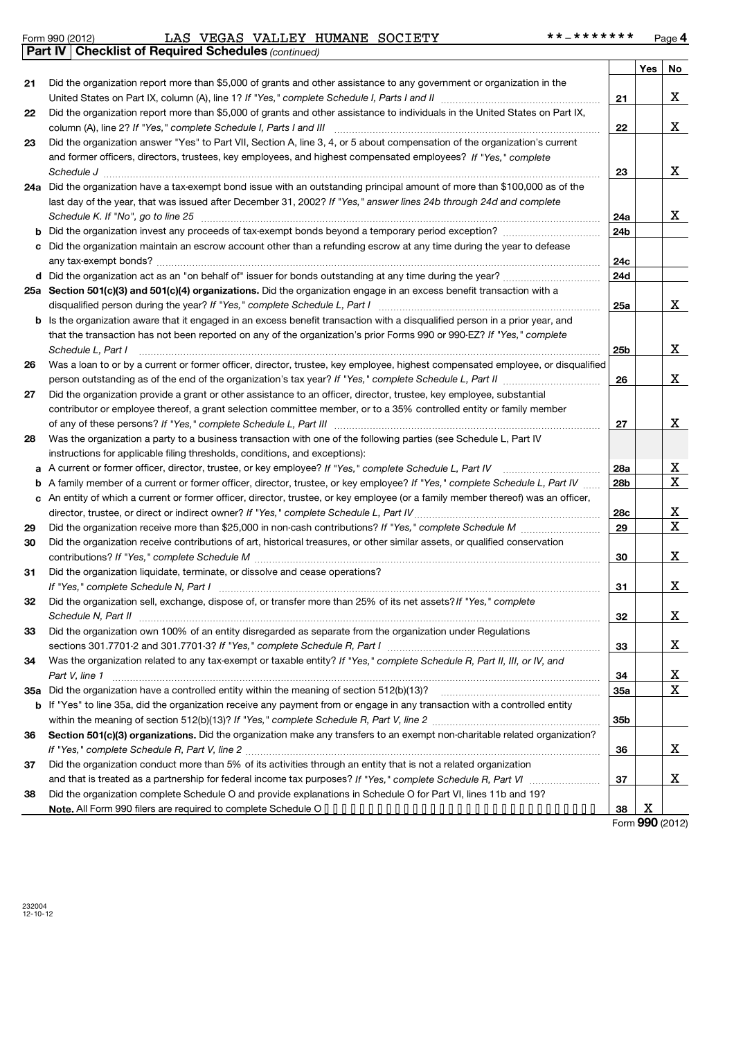*(continued)* **Part IV Checklist of Required Schedules**

|    |                                                                                                                                 |                 | Yes | No                      |
|----|---------------------------------------------------------------------------------------------------------------------------------|-----------------|-----|-------------------------|
| 21 | Did the organization report more than \$5,000 of grants and other assistance to any government or organization in the           |                 |     |                         |
|    |                                                                                                                                 | 21              |     | х                       |
| 22 | Did the organization report more than \$5,000 of grants and other assistance to individuals in the United States on Part IX,    |                 |     |                         |
|    | column (A), line 2? If "Yes," complete Schedule I, Parts I and III [11] [12] [12] [12] [12] [13] [13] [13] [1                   | 22              |     | X                       |
| 23 | Did the organization answer "Yes" to Part VII, Section A, line 3, 4, or 5 about compensation of the organization's current      |                 |     |                         |
|    | and former officers, directors, trustees, key employees, and highest compensated employees? If "Yes," complete                  |                 |     |                         |
|    |                                                                                                                                 | 23              |     | X                       |
|    | 24a Did the organization have a tax-exempt bond issue with an outstanding principal amount of more than \$100,000 as of the     |                 |     |                         |
|    | last day of the year, that was issued after December 31, 2002? If "Yes," answer lines 24b through 24d and complete              |                 |     |                         |
|    | Schedule K. If "No", go to line 25 [11] Schedule K. If "No", go to line 25 [11] Schedule K. If "No", go to line 25              | 24a             |     | x                       |
| b  |                                                                                                                                 | 24 <sub>b</sub> |     |                         |
| c  | Did the organization maintain an escrow account other than a refunding escrow at any time during the year to defease            |                 |     |                         |
|    |                                                                                                                                 | 24c             |     |                         |
|    |                                                                                                                                 | 24d             |     |                         |
|    | 25a Section 501(c)(3) and 501(c)(4) organizations. Did the organization engage in an excess benefit transaction with a          |                 |     |                         |
|    |                                                                                                                                 | 25a             |     | X                       |
|    | b Is the organization aware that it engaged in an excess benefit transaction with a disqualified person in a prior year, and    |                 |     |                         |
|    | that the transaction has not been reported on any of the organization's prior Forms 990 or 990-EZ? If "Yes," complete           |                 |     |                         |
|    | Schedule L, Part I                                                                                                              | 25 <sub>b</sub> |     | X                       |
| 26 | Was a loan to or by a current or former officer, director, trustee, key employee, highest compensated employee, or disqualified |                 |     |                         |
|    | person outstanding as of the end of the organization's tax year? If "Yes," complete Schedule L, Part II manumum                 | 26              |     | X                       |
| 27 | Did the organization provide a grant or other assistance to an officer, director, trustee, key employee, substantial            |                 |     |                         |
|    | contributor or employee thereof, a grant selection committee member, or to a 35% controlled entity or family member             |                 |     |                         |
|    |                                                                                                                                 | 27              |     | X                       |
| 28 | Was the organization a party to a business transaction with one of the following parties (see Schedule L, Part IV               |                 |     |                         |
|    | instructions for applicable filing thresholds, conditions, and exceptions):                                                     |                 |     |                         |
| a  | A current or former officer, director, trustee, or key employee? If "Yes," complete Schedule L, Part IV                         | 28a             |     | <u>x</u>                |
| b  | A family member of a current or former officer, director, trustee, or key employee? If "Yes," complete Schedule L, Part IV      | 28b             |     | $\overline{\mathbf{x}}$ |
| c  | An entity of which a current or former officer, director, trustee, or key employee (or a family member thereof) was an officer, |                 |     |                         |
|    |                                                                                                                                 | 28c             |     | x                       |
| 29 |                                                                                                                                 | 29              |     | $\mathbf X$             |
| 30 | Did the organization receive contributions of art, historical treasures, or other similar assets, or qualified conservation     |                 |     |                         |
|    |                                                                                                                                 | 30              |     | X                       |
| 31 | Did the organization liquidate, terminate, or dissolve and cease operations?                                                    |                 |     |                         |
|    |                                                                                                                                 | 31              |     | X                       |
| 32 | Did the organization sell, exchange, dispose of, or transfer more than 25% of its net assets? If "Yes," complete                |                 |     |                         |
|    |                                                                                                                                 | 32              |     | X                       |
| 33 | Did the organization own 100% of an entity disregarded as separate from the organization under Regulations                      |                 |     |                         |
|    |                                                                                                                                 | 33              |     | х                       |
| 34 | Was the organization related to any tax-exempt or taxable entity? If "Yes," complete Schedule R, Part II, III, or IV, and       |                 |     |                         |
|    | Part V, line 1                                                                                                                  | 34              |     | <u>x</u>                |
|    |                                                                                                                                 | 35a             |     | X                       |
|    | b If "Yes" to line 35a, did the organization receive any payment from or engage in any transaction with a controlled entity     |                 |     |                         |
|    |                                                                                                                                 | 35 <sub>b</sub> |     |                         |
| 36 | Section 501(c)(3) organizations. Did the organization make any transfers to an exempt non-charitable related organization?      |                 |     |                         |
|    |                                                                                                                                 | 36              |     | x                       |
| 37 | Did the organization conduct more than 5% of its activities through an entity that is not a related organization                |                 |     |                         |
|    |                                                                                                                                 | 37              |     | X                       |
| 38 | Did the organization complete Schedule O and provide explanations in Schedule O for Part VI, lines 11b and 19?                  |                 |     |                         |
|    |                                                                                                                                 | 38              | х   |                         |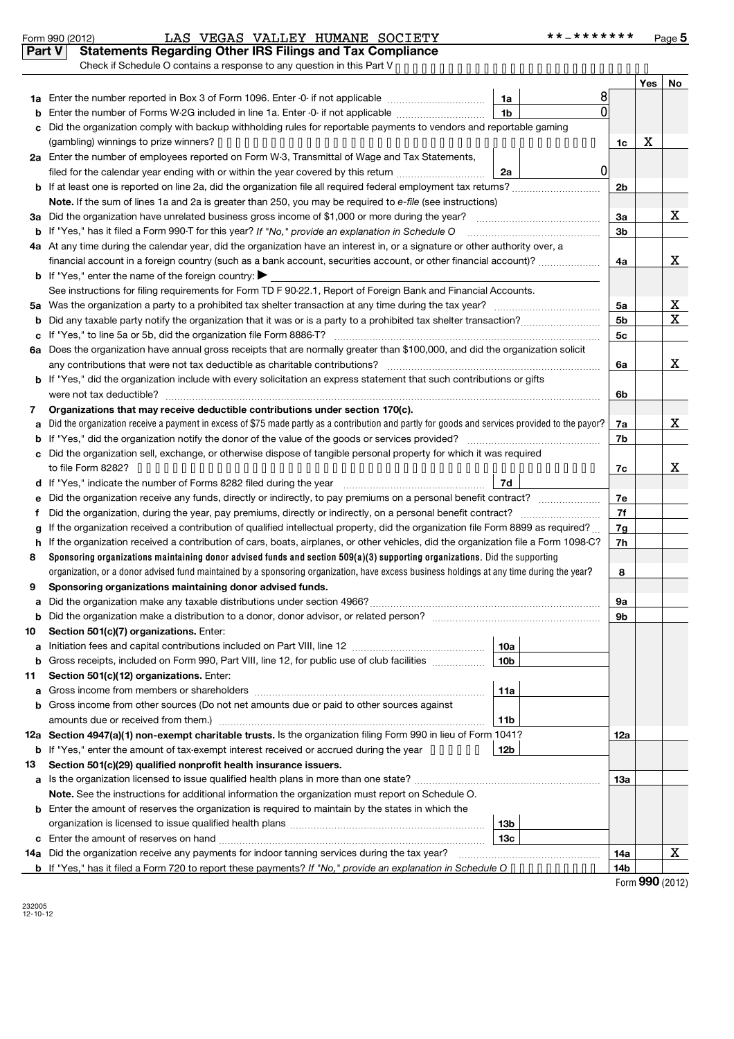| Form 990 (2012) |  |
|-----------------|--|
|                 |  |

#### Form 990 (2012) LAS VEGAS VALLEY HUMANE SOCIETY \* \* – \* \* \* \* \* \* \* \* Page LAS VEGAS VALLEY HUMANE SOCIETY \*\*-\*\*\*\*\*\*\*

|        | Part V                                                                                                                 | <b>Statements Regarding Other IRS Filings and Tax Compliance</b>                                                                                               |                        |                |     |     |        |  |  |
|--------|------------------------------------------------------------------------------------------------------------------------|----------------------------------------------------------------------------------------------------------------------------------------------------------------|------------------------|----------------|-----|-----|--------|--|--|
|        |                                                                                                                        |                                                                                                                                                                |                        |                |     | Yes | No     |  |  |
| 1a     |                                                                                                                        | Enter the number reported in Box 3 of Form 1096. Enter -0- if not applicable                                                                                   | 1a                     | 8              |     |     |        |  |  |
| b      |                                                                                                                        | Enter the number of Forms W-2G included in line 1a. Enter -0- if not applicable                                                                                | 1 <sub>b</sub>         | $\Omega$       |     |     |        |  |  |
| c      |                                                                                                                        | Did the organization comply with backup withholding rules for reportable payments to vendors and reportable gaming                                             |                        |                |     |     |        |  |  |
|        |                                                                                                                        |                                                                                                                                                                |                        |                | 1c  | х   |        |  |  |
|        |                                                                                                                        | 2a Enter the number of employees reported on Form W-3, Transmittal of Wage and Tax Statements,                                                                 |                        |                |     |     |        |  |  |
|        |                                                                                                                        | filed for the calendar year ending with or within the year covered by this return                                                                              | 2a                     | $\overline{0}$ |     |     |        |  |  |
| b      |                                                                                                                        |                                                                                                                                                                |                        |                | 2b  |     |        |  |  |
|        |                                                                                                                        | Note. If the sum of lines 1a and 2a is greater than 250, you may be required to e-file (see instructions)                                                      |                        |                |     |     |        |  |  |
| За     |                                                                                                                        |                                                                                                                                                                |                        |                | За  |     | x      |  |  |
|        |                                                                                                                        | If "Yes," has it filed a Form 990 T for this year? If "No," provide an explanation in Schedule O                                                               |                        |                | 3b  |     |        |  |  |
|        |                                                                                                                        | 4a At any time during the calendar year, did the organization have an interest in, or a signature or other authority over, a                                   |                        |                |     |     |        |  |  |
|        | financial account in a foreign country (such as a bank account, securities account, or other financial account)?<br>4a |                                                                                                                                                                |                        |                |     |     |        |  |  |
| b      |                                                                                                                        | If "Yes," enter the name of the foreign country: $\blacktriangleright$                                                                                         |                        |                |     |     |        |  |  |
|        |                                                                                                                        | See instructions for filing requirements for Form TD F 90-22.1, Report of Foreign Bank and Financial Accounts.                                                 |                        |                |     |     |        |  |  |
| 5a     |                                                                                                                        |                                                                                                                                                                |                        |                | 5a  |     | X<br>X |  |  |
|        | 5 <sub>b</sub>                                                                                                         |                                                                                                                                                                |                        |                |     |     |        |  |  |
| с      |                                                                                                                        |                                                                                                                                                                |                        |                | 5c  |     |        |  |  |
| 6a     |                                                                                                                        | Does the organization have annual gross receipts that are normally greater than \$100,000, and did the organization solicit                                    |                        |                |     |     |        |  |  |
|        |                                                                                                                        | any contributions that were not tax deductible as charitable contributions?                                                                                    |                        |                | 6a  |     | x      |  |  |
| b      |                                                                                                                        | If "Yes," did the organization include with every solicitation an express statement that such contributions or gifts                                           |                        |                |     |     |        |  |  |
|        |                                                                                                                        | were not tax deductible?                                                                                                                                       |                        |                | 6b  |     |        |  |  |
| 7      |                                                                                                                        | Organizations that may receive deductible contributions under section 170(c).                                                                                  |                        |                |     |     |        |  |  |
| a      |                                                                                                                        | Did the organization receive a payment in excess of \$75 made partly as a contribution and partly for goods and services provided to the payor?                |                        |                | 7a  |     | x      |  |  |
| b      |                                                                                                                        |                                                                                                                                                                |                        |                | 7b  |     |        |  |  |
| c      |                                                                                                                        | Did the organization sell, exchange, or otherwise dispose of tangible personal property for which it was required                                              |                        |                |     |     |        |  |  |
|        |                                                                                                                        |                                                                                                                                                                |                        |                | 7c  |     | x      |  |  |
| d      |                                                                                                                        |                                                                                                                                                                | 7d                     |                |     |     |        |  |  |
| е      |                                                                                                                        | Did the organization receive any funds, directly or indirectly, to pay premiums on a personal benefit contract?                                                |                        |                | 7e  |     |        |  |  |
| f      |                                                                                                                        |                                                                                                                                                                |                        |                | 7f  |     |        |  |  |
| g      |                                                                                                                        | If the organization received a contribution of qualified intellectual property, did the organization file Form 8899 as required?                               |                        |                | 7g  |     |        |  |  |
| h      |                                                                                                                        | If the organization received a contribution of cars, boats, airplanes, or other vehicles, did the organization file a Form 1098-C?                             |                        |                | 7h  |     |        |  |  |
| 8      |                                                                                                                        | Sponsoring organizations maintaining donor advised funds and section 509(a)(3) supporting organizations. Did the supporting                                    |                        |                |     |     |        |  |  |
|        |                                                                                                                        | organization, or a donor advised fund maintained by a sponsoring organization, have excess business holdings at any time during the year?                      |                        |                | 8   |     |        |  |  |
| 9      |                                                                                                                        | Sponsoring organizations maintaining donor advised funds.                                                                                                      |                        |                |     |     |        |  |  |
|        |                                                                                                                        |                                                                                                                                                                |                        |                | 9а  |     |        |  |  |
| b      |                                                                                                                        | Did the organization make a distribution to a donor, donor advisor, or related person?                                                                         |                        |                | 9b  |     |        |  |  |
| 10     |                                                                                                                        | Section 501(c)(7) organizations. Enter:                                                                                                                        |                        |                |     |     |        |  |  |
| a      |                                                                                                                        | Gross receipts, included on Form 990, Part VIII, line 12, for public use of club facilities <i>manumum</i>                                                     | 10a<br>10 <sub>b</sub> |                |     |     |        |  |  |
| b      |                                                                                                                        |                                                                                                                                                                |                        |                |     |     |        |  |  |
| 11     |                                                                                                                        | Section 501(c)(12) organizations. Enter:                                                                                                                       | 11a                    |                |     |     |        |  |  |
| а<br>b |                                                                                                                        | Gross income from other sources (Do not net amounts due or paid to other sources against                                                                       |                        |                |     |     |        |  |  |
|        |                                                                                                                        |                                                                                                                                                                | 11b                    |                |     |     |        |  |  |
|        |                                                                                                                        | 12a Section 4947(a)(1) non-exempt charitable trusts. Is the organization filing Form 990 in lieu of Form 1041?                                                 |                        |                | 12a |     |        |  |  |
|        |                                                                                                                        | <b>b</b> If "Yes," enter the amount of tax-exempt interest received or accrued during the year •••••••                                                         | 12b                    |                |     |     |        |  |  |
| 13     |                                                                                                                        | Section 501(c)(29) qualified nonprofit health insurance issuers.                                                                                               |                        |                |     |     |        |  |  |
| а      |                                                                                                                        | Is the organization licensed to issue qualified health plans in more than one state?                                                                           |                        |                | 1За |     |        |  |  |
|        |                                                                                                                        | Note. See the instructions for additional information the organization must report on Schedule O.                                                              |                        |                |     |     |        |  |  |
| b      |                                                                                                                        | Enter the amount of reserves the organization is required to maintain by the states in which the                                                               |                        |                |     |     |        |  |  |
|        |                                                                                                                        |                                                                                                                                                                | 13 <sub>b</sub>        |                |     |     |        |  |  |
| с      |                                                                                                                        |                                                                                                                                                                | 13 <sub>c</sub>        |                |     |     |        |  |  |
|        |                                                                                                                        | 14a Did the organization receive any payments for indoor tanning services during the tax year?                                                                 |                        |                | 14a |     | X      |  |  |
|        |                                                                                                                        | <b>b</b> If "Yes," has it filed a Form 720 to report these payments? If "No," provide an explanation in Schedule $0 \cdot \cdot \cdot \cdot \cdot \cdot \cdot$ |                        |                | 14b |     |        |  |  |

Form **990** (2012)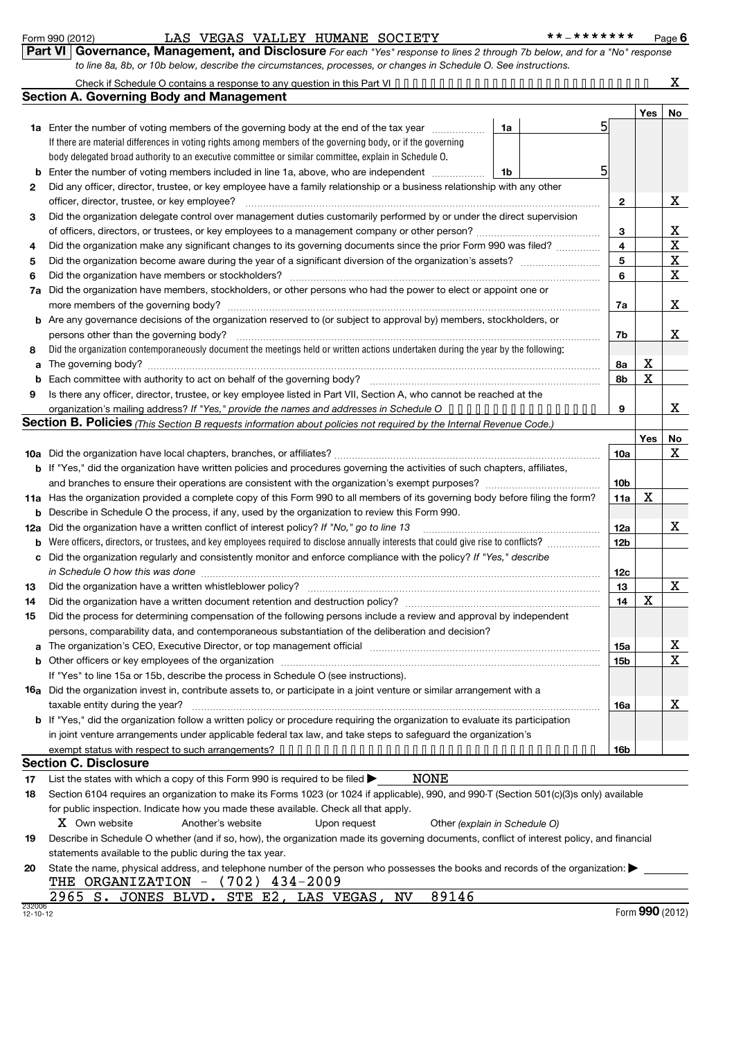232006 12-10-12

| <b>II   Governance, Management, and Disclosure</b> For each "Yes" response to lines 2 through 7b below, and for a "No" response |
|---------------------------------------------------------------------------------------------------------------------------------|
| to line 8a, 8b, or 10b below, describe the circumstances, processes, or changes in Schedule O. See instructions.                |

|     | Check if Schedule O contains a response to any question in this Part VI $\cdots$<br><b>Section A. Governing Body and Management</b>                                                                                                                       |                 |     |    |
|-----|-----------------------------------------------------------------------------------------------------------------------------------------------------------------------------------------------------------------------------------------------------------|-----------------|-----|----|
|     |                                                                                                                                                                                                                                                           |                 | Yes | No |
|     | 5<br>1a Enter the number of voting members of the governing body at the end of the tax year<br>1a                                                                                                                                                         |                 |     |    |
|     | If there are material differences in voting rights among members of the governing body, or if the governing                                                                                                                                               |                 |     |    |
|     | body delegated broad authority to an executive committee or similar committee, explain in Schedule O.                                                                                                                                                     |                 |     |    |
|     | 5<br>Enter the number of voting members included in line 1a, above, who are independent<br>1b                                                                                                                                                             |                 |     |    |
| 2   | Did any officer, director, trustee, or key employee have a family relationship or a business relationship with any other                                                                                                                                  |                 |     |    |
|     | officer, director, trustee, or key employee?                                                                                                                                                                                                              | 2               |     | x  |
| з   | Did the organization delegate control over management duties customarily performed by or under the direct supervision                                                                                                                                     |                 |     |    |
|     |                                                                                                                                                                                                                                                           | 3               |     | x  |
| 4   | Did the organization make any significant changes to its governing documents since the prior Form 990 was filed?                                                                                                                                          | 4               |     | X  |
| 5   |                                                                                                                                                                                                                                                           | 5               |     | х  |
| 6   | Did the organization have members or stockholders?                                                                                                                                                                                                        | 6               |     | X  |
| 7a  | Did the organization have members, stockholders, or other persons who had the power to elect or appoint one or                                                                                                                                            |                 |     |    |
|     |                                                                                                                                                                                                                                                           | 7a              |     | х  |
|     | <b>b</b> Are any governance decisions of the organization reserved to (or subject to approval by) members, stockholders, or                                                                                                                               |                 |     |    |
|     | persons other than the governing body?                                                                                                                                                                                                                    | 7b              |     | x  |
| 8   | Did the organization contemporaneously document the meetings held or written actions undertaken during the year by the following:                                                                                                                         |                 |     |    |
| a   | The governing body?                                                                                                                                                                                                                                       | 8а              | х   |    |
|     |                                                                                                                                                                                                                                                           | 8b              | Χ   |    |
| 9   | Is there any officer, director, trustee, or key employee listed in Part VII, Section A, who cannot be reached at the                                                                                                                                      |                 |     |    |
|     | organization's mailing address? If "Yes," provide the names and addresses in Schedule O                                                                                                                                                                   | 9               |     | х  |
|     | Section B. Policies (This Section B requests information about policies not required by the Internal Revenue Code.)                                                                                                                                       |                 |     |    |
|     |                                                                                                                                                                                                                                                           |                 | Yes | No |
|     |                                                                                                                                                                                                                                                           | 10a             |     | х  |
|     | b If "Yes," did the organization have written policies and procedures governing the activities of such chapters, affiliates,                                                                                                                              |                 |     |    |
|     |                                                                                                                                                                                                                                                           | 10 <sub>b</sub> |     |    |
| 11a | Has the organization provided a complete copy of this Form 990 to all members of its governing body before filing the form?                                                                                                                               | 11a             | х   |    |
|     | Describe in Schedule O the process, if any, used by the organization to review this Form 990.                                                                                                                                                             |                 |     |    |
| b   |                                                                                                                                                                                                                                                           |                 |     | х  |
| 12a | Did the organization have a written conflict of interest policy? If "No," go to line 13                                                                                                                                                                   | 12a             |     |    |
| b   | Were officers, directors, or trustees, and key employees required to disclose annually interests that could give rise to conflicts?<br>Did the organization regularly and consistently monitor and enforce compliance with the policy? If "Yes," describe | 12 <sub>b</sub> |     |    |
| c   |                                                                                                                                                                                                                                                           |                 |     |    |
|     | in Schedule O how this was done                                                                                                                                                                                                                           | 12c             |     |    |
| 13  | Did the organization have a written whistleblower policy?                                                                                                                                                                                                 | 13              |     | X  |
| 14  | Did the organization have a written document retention and destruction policy? [11] manufaction manufaction in                                                                                                                                            | 14              | х   |    |
| 15  | Did the process for determining compensation of the following persons include a review and approval by independent                                                                                                                                        |                 |     |    |
|     | persons, comparability data, and contemporaneous substantiation of the deliberation and decision?                                                                                                                                                         |                 |     |    |
|     | The organization's CEO, Executive Director, or top management official manufactured content content of the organization's CEO, Executive Director, or top management official manufactured content of the original content of                             | 15a             |     | х  |
|     |                                                                                                                                                                                                                                                           | 15b             |     | X  |
|     | If "Yes" to line 15a or 15b, describe the process in Schedule O (see instructions).                                                                                                                                                                       |                 |     |    |
|     | <b>16a</b> Did the organization invest in, contribute assets to, or participate in a joint venture or similar arrangement with a                                                                                                                          |                 |     |    |
|     | taxable entity during the year?                                                                                                                                                                                                                           | 16a             |     | x  |
|     | <b>b</b> If "Yes," did the organization follow a written policy or procedure requiring the organization to evaluate its participation                                                                                                                     |                 |     |    |
|     | in joint venture arrangements under applicable federal tax law, and take steps to safeguard the organization's                                                                                                                                            |                 |     |    |
|     |                                                                                                                                                                                                                                                           | 16b             |     |    |
|     | <b>Section C. Disclosure</b>                                                                                                                                                                                                                              |                 |     |    |
| 17  | NONE<br>List the states with which a copy of this Form 990 is required to be filed $\blacktriangleright$                                                                                                                                                  |                 |     |    |
| 18  | Section 6104 requires an organization to make its Forms 1023 (or 1024 if applicable), 990, and 990-T (Section 501(c)(3)s only) available                                                                                                                  |                 |     |    |
|     | for public inspection. Indicate how you made these available. Check all that apply.                                                                                                                                                                       |                 |     |    |
|     | X Own website<br>Upon request<br>Another's website<br>Other (explain in Schedule O)                                                                                                                                                                       |                 |     |    |
| 19  | Describe in Schedule O whether (and if so, how), the organization made its governing documents, conflict of interest policy, and financial                                                                                                                |                 |     |    |
|     | statements available to the public during the tax year.                                                                                                                                                                                                   |                 |     |    |
| 20  | State the name, physical address, and telephone number of the person who possesses the books and records of the organization:                                                                                                                             |                 |     |    |
|     | THE ORGANIZATION $-$ (702) 434-2009                                                                                                                                                                                                                       |                 |     |    |

2965 S. JONES BLVD. STE E2, LAS VEGAS, NV 89146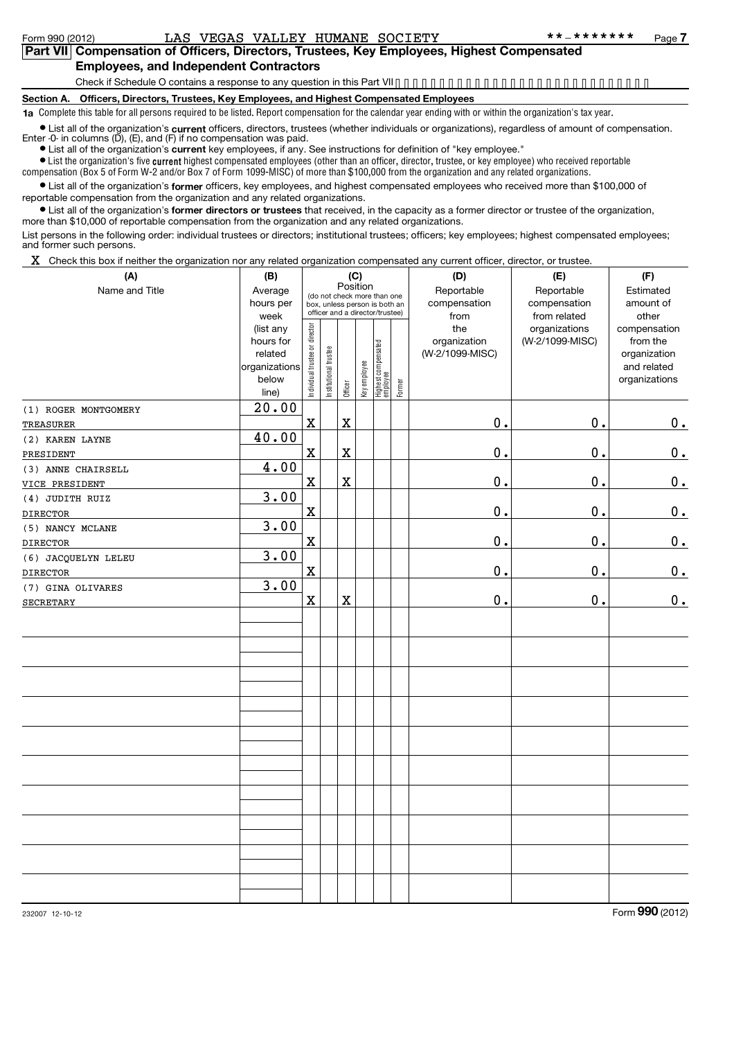## **Part VII Compensation of Officers, Directors, Trustees, Key Employees, Highest Compensated Employees, and Independent Contractors**

Check if Schedule O contains a response to any question in this Part VII •••••••••••••••••••••••••••••

**Section A. Officers, Directors, Trustees, Key Employees, and Highest Compensated Employees**

**1a** Complete this table for all persons required to be listed. Report compensation for the calendar year ending with or within the organization's tax year.

● List all of the organization's **current** officers, directors, trustees (whether individuals or organizations), regardless of amount of compensation.<br>Enter -0- in columns (D), (E), and (F) if no compensation was paid.

**•** List all of the organization's current key employees, if any. See instructions for definition of "key employee."

 $\bullet$  List the organization's five  $\mathfrak{current}$  highest compensated employees (other than an officer, director, trustee, or key employee) who received reportable compensation (Box 5 of Form W-2 and/or Box 7 of Form 1099-MISC) of more than \$100,000 from the organization and any related organizations .

List all of the organization's former officers, key employees, and highest compensated employees who received more than \$100,000 of reportable compensation from the organization and any related organizations.

**•** List all of the organization's former directors or trustees that received, in the capacity as a former director or trustee of the organization, more than \$10,000 of reportable compensation from the organization and any related organizations.

List persons in the following order: individual trustees or directors; institutional trustees; officers; key employees; highest compensated employees; and former such persons.

 $X$  Check this box if neither the organization nor any related organization compensated any current officer, director, or trustee.

| (A)                  | (B)           | (C)                                     |                       |             |                               |                                 |        | (D)             | (E)             | (F)           |
|----------------------|---------------|-----------------------------------------|-----------------------|-------------|-------------------------------|---------------------------------|--------|-----------------|-----------------|---------------|
| Name and Title       | Average       | Position<br>(do not check more than one |                       |             |                               |                                 |        | Reportable      | Reportable      | Estimated     |
|                      | hours per     |                                         |                       |             | box, unless person is both an |                                 |        | compensation    | compensation    | amount of     |
|                      | week          |                                         |                       |             |                               | officer and a director/trustee) |        | from            | from related    | other         |
|                      | (list any     |                                         |                       |             |                               |                                 |        | the             | organizations   | compensation  |
|                      | hours for     |                                         |                       |             |                               |                                 |        | organization    | (W-2/1099-MISC) | from the      |
|                      | related       |                                         |                       |             |                               |                                 |        | (W-2/1099-MISC) |                 | organization  |
|                      | organizations |                                         |                       |             |                               |                                 |        |                 |                 | and related   |
|                      | below         | Individual trustee or director          | Institutional trustee | Officer     | Key employee                  |                                 | Former |                 |                 | organizations |
|                      | line)         |                                         |                       |             |                               | Highest compensated<br>employee |        |                 |                 |               |
| (1) ROGER MONTGOMERY | 20.00         |                                         |                       |             |                               |                                 |        |                 |                 |               |
| TREASURER            |               | $\mathbf x$                             |                       | $\mathbf X$ |                               |                                 |        | $\mathbf 0$ .   | $\mathbf 0$ .   | 0.            |
| (2) KAREN LAYNE      | 40.00         |                                         |                       |             |                               |                                 |        |                 |                 |               |
| PRESIDENT            |               | $\mathbf x$                             |                       | $\mathbf X$ |                               |                                 |        | $\mathbf 0$ .   | $\mathbf 0$ .   | $\mathbf 0$ . |
| (3) ANNE CHAIRSELL   | 4.00          |                                         |                       |             |                               |                                 |        |                 |                 |               |
| VICE PRESIDENT       |               | $\mathbf x$                             |                       | $\mathbf X$ |                               |                                 |        | $\mathbf 0$ .   | $\mathbf 0$ .   | $0_{.}$       |
| (4) JUDITH RUIZ      | 3.00          |                                         |                       |             |                               |                                 |        |                 |                 |               |
| <b>DIRECTOR</b>      |               | $\mathbf x$                             |                       |             |                               |                                 |        | $\mathbf 0$ .   | $\mathbf 0$ .   | $\mathbf 0$ . |
| (5) NANCY MCLANE     | 3.00          |                                         |                       |             |                               |                                 |        |                 |                 |               |
| <b>DIRECTOR</b>      |               | $\mathbf X$                             |                       |             |                               |                                 |        | $\mathbf 0$ .   | $\mathbf 0$ .   | $\mathbf 0$ . |
| (6) JACQUELYN LELEU  | 3.00          |                                         |                       |             |                               |                                 |        |                 |                 |               |
| <b>DIRECTOR</b>      |               | $\mathbf x$                             |                       |             |                               |                                 |        | $\mathbf 0$ .   | $\mathbf 0$ .   | 0.            |
| (7) GINA OLIVARES    | 3.00          |                                         |                       |             |                               |                                 |        |                 |                 |               |
| <b>SECRETARY</b>     |               | $\mathbf X$                             |                       | $\mathbf X$ |                               |                                 |        | 0.              | $\mathbf 0$ .   | 0.            |
|                      |               |                                         |                       |             |                               |                                 |        |                 |                 |               |
|                      |               |                                         |                       |             |                               |                                 |        |                 |                 |               |
|                      |               |                                         |                       |             |                               |                                 |        |                 |                 |               |
|                      |               |                                         |                       |             |                               |                                 |        |                 |                 |               |
|                      |               |                                         |                       |             |                               |                                 |        |                 |                 |               |
|                      |               |                                         |                       |             |                               |                                 |        |                 |                 |               |
|                      |               |                                         |                       |             |                               |                                 |        |                 |                 |               |
|                      |               |                                         |                       |             |                               |                                 |        |                 |                 |               |
|                      |               |                                         |                       |             |                               |                                 |        |                 |                 |               |
|                      |               |                                         |                       |             |                               |                                 |        |                 |                 |               |
|                      |               |                                         |                       |             |                               |                                 |        |                 |                 |               |
|                      |               |                                         |                       |             |                               |                                 |        |                 |                 |               |
|                      |               |                                         |                       |             |                               |                                 |        |                 |                 |               |
|                      |               |                                         |                       |             |                               |                                 |        |                 |                 |               |
|                      |               |                                         |                       |             |                               |                                 |        |                 |                 |               |
|                      |               |                                         |                       |             |                               |                                 |        |                 |                 |               |
|                      |               |                                         |                       |             |                               |                                 |        |                 |                 |               |
|                      |               |                                         |                       |             |                               |                                 |        |                 |                 |               |
|                      |               |                                         |                       |             |                               |                                 |        |                 |                 |               |
|                      |               |                                         |                       |             |                               |                                 |        |                 |                 |               |

232007 12-10-12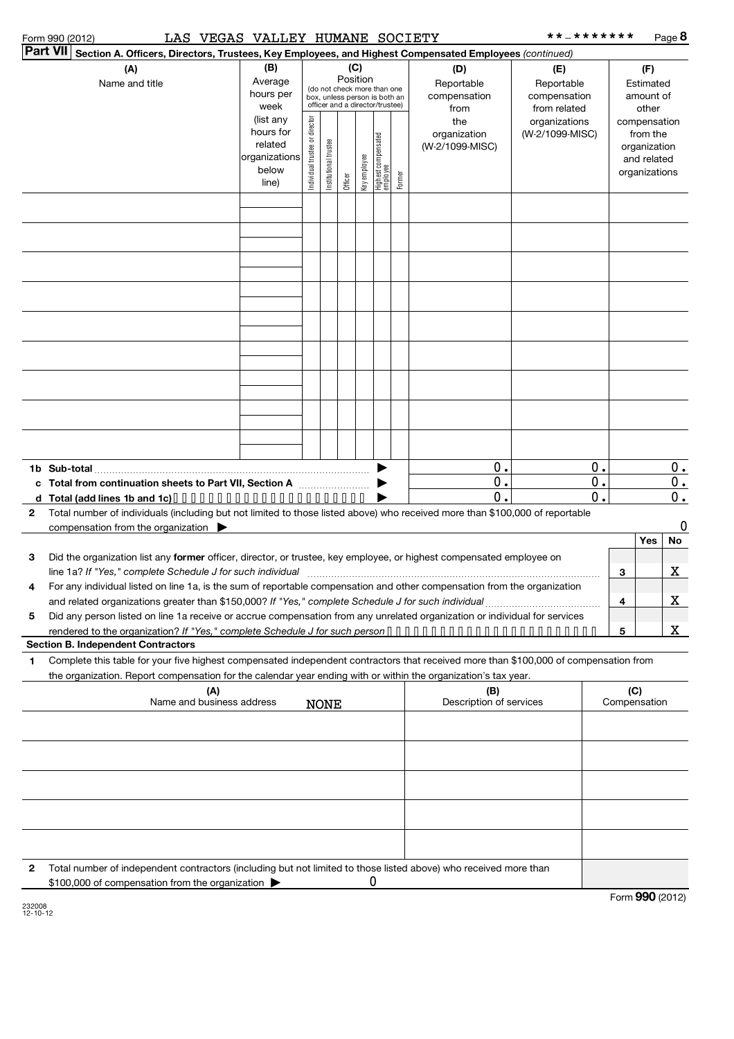### Form 990 (2012) LAS VEGAS VALLEY HUMANE SOCIETY \*\*-\*\*\*\*\*\*\* Page

\*\*\_\*\*\*\*\*\*\* Page **8** 

|              | Part VII Section A. Officers, Directors, Trustees, Key Employees, and Highest Compensated Employees (continued)                                               |                                                    |                                                                          |                       |         |              |                                 |            |                         |                               |           |                       |             |
|--------------|---------------------------------------------------------------------------------------------------------------------------------------------------------------|----------------------------------------------------|--------------------------------------------------------------------------|-----------------------|---------|--------------|---------------------------------|------------|-------------------------|-------------------------------|-----------|-----------------------|-------------|
|              | (A)                                                                                                                                                           | (B)<br>(C)<br>(D)                                  |                                                                          |                       |         |              |                                 |            |                         | (E)                           |           | (F)                   |             |
|              | Name and title                                                                                                                                                | Position<br>Average<br>(do not check more than one |                                                                          |                       |         |              |                                 | Reportable | Reportable              |                               | Estimated |                       |             |
|              |                                                                                                                                                               | hours per                                          | box, unless person is both an<br>officer and a director/trustee)<br>week |                       |         |              |                                 |            | compensation            | compensation                  |           | amount of             |             |
|              |                                                                                                                                                               | (list any                                          |                                                                          |                       |         |              |                                 |            | from<br>the             | from related<br>organizations |           | other<br>compensation |             |
|              |                                                                                                                                                               | hours for                                          |                                                                          |                       |         |              |                                 |            | organization            | (W-2/1099-MISC)               |           | from the              |             |
|              |                                                                                                                                                               | related                                            |                                                                          |                       |         |              |                                 |            | (W-2/1099-MISC)         |                               |           | organization          |             |
|              |                                                                                                                                                               | organizations<br>below                             |                                                                          |                       |         |              |                                 |            |                         |                               |           | and related           |             |
|              |                                                                                                                                                               | line)                                              | Individual trustee or director                                           | Institutional trustee | Officer | Key employee | Highest compensated<br>employee | Former     |                         |                               |           | organizations         |             |
|              |                                                                                                                                                               |                                                    |                                                                          |                       |         |              |                                 |            |                         |                               |           |                       |             |
|              |                                                                                                                                                               |                                                    |                                                                          |                       |         |              |                                 |            |                         |                               |           |                       |             |
|              |                                                                                                                                                               |                                                    |                                                                          |                       |         |              |                                 |            |                         |                               |           |                       |             |
|              |                                                                                                                                                               |                                                    |                                                                          |                       |         |              |                                 |            |                         |                               |           |                       |             |
|              |                                                                                                                                                               |                                                    |                                                                          |                       |         |              |                                 |            |                         |                               |           |                       |             |
|              |                                                                                                                                                               |                                                    |                                                                          |                       |         |              |                                 |            |                         |                               |           |                       |             |
|              |                                                                                                                                                               |                                                    |                                                                          |                       |         |              |                                 |            |                         |                               |           |                       |             |
|              |                                                                                                                                                               |                                                    |                                                                          |                       |         |              |                                 |            |                         |                               |           |                       |             |
|              |                                                                                                                                                               |                                                    |                                                                          |                       |         |              |                                 |            |                         |                               |           |                       |             |
|              |                                                                                                                                                               |                                                    |                                                                          |                       |         |              |                                 |            |                         |                               |           |                       |             |
|              |                                                                                                                                                               |                                                    |                                                                          |                       |         |              |                                 |            |                         |                               |           |                       |             |
|              |                                                                                                                                                               |                                                    |                                                                          |                       |         |              |                                 |            |                         |                               |           |                       |             |
|              |                                                                                                                                                               |                                                    |                                                                          |                       |         |              |                                 |            |                         |                               |           |                       |             |
|              |                                                                                                                                                               |                                                    |                                                                          |                       |         |              |                                 |            |                         |                               |           |                       |             |
|              |                                                                                                                                                               |                                                    |                                                                          |                       |         |              |                                 |            |                         |                               |           |                       |             |
|              |                                                                                                                                                               |                                                    |                                                                          |                       |         |              |                                 |            |                         |                               |           |                       |             |
|              |                                                                                                                                                               |                                                    |                                                                          |                       |         |              |                                 |            |                         |                               |           |                       |             |
|              | 1b Sub-total                                                                                                                                                  |                                                    |                                                                          |                       |         |              |                                 |            | О.<br>0.                |                               | Ο.        |                       | $0$ .       |
|              | c Total from continuation sheets to Part VII, Section A                                                                                                       |                                                    |                                                                          |                       |         |              |                                 |            | О.                      |                               | 0.<br>0.  |                       | 0.<br>$0$ . |
| $\mathbf{2}$ | d Total (add lines 1b and 1c)<br>Total number of individuals (including but not limited to those listed above) who received more than \$100,000 of reportable |                                                    |                                                                          |                       |         |              |                                 |            |                         |                               |           |                       |             |
|              | compensation from the organization $\blacktriangleright$                                                                                                      |                                                    |                                                                          |                       |         |              |                                 |            |                         |                               |           |                       | 0           |
|              |                                                                                                                                                               |                                                    |                                                                          |                       |         |              |                                 |            |                         |                               |           | Yes                   | No          |
| 3            | Did the organization list any former officer, director, or trustee, key employee, or highest compensated employee on                                          |                                                    |                                                                          |                       |         |              |                                 |            |                         |                               |           |                       |             |
|              | line 1a? If "Yes," complete Schedule J for such individual                                                                                                    |                                                    |                                                                          |                       |         |              |                                 |            |                         |                               |           | 3                     | X           |
| 4            | For any individual listed on line 1a, is the sum of reportable compensation and other compensation from the organization                                      |                                                    |                                                                          |                       |         |              |                                 |            |                         |                               |           |                       |             |
|              |                                                                                                                                                               |                                                    |                                                                          |                       |         |              |                                 |            |                         |                               |           | 4                     | X           |
| 5            | Did any person listed on line 1a receive or accrue compensation from any unrelated organization or individual for services                                    |                                                    |                                                                          |                       |         |              |                                 |            |                         |                               |           |                       |             |
|              | <b>Section B. Independent Contractors</b>                                                                                                                     |                                                    |                                                                          |                       |         |              |                                 |            |                         |                               |           | 5                     | X.          |
| 1            | Complete this table for your five highest compensated independent contractors that received more than \$100,000 of compensation from                          |                                                    |                                                                          |                       |         |              |                                 |            |                         |                               |           |                       |             |
|              | the organization. Report compensation for the calendar year ending with or within the organization's tax year.                                                |                                                    |                                                                          |                       |         |              |                                 |            |                         |                               |           |                       |             |
|              | (A)                                                                                                                                                           |                                                    |                                                                          |                       |         |              |                                 |            | (B)                     |                               |           | (C)                   |             |
|              | Name and business address                                                                                                                                     |                                                    |                                                                          | <b>NONE</b>           |         |              |                                 |            | Description of services |                               |           | Compensation          |             |
|              |                                                                                                                                                               |                                                    |                                                                          |                       |         |              |                                 |            |                         |                               |           |                       |             |
|              |                                                                                                                                                               |                                                    |                                                                          |                       |         |              |                                 |            |                         |                               |           |                       |             |
|              |                                                                                                                                                               |                                                    |                                                                          |                       |         |              |                                 |            |                         |                               |           |                       |             |
|              |                                                                                                                                                               |                                                    |                                                                          |                       |         |              |                                 |            |                         |                               |           |                       |             |
|              |                                                                                                                                                               |                                                    |                                                                          |                       |         |              |                                 |            |                         |                               |           |                       |             |
|              |                                                                                                                                                               |                                                    |                                                                          |                       |         |              |                                 |            |                         |                               |           |                       |             |
|              |                                                                                                                                                               |                                                    |                                                                          |                       |         |              |                                 |            |                         |                               |           |                       |             |
|              |                                                                                                                                                               |                                                    |                                                                          |                       |         |              |                                 |            |                         |                               |           |                       |             |
|              |                                                                                                                                                               |                                                    |                                                                          |                       |         |              |                                 |            |                         |                               |           |                       |             |
| 2            | Total number of independent contractors (including but not limited to those listed above) who received more than                                              |                                                    |                                                                          |                       |         |              |                                 |            |                         |                               |           |                       |             |
|              | \$100,000 of compensation from the organization                                                                                                               |                                                    |                                                                          |                       |         |              |                                 |            |                         |                               |           |                       |             |

232008 12-10-12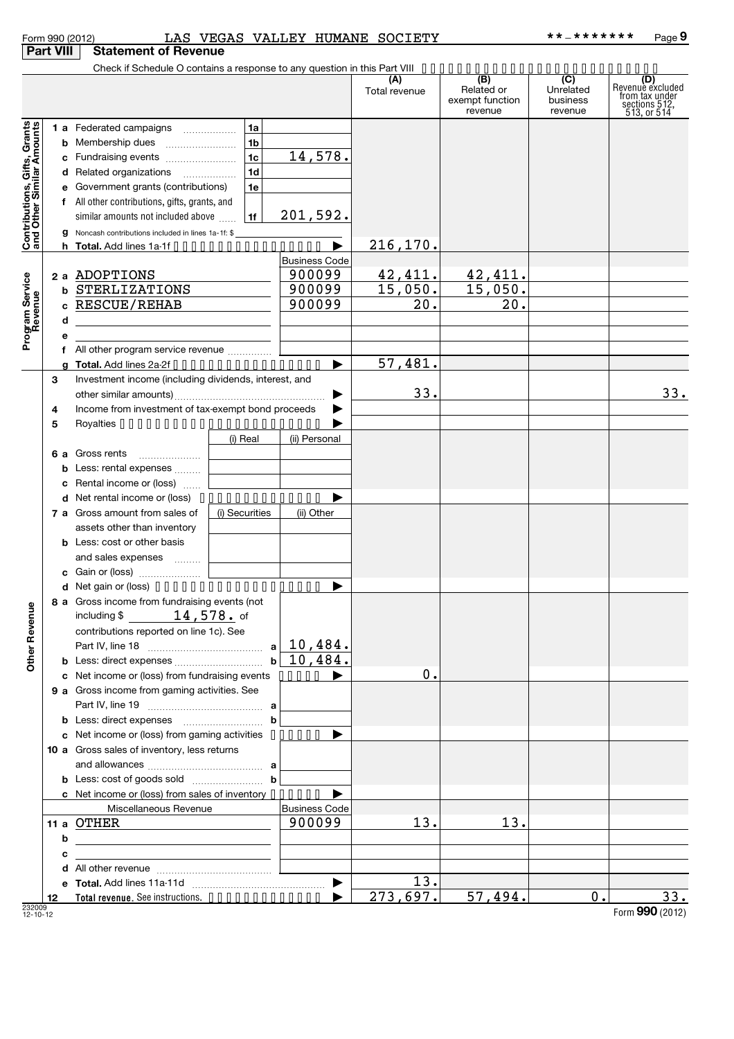|                                                           |                  | Form 990 (2012)                                                                                                                  |                |                      | LAS VEGAS VALLEY HUMANE SOCIETY |                                                 | **_*******                              | Page 9                                                                    |
|-----------------------------------------------------------|------------------|----------------------------------------------------------------------------------------------------------------------------------|----------------|----------------------|---------------------------------|-------------------------------------------------|-----------------------------------------|---------------------------------------------------------------------------|
|                                                           | <b>Part VIII</b> | <b>Statement of Revenue</b>                                                                                                      |                |                      |                                 |                                                 |                                         |                                                                           |
|                                                           |                  | Check if Schedule O contains a response to any question in this Part VIII                                                        |                |                      |                                 |                                                 |                                         |                                                                           |
|                                                           |                  |                                                                                                                                  |                |                      | (A)<br>Total revenue            | (B)<br>Related or<br>exempt function<br>revenue | (C)<br>Unrelated<br>business<br>revenue | (D)<br>Revenue excluded<br>from tax under<br>sections 512,<br>513, or 514 |
|                                                           |                  | <b>1 a</b> Federated campaigns<br>$\overline{\phantom{a}}$                                                                       | 1a             |                      |                                 |                                                 |                                         |                                                                           |
| Contributions, Gifts, Grants<br>and Other Similar Amounts |                  | <b>b</b> Membership dues                                                                                                         | 1 <sub>b</sub> |                      |                                 |                                                 |                                         |                                                                           |
|                                                           |                  | c Fundraising events                                                                                                             | 1 <sub>c</sub> | 14,578.              |                                 |                                                 |                                         |                                                                           |
|                                                           |                  | d Related organizations                                                                                                          | 1 <sub>d</sub> |                      |                                 |                                                 |                                         |                                                                           |
|                                                           |                  | e Government grants (contributions)                                                                                              | 1e             |                      |                                 |                                                 |                                         |                                                                           |
|                                                           |                  | f All other contributions, gifts, grants, and                                                                                    |                |                      |                                 |                                                 |                                         |                                                                           |
|                                                           |                  | similar amounts not included above                                                                                               | 1f             | 201,592.             |                                 |                                                 |                                         |                                                                           |
|                                                           |                  | <b>g</b> Noncash contributions included in lines 1a-1f: \$                                                                       |                | ▶                    | 216, 170.                       |                                                 |                                         |                                                                           |
|                                                           |                  | h Total. Add lines $1a \cdot 1f \cdot \cdot \cdot \cdot \cdot \cdot \cdot \cdot \cdot \cdot \cdot \cdot \cdot \cdot \cdot \cdot$ |                | <b>Business Code</b> |                                 |                                                 |                                         |                                                                           |
|                                                           |                  | 2 a ADOPTIONS                                                                                                                    |                | 900099               | 42, 411.                        | 42,411.                                         |                                         |                                                                           |
|                                                           | b                | STERLIZATIONS                                                                                                                    |                | 900099               | 15,050.                         | 15,050.                                         |                                         |                                                                           |
|                                                           |                  | c RESCUE/REHAB                                                                                                                   |                | 900099               | 20.                             | 20.                                             |                                         |                                                                           |
|                                                           | d                | <u> 1989 - Johann Stein, fransk politik (</u>                                                                                    |                |                      |                                 |                                                 |                                         |                                                                           |
| Program Service<br>Revenue                                | е                |                                                                                                                                  |                |                      |                                 |                                                 |                                         |                                                                           |
|                                                           |                  | f All other program service revenue                                                                                              |                |                      |                                 |                                                 |                                         |                                                                           |
|                                                           |                  | g Total. Add lines $2a-2f \cdot \cdot \cdot \cdot \cdot \cdot \cdot \cdot \cdot \cdot \cdot \cdot \cdot \cdot \cdot$             |                | ▶                    | 57,481.                         |                                                 |                                         |                                                                           |
|                                                           | з                | Investment income (including dividends, interest, and                                                                            |                |                      |                                 |                                                 |                                         |                                                                           |
|                                                           |                  | Income from investment of tax-exempt bond proceeds                                                                               |                | ▶                    | 33.                             |                                                 |                                         | 33.                                                                       |
|                                                           | 4<br>5           |                                                                                                                                  |                | ▶                    |                                 |                                                 |                                         |                                                                           |
|                                                           |                  |                                                                                                                                  | (i) Real       | (ii) Personal        |                                 |                                                 |                                         |                                                                           |
|                                                           | 6а               | Gross rents                                                                                                                      |                |                      |                                 |                                                 |                                         |                                                                           |
|                                                           | b                | Less: rental expenses                                                                                                            |                |                      |                                 |                                                 |                                         |                                                                           |
|                                                           |                  | c Rental income or (loss)                                                                                                        |                |                      |                                 |                                                 |                                         |                                                                           |
|                                                           |                  | d Net rental income or (loss)                                                                                                    |                |                      |                                 |                                                 |                                         |                                                                           |
|                                                           |                  | 7 a Gross amount from sales of                                                                                                   | (i) Securities | (ii) Other           |                                 |                                                 |                                         |                                                                           |
|                                                           |                  | assets other than inventory                                                                                                      |                |                      |                                 |                                                 |                                         |                                                                           |
|                                                           |                  | <b>b</b> Less: cost or other basis                                                                                               |                |                      |                                 |                                                 |                                         |                                                                           |
|                                                           |                  | and sales expenses                                                                                                               |                |                      |                                 |                                                 |                                         |                                                                           |
|                                                           |                  | c Gain or (loss)<br>d Net gain or (loss) $\cdots$ $\cdots$ $\cdots$ $\cdots$ $\cdots$ $\cdots$ $\cdots$                          |                |                      |                                 |                                                 |                                         |                                                                           |
|                                                           |                  | 8 a Gross income from fundraising events (not                                                                                    |                |                      |                                 |                                                 |                                         |                                                                           |
|                                                           |                  | including $\frac{2}{3}$ 14, 578. of                                                                                              |                |                      |                                 |                                                 |                                         |                                                                           |
|                                                           |                  | contributions reported on line 1c). See                                                                                          |                |                      |                                 |                                                 |                                         |                                                                           |
| <b>Other Revenue</b>                                      |                  |                                                                                                                                  |                |                      |                                 |                                                 |                                         |                                                                           |
|                                                           |                  |                                                                                                                                  |                |                      |                                 |                                                 |                                         |                                                                           |
|                                                           |                  | c Net income or (loss) from fundraising events $\cdots$                                                                          |                |                      | 0.                              |                                                 |                                         |                                                                           |
|                                                           |                  | 9 a Gross income from gaming activities. See                                                                                     |                |                      |                                 |                                                 |                                         |                                                                           |
|                                                           |                  |                                                                                                                                  |                |                      |                                 |                                                 |                                         |                                                                           |
|                                                           |                  | c Net income or (loss) from gaming activities •••••••                                                                            |                | ▶                    |                                 |                                                 |                                         |                                                                           |
|                                                           |                  | 10 a Gross sales of inventory, less returns                                                                                      |                |                      |                                 |                                                 |                                         |                                                                           |
|                                                           |                  |                                                                                                                                  |                |                      |                                 |                                                 |                                         |                                                                           |
|                                                           |                  | <b>b</b> Less: cost of goods sold $\ldots$ <b>b</b>                                                                              |                |                      |                                 |                                                 |                                         |                                                                           |
|                                                           |                  | c Net income or (loss) from sales of inventory                                                                                   |                |                      |                                 |                                                 |                                         |                                                                           |
|                                                           |                  | Miscellaneous Revenue                                                                                                            |                | <b>Business Code</b> |                                 |                                                 |                                         |                                                                           |
|                                                           |                  | 11 a OTHER                                                                                                                       |                | 900099               | 13.                             | 13.                                             |                                         |                                                                           |
|                                                           | b                | <u> 1989 - Johann Barbara, martxa alemaniar a</u>                                                                                |                |                      |                                 |                                                 |                                         |                                                                           |
|                                                           | с                |                                                                                                                                  |                |                      |                                 |                                                 |                                         |                                                                           |
|                                                           |                  |                                                                                                                                  |                |                      |                                 |                                                 |                                         |                                                                           |
|                                                           | 12               | Total revenue. See instructions.                                                                                                 |                |                      | 13.<br>273,697.                 | 57,494.                                         | 0.                                      | 33.                                                                       |
| 232009<br>12-10-12                                        |                  |                                                                                                                                  |                |                      |                                 |                                                 |                                         | Form 990 (2012)                                                           |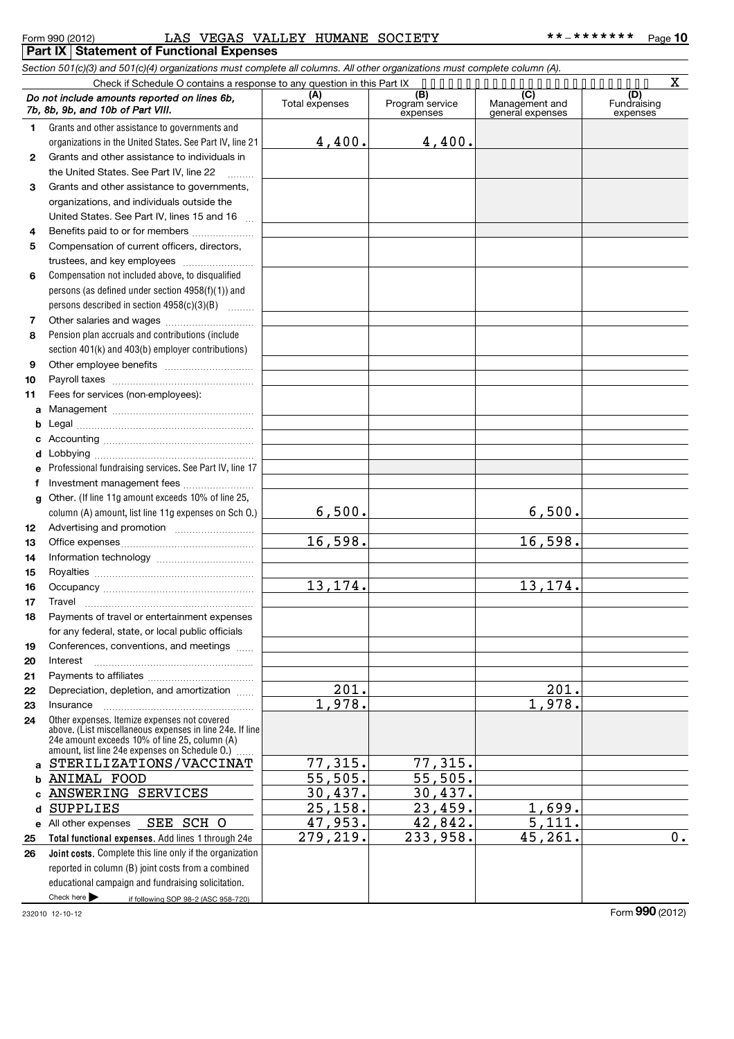## Form 990 (2012) LAS VEGAS VALLEY HUMANE SOCIETY \*\*-\*\*\*\*\*\*\*\* <sub>Page</sub> **Part IX Statement of Functional Expenses**

|              | Section 501(c)(3) and 501(c)(4) organizations must complete all columns. All other organizations must complete column (A).                                                                                  |                       |                                    |                                    |                                |
|--------------|-------------------------------------------------------------------------------------------------------------------------------------------------------------------------------------------------------------|-----------------------|------------------------------------|------------------------------------|--------------------------------|
|              | Check if Schedule O contains a response to any question in this Part IX                                                                                                                                     |                       |                                    |                                    | x                              |
|              | Do not include amounts reported on lines 6b.<br>7b, 8b, 9b, and 10b of Part VIII.                                                                                                                           | (A)<br>Total expenses | (B)<br>Program service<br>expenses | Management and<br>general expenses | (D)<br>Fundraising<br>expenses |
| 1.           | Grants and other assistance to governments and                                                                                                                                                              |                       |                                    |                                    |                                |
|              | organizations in the United States. See Part IV, line 21                                                                                                                                                    | 4,400.                | 4,400.                             |                                    |                                |
| $\mathbf{2}$ | Grants and other assistance to individuals in                                                                                                                                                               |                       |                                    |                                    |                                |
|              | the United States. See Part IV, line 22                                                                                                                                                                     |                       |                                    |                                    |                                |
| 3            | Grants and other assistance to governments,                                                                                                                                                                 |                       |                                    |                                    |                                |
|              | organizations, and individuals outside the                                                                                                                                                                  |                       |                                    |                                    |                                |
|              | United States. See Part IV, lines 15 and 16                                                                                                                                                                 |                       |                                    |                                    |                                |
| 4            | Benefits paid to or for members                                                                                                                                                                             |                       |                                    |                                    |                                |
| 5            | Compensation of current officers, directors,                                                                                                                                                                |                       |                                    |                                    |                                |
|              | trustees, and key employees                                                                                                                                                                                 |                       |                                    |                                    |                                |
| 6            | Compensation not included above, to disqualified                                                                                                                                                            |                       |                                    |                                    |                                |
|              | persons (as defined under section 4958(f)(1)) and                                                                                                                                                           |                       |                                    |                                    |                                |
|              | persons described in section $4958(c)(3)(B)$                                                                                                                                                                |                       |                                    |                                    |                                |
| 7            |                                                                                                                                                                                                             |                       |                                    |                                    |                                |
| 8            | Pension plan accruals and contributions (include                                                                                                                                                            |                       |                                    |                                    |                                |
|              | section 401(k) and 403(b) employer contributions)                                                                                                                                                           |                       |                                    |                                    |                                |
| 9            |                                                                                                                                                                                                             |                       |                                    |                                    |                                |
| 10           |                                                                                                                                                                                                             |                       |                                    |                                    |                                |
| 11           | Fees for services (non-employees):                                                                                                                                                                          |                       |                                    |                                    |                                |
| a            |                                                                                                                                                                                                             |                       |                                    |                                    |                                |
| b            |                                                                                                                                                                                                             |                       |                                    |                                    |                                |
|              |                                                                                                                                                                                                             |                       |                                    |                                    |                                |
| d            |                                                                                                                                                                                                             |                       |                                    |                                    |                                |
|              | Professional fundraising services. See Part IV, line 17                                                                                                                                                     |                       |                                    |                                    |                                |
| f            | Investment management fees                                                                                                                                                                                  |                       |                                    |                                    |                                |
| a            | Other. (If line 11g amount exceeds 10% of line 25,                                                                                                                                                          | 6,500.                |                                    | 6,500.                             |                                |
|              | column (A) amount, list line 11g expenses on Sch O.)                                                                                                                                                        |                       |                                    |                                    |                                |
| 12<br>13     |                                                                                                                                                                                                             | 16,598.               |                                    | 16,598.                            |                                |
| 14           |                                                                                                                                                                                                             |                       |                                    |                                    |                                |
| 15           |                                                                                                                                                                                                             |                       |                                    |                                    |                                |
| 16           |                                                                                                                                                                                                             | 13, 174.              |                                    | 13,174.                            |                                |
| 17           |                                                                                                                                                                                                             |                       |                                    |                                    |                                |
| 18           | Payments of travel or entertainment expenses                                                                                                                                                                |                       |                                    |                                    |                                |
|              | for any federal, state, or local public officials                                                                                                                                                           |                       |                                    |                                    |                                |
| 19           | Conferences, conventions, and meetings                                                                                                                                                                      |                       |                                    |                                    |                                |
| 20           | Interest                                                                                                                                                                                                    |                       |                                    |                                    |                                |
| 21           |                                                                                                                                                                                                             |                       |                                    |                                    |                                |
| 22           | Depreciation, depletion, and amortization                                                                                                                                                                   | 201.                  |                                    | 201.                               |                                |
| 23           | Insurance                                                                                                                                                                                                   | 1,978.                |                                    | 1,978.                             |                                |
| 24           | Other expenses. Itemize expenses not covered<br>above. (List miscellaneous expenses in line 24e. If line<br>24e amount exceeds 10% of line 25, column (A)<br>amount, list line 24e expenses on Schedule O.) |                       |                                    |                                    |                                |
| a            | STERILIZATIONS/VACCINAT                                                                                                                                                                                     | 77,315.               | 77,315.                            |                                    |                                |
|              | <b>ANIMAL FOOD</b>                                                                                                                                                                                          | 55,505.               | 55,505.                            |                                    |                                |
|              | ANSWERING SERVICES                                                                                                                                                                                          | 30,437.               | 30,437.                            |                                    |                                |
| d            | SUPPLIES                                                                                                                                                                                                    | 25,158.               | $23,459$ .                         | 1,699.                             |                                |
|              | e All other expenses SEE SCH O                                                                                                                                                                              | 47,953.               | 42,842.                            | 5,111.                             |                                |
| 25           | Total functional expenses. Add lines 1 through 24e                                                                                                                                                          | 279,219.              | 233,958.                           | 45,261                             | $0$ .                          |
| 26           | Joint costs. Complete this line only if the organization                                                                                                                                                    |                       |                                    |                                    |                                |
|              | reported in column (B) joint costs from a combined                                                                                                                                                          |                       |                                    |                                    |                                |
|              | educational campaign and fundraising solicitation.                                                                                                                                                          |                       |                                    |                                    |                                |
|              | Check here $\blacktriangleright$<br>if following SOP 98-2 (ASC 958-720)                                                                                                                                     |                       |                                    |                                    |                                |

232010 12-10-12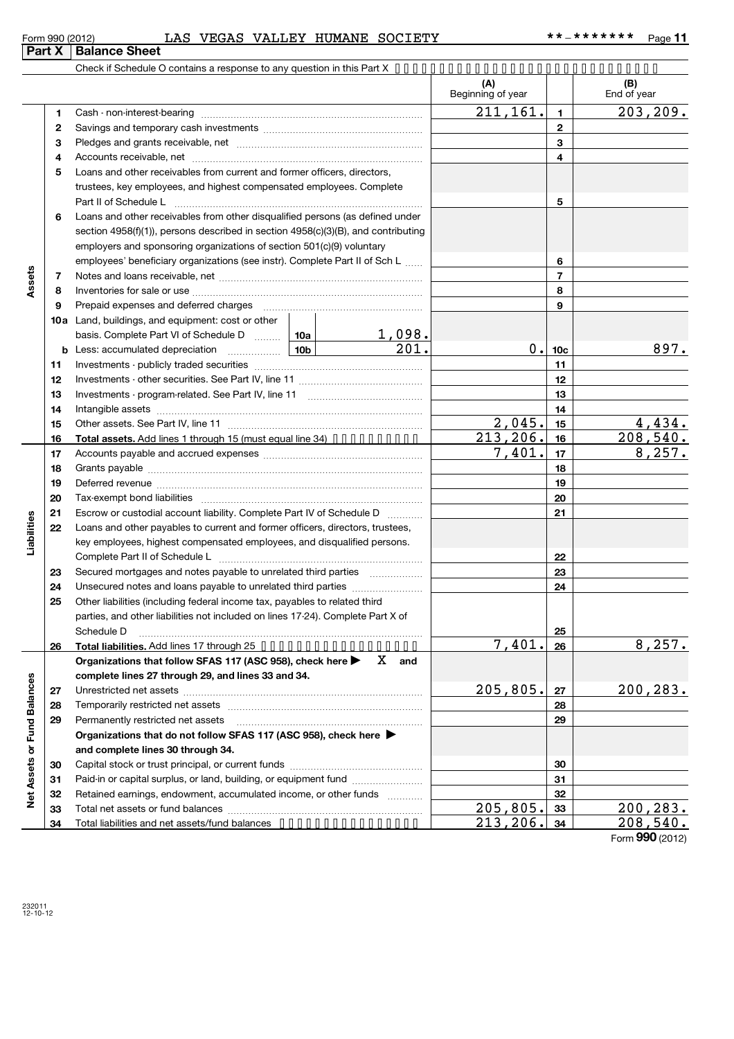|                      |        | LAS VEGAS VALLEY HUMANE SOCIETY<br>Form 990 (2012)                                                                                                                                                                             |                    |                          |                          | **_*******<br>Page 11 |
|----------------------|--------|--------------------------------------------------------------------------------------------------------------------------------------------------------------------------------------------------------------------------------|--------------------|--------------------------|--------------------------|-----------------------|
|                      | Part X | <b>Balance Sheet</b>                                                                                                                                                                                                           |                    |                          |                          |                       |
|                      |        | Check if Schedule O contains a response to any question in this Part $X \rightarrow \cdots \rightarrow \cdots \rightarrow \cdots \rightarrow \cdots \rightarrow \cdots \rightarrow \cdots \rightarrow \cdots$                  |                    |                          |                          |                       |
|                      |        |                                                                                                                                                                                                                                |                    | (A)<br>Beginning of year |                          | (B)<br>End of year    |
|                      | 1      |                                                                                                                                                                                                                                |                    | 211, 161.                | 1                        | 203, 209.             |
|                      | 2      |                                                                                                                                                                                                                                |                    |                          | $\mathbf{2}$             |                       |
|                      | 3      |                                                                                                                                                                                                                                |                    |                          | 3                        |                       |
|                      | 4      |                                                                                                                                                                                                                                |                    |                          | 4                        |                       |
|                      | 5      | Loans and other receivables from current and former officers, directors,                                                                                                                                                       |                    |                          |                          |                       |
|                      |        | trustees, key employees, and highest compensated employees. Complete                                                                                                                                                           |                    |                          |                          |                       |
|                      |        | Part II of Schedule L                                                                                                                                                                                                          |                    |                          | 5                        |                       |
|                      | 6      | Loans and other receivables from other disqualified persons (as defined under                                                                                                                                                  |                    |                          |                          |                       |
|                      |        | section $4958(f)(1)$ , persons described in section $4958(c)(3)(B)$ , and contributing                                                                                                                                         |                    |                          |                          |                       |
|                      |        | employers and sponsoring organizations of section 501(c)(9) voluntary                                                                                                                                                          |                    |                          |                          |                       |
|                      |        | employees' beneficiary organizations (see instr). Complete Part II of Sch L                                                                                                                                                    |                    |                          | 6                        |                       |
| Assets               | 7      |                                                                                                                                                                                                                                |                    |                          | $\overline{\phantom{a}}$ |                       |
|                      | 8      |                                                                                                                                                                                                                                |                    |                          | 8                        |                       |
|                      | 9      | Prepaid expenses and deferred charges [11] [11] Prepaid expenses and deferred charges [11] [11] Martin Martin Martin Martin Martin Martin Martin Martin Martin Martin Martin Martin Martin Martin Martin Martin Martin Martin  |                    |                          | 9                        |                       |
|                      |        | <b>10a</b> Land, buildings, and equipment: cost or other                                                                                                                                                                       |                    |                          |                          |                       |
|                      |        | basis. Complete Part VI of Schedule D    10a                                                                                                                                                                                   | <u>1,098.</u>      |                          |                          |                       |
|                      |        |                                                                                                                                                                                                                                | $\overline{201}$ . |                          | 0.10c                    | 897.                  |
|                      | 11     |                                                                                                                                                                                                                                |                    |                          | 11                       |                       |
|                      | 12     |                                                                                                                                                                                                                                |                    |                          | 12                       |                       |
|                      | 13     |                                                                                                                                                                                                                                |                    |                          | 13                       |                       |
|                      | 14     |                                                                                                                                                                                                                                |                    |                          | 14                       |                       |
|                      | 15     |                                                                                                                                                                                                                                |                    | 2,045.                   | 15                       | 4,434.                |
|                      | 16     | <b>Total assets.</b> Add lines 1 through 15 (must equal line 34) $\cdot \cdot \cdot \cdot \cdot \cdot \cdot \cdot$                                                                                                             |                    | 213, 206.                | 16                       | 208,540.              |
|                      | 17     |                                                                                                                                                                                                                                |                    | 7,401.                   | 17                       | 8,257.                |
|                      | 18     |                                                                                                                                                                                                                                |                    |                          | 18                       |                       |
|                      | 19     | Deferred revenue manual contracts and contracts and contracts are all the contracts and contracts are contracts and contracts are contracted and contracts are contracted and contract are contracted and contract are contrac |                    |                          | 19                       |                       |
|                      | 20     |                                                                                                                                                                                                                                |                    |                          | 20                       |                       |
|                      | 21     | Escrow or custodial account liability. Complete Part IV of Schedule D                                                                                                                                                          |                    |                          | 21                       |                       |
| Liabilities          | 22     | Loans and other payables to current and former officers, directors, trustees,                                                                                                                                                  |                    |                          |                          |                       |
|                      |        | key employees, highest compensated employees, and disqualified persons.                                                                                                                                                        |                    |                          |                          |                       |
|                      |        |                                                                                                                                                                                                                                |                    |                          | 22                       |                       |
|                      | 23     |                                                                                                                                                                                                                                |                    |                          | 23                       |                       |
|                      | 24     | Unsecured notes and loans payable to unrelated third parties                                                                                                                                                                   |                    |                          | 24                       |                       |
|                      | 25     | Other liabilities (including federal income tax, payables to related third                                                                                                                                                     |                    |                          |                          |                       |
|                      |        | parties, and other liabilities not included on lines 17-24). Complete Part X of                                                                                                                                                |                    |                          |                          |                       |
|                      |        | Schedule D                                                                                                                                                                                                                     |                    | 7,401.                   | 25                       | 8, 257.               |
|                      | 26     | Total liabilities. Add lines 17 through 25                                                                                                                                                                                     | x                  |                          | 26                       |                       |
|                      |        | Organizations that follow SFAS 117 (ASC 958), check here ▶<br>complete lines 27 through 29, and lines 33 and 34.                                                                                                               | and                |                          |                          |                       |
|                      | 27     |                                                                                                                                                                                                                                |                    | 205,805.                 | 27                       | 200,283.              |
|                      | 28     |                                                                                                                                                                                                                                |                    |                          | 28                       |                       |
|                      | 29     | Permanently restricted net assets                                                                                                                                                                                              |                    |                          | 29                       |                       |
| <b>Fund Balances</b> |        | Organizations that do not follow SFAS 117 (ASC 958), check here ▶                                                                                                                                                              |                    |                          |                          |                       |
|                      |        | and complete lines 30 through 34.                                                                                                                                                                                              |                    |                          |                          |                       |
|                      | 30     |                                                                                                                                                                                                                                |                    |                          | 30                       |                       |
|                      | 31     | Paid-in or capital surplus, or land, building, or equipment fund                                                                                                                                                               |                    |                          | 31                       |                       |
| <b>Net Assets or</b> | 32     | Retained earnings, endowment, accumulated income, or other funds                                                                                                                                                               |                    |                          | 32                       |                       |
|                      | 33     |                                                                                                                                                                                                                                |                    | 205, 805.                | 33                       | 200,283.              |
|                      | 34     | Total liabilities and net assets/fund balances •••••••••••••••••                                                                                                                                                               |                    | <u>213,206.</u>          | 34                       | 208,540.              |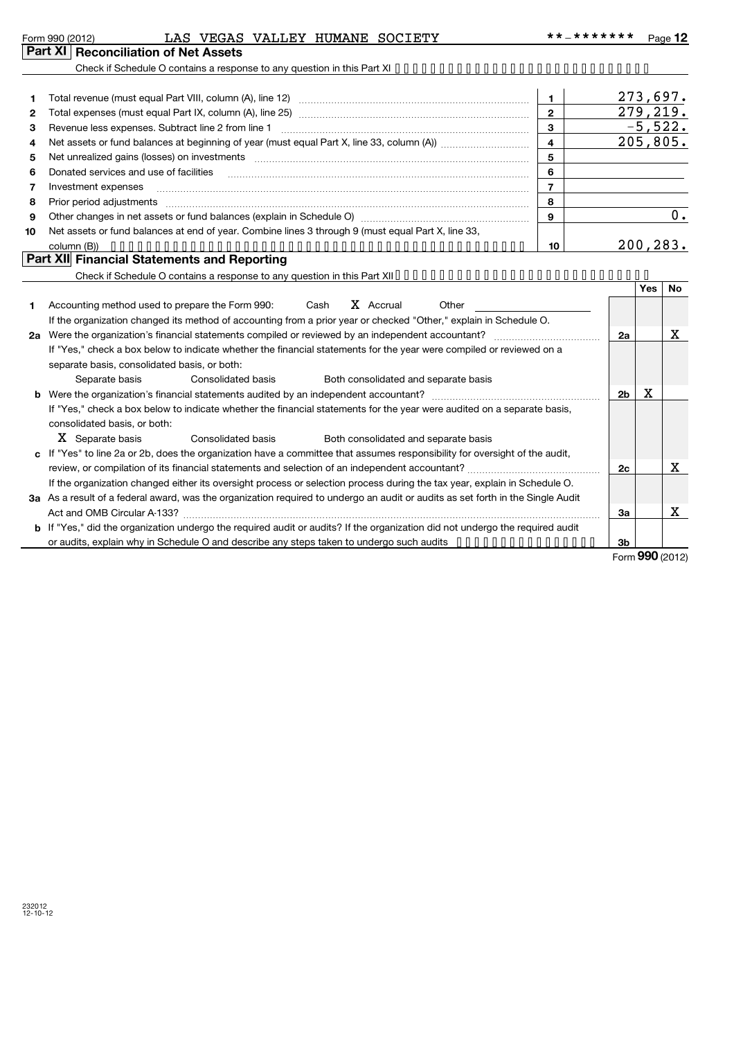|  | Form 990 (2012) |
|--|-----------------|
|  |                 |

## Form 990 (2012) LAS VEGAS VALLEY HUMANE SOCIETY \*\*-\*\*\*\*\*\*\*\* <sub>Page</sub> **Part XI Reconciliation of Net Assets**

|    |                                                                                                                                                                                                                                | $\blacksquare$          |                |     | 273,697.  |
|----|--------------------------------------------------------------------------------------------------------------------------------------------------------------------------------------------------------------------------------|-------------------------|----------------|-----|-----------|
| 2  |                                                                                                                                                                                                                                | $\mathbf{2}$            |                |     | 279,219.  |
| 3  |                                                                                                                                                                                                                                | $\mathbf{3}$            |                |     | $-5,522.$ |
| 4  |                                                                                                                                                                                                                                | $\overline{\mathbf{4}}$ |                |     | 205,805.  |
| 5  | Net unrealized gains (losses) on investments [111] matter in the contract of the contract of the contract of the contract of the contract of the contract of the contract of the contract of the contract of the contract of t | 5                       |                |     |           |
| 6  | Donated services and use of facilities                                                                                                                                                                                         | 6                       |                |     |           |
| 7  | Investment expenses                                                                                                                                                                                                            | $\overline{7}$          |                |     |           |
| 8  | Prior period adjustments <i>www.communicality.communicality.communicality.communicality.communicality.communicality</i>                                                                                                        | 8                       |                |     |           |
| 9  |                                                                                                                                                                                                                                | $\mathbf{9}$            |                |     | 0.        |
| 10 | Net assets or fund balances at end of year. Combine lines 3 through 9 (must equal Part X, line 33,                                                                                                                             |                         |                |     |           |
|    |                                                                                                                                                                                                                                | 10                      |                |     | 200, 283. |
|    | Part XII Financial Statements and Reporting                                                                                                                                                                                    |                         |                |     |           |
|    | Check if Schedule O contains a response to any question in this Part XII.                                                                                                                                                      |                         |                |     |           |
|    |                                                                                                                                                                                                                                |                         |                | Yes | No        |
| 1. | X Accrual<br>Accounting method used to prepare the Form 990: Cash<br>Other                                                                                                                                                     |                         |                |     |           |
|    | If the organization changed its method of accounting from a prior year or checked "Other," explain in Schedule O.                                                                                                              |                         |                |     |           |
|    |                                                                                                                                                                                                                                |                         | 2a             |     | х         |
|    | If "Yes," check a box below to indicate whether the financial statements for the year were compiled or reviewed on a                                                                                                           |                         |                |     |           |
|    | separate basis, consolidated basis, or both:                                                                                                                                                                                   |                         |                |     |           |
|    | Separate basis<br>Consolidated basis<br>Both consolidated and separate basis                                                                                                                                                   |                         |                |     |           |
| b  |                                                                                                                                                                                                                                |                         | 2 <sub>b</sub> | X   |           |
|    | If "Yes," check a box below to indicate whether the financial statements for the year were audited on a separate basis,                                                                                                        |                         |                |     |           |
|    | consolidated basis, or both:                                                                                                                                                                                                   |                         |                |     |           |
|    | X Separate basis<br><b>Consolidated basis</b><br>Both consolidated and separate basis                                                                                                                                          |                         |                |     |           |
| C. | If "Yes" to line 2a or 2b, does the organization have a committee that assumes responsibility for oversight of the audit,                                                                                                      |                         |                |     |           |
|    |                                                                                                                                                                                                                                |                         | 2c             |     | x         |
|    | If the organization changed either its oversight process or selection process during the tax year, explain in Schedule O.                                                                                                      |                         |                |     |           |
|    | 3a As a result of a federal award, was the organization required to undergo an audit or audits as set forth in the Single Audit                                                                                                |                         |                |     |           |
|    |                                                                                                                                                                                                                                |                         | За             |     | x         |
|    | $\sim$ . The state of the state of the state of the state of the state of the state of the state of the state of the state of                                                                                                  |                         |                |     |           |

**b** If "Yes," did the organization undergo the required audit or audits? If the organization did not undergo the required audit **3b** or audits, explain why in Schedule O and describe any steps taken to undergo such audits ••••••••••••••••

Form (2012) **990**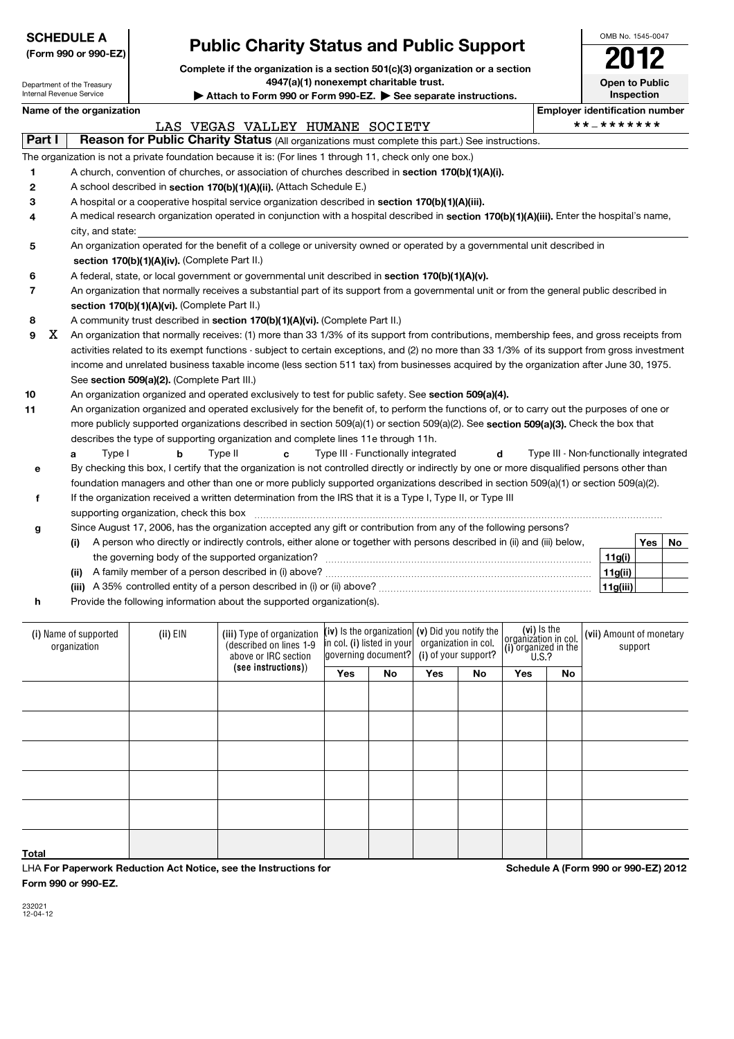| <b>SCHEDULE A</b> |  |
|-------------------|--|
|-------------------|--|

## **(Form 990 or 990-EZ)**

# **Public Charity Status and Public Support**

**Complete if the organization is a section 5** 4947(a)(1) nonexempt cl

**g**

**h**

OMB No. 1545-0047

|                          |                                                                                                                                            | Complete if the organization is a section 501(c)(3) organization or a section<br>4947(a)(1) nonexempt charitable trust.<br>Attach to Form 990 or Form 990-EZ. See separate instructions. |  |                                                                                                           |  |  |  |  |  |  | -- -<br>Open to Public<br>Inspection |                                      |  |
|--------------------------|--------------------------------------------------------------------------------------------------------------------------------------------|------------------------------------------------------------------------------------------------------------------------------------------------------------------------------------------|--|-----------------------------------------------------------------------------------------------------------|--|--|--|--|--|--|--------------------------------------|--------------------------------------|--|
| Internal Revenue Service | Department of the Treasury                                                                                                                 |                                                                                                                                                                                          |  |                                                                                                           |  |  |  |  |  |  |                                      |                                      |  |
|                          | Name of the organization                                                                                                                   |                                                                                                                                                                                          |  |                                                                                                           |  |  |  |  |  |  |                                      | <b>Employer identification numbe</b> |  |
|                          |                                                                                                                                            |                                                                                                                                                                                          |  | LAS VEGAS VALLEY HUMANE SOCIETY                                                                           |  |  |  |  |  |  |                                      | **_*******                           |  |
| Part I                   |                                                                                                                                            |                                                                                                                                                                                          |  | Reason for Public Charity Status (All organizations must complete this part.) See instructions.           |  |  |  |  |  |  |                                      |                                      |  |
|                          |                                                                                                                                            |                                                                                                                                                                                          |  | The organization is not a private foundation because it is: (For lines 1 through 11, check only one box.) |  |  |  |  |  |  |                                      |                                      |  |
|                          |                                                                                                                                            |                                                                                                                                                                                          |  | A church, convention of churches, or association of churches described in section 170(b)(1)(A)(i).        |  |  |  |  |  |  |                                      |                                      |  |
| 2                        |                                                                                                                                            |                                                                                                                                                                                          |  | A school described in section 170(b)(1)(A)(ii). (Attach Schedule E.)                                      |  |  |  |  |  |  |                                      |                                      |  |
| 3                        | A hospital or a cooperative hospital service organization described in section 170(b)(1)(A)(iii).                                          |                                                                                                                                                                                          |  |                                                                                                           |  |  |  |  |  |  |                                      |                                      |  |
| 4                        | A medical research organization operated in conjunction with a hospital described in section 170(b)(1)(A)(iii). Enter the hospital's name, |                                                                                                                                                                                          |  |                                                                                                           |  |  |  |  |  |  |                                      |                                      |  |

| city, | , and state:<br>the contract of the contract of the contract of the contract of the contract of the contract of the contract of |  |   |   |      |    |  |  |  |  |
|-------|---------------------------------------------------------------------------------------------------------------------------------|--|---|---|------|----|--|--|--|--|
|       |                                                                                                                                 |  | . | . | $-1$ | -- |  |  |  |  |

| An organization operated for the benefit of a college or university owned or operated by a governmental unit described in |
|---------------------------------------------------------------------------------------------------------------------------|
| section 170(b)(1)(A)(iv). (Complete Part II.)                                                                             |

**6** A federal, state, or local government or governmental unit described in **section 170(b)(1)(A)(v).** 

| An organization that normally receives a substantial part of its support from a governmental unit or from the general public described in |
|-------------------------------------------------------------------------------------------------------------------------------------------|
| section 170(b)(1)(A)(vi). (Complete Part II.)                                                                                             |

#### **8** A community trust described in section 170(b)(1)(A)(vi). (Complete Part II.)

**9** See section 509(a)(2). (Complete Part III.) An organization that normally receives: (1) more than 33 1/3% of its support from contributions, membership fees, and gross receipts from activities related to its exempt functions - subject to certain exceptions, and (2) no more than 33 1/3% of its support from gross investment income and unrelated business taxable income (less section 511 tax) from businesses acquired by the organization after June 30, 1975. X

#### **10** An organization organized and operated exclusively to test for public safety. See **section 509(a)(4).**

**11** more publicly supported organizations described in section 509(a)(1) or section 509(a)(2). See **section 509(a)(3).** Check the box that An organization organized and operated exclusively for the benefit of, to perform the functions of, or to carry out the purposes of one or describes the type of supporting organization and complete lines 11e through 11h.

|  | Tvpe I | Tvpe II | Type III - Functionally integrated                                                                                                            | Type III - Non-functionally integrated |
|--|--------|---------|-----------------------------------------------------------------------------------------------------------------------------------------------|----------------------------------------|
|  |        |         | By checking this box, I certify that the organization is not controlled directly or indirectly by one or more disqualified persons other than |                                        |
|  |        |         | foundation managers and other than one or more publicly supported organizations described in section 509(a)(1) or section 509(a)(2).          |                                        |
|  |        |         |                                                                                                                                               |                                        |

|                                         | If the organization received a written determination from the IRS that it is a Type I, Type II, or Type III |
|-----------------------------------------|-------------------------------------------------------------------------------------------------------------|
| supporting organization, check this box |                                                                                                             |

|       | Since August 17, 2006, has the organization accepted any gift or contribution from any of the following persons?       |          |     |    |
|-------|------------------------------------------------------------------------------------------------------------------------|----------|-----|----|
|       | A person who directly or indirectly controls, either alone or together with persons described in (ii) and (iii) below, |          | Yes | No |
|       | the governing body of the supported organization?                                                                      | 11g(i)   |     |    |
| (ii)  | A family member of a person described in (i) above?                                                                    | 11g(ii)  |     |    |
| (iii) | A 35% controlled entity of a person described in (i) or (ii) above?                                                    | 11g(iii) |     |    |

Provide the following information about the supported organization(s).

| (i) Name of supported<br>organization | (ii) EIN | (iii) Type of organization<br>(described on lines 1-9<br>above or IRC section | (iv) Is the organization $(v)$ Did you notify the<br>in col. (i) listed in your<br>governing document? (i) of your support? |     | organization in col. |     | (vi) Is the<br>organization in col.<br>(i) organized in the<br>$\frac{0.52}{0.5.2}$ |    | (vii) Amount of monetary<br>support |
|---------------------------------------|----------|-------------------------------------------------------------------------------|-----------------------------------------------------------------------------------------------------------------------------|-----|----------------------|-----|-------------------------------------------------------------------------------------|----|-------------------------------------|
|                                       |          | (see instructions))                                                           | Yes                                                                                                                         | No. | Yes                  | No. | Yes                                                                                 | No |                                     |
|                                       |          |                                                                               |                                                                                                                             |     |                      |     |                                                                                     |    |                                     |
|                                       |          |                                                                               |                                                                                                                             |     |                      |     |                                                                                     |    |                                     |
|                                       |          |                                                                               |                                                                                                                             |     |                      |     |                                                                                     |    |                                     |
|                                       |          |                                                                               |                                                                                                                             |     |                      |     |                                                                                     |    |                                     |
|                                       |          |                                                                               |                                                                                                                             |     |                      |     |                                                                                     |    |                                     |
| Total                                 |          |                                                                               |                                                                                                                             |     |                      |     |                                                                                     |    |                                     |

LHA **For Paperwork Reduction Act Notice, see the Instructions for Form 990 or 990-EZ.**

**Schedule A (Form 990 or 990-EZ) 2012**

~~~~~~~~~~~~~~~~~~~~~~~~~~~~~~~~~~~~~~~~~~~~~~

232021 12-04-12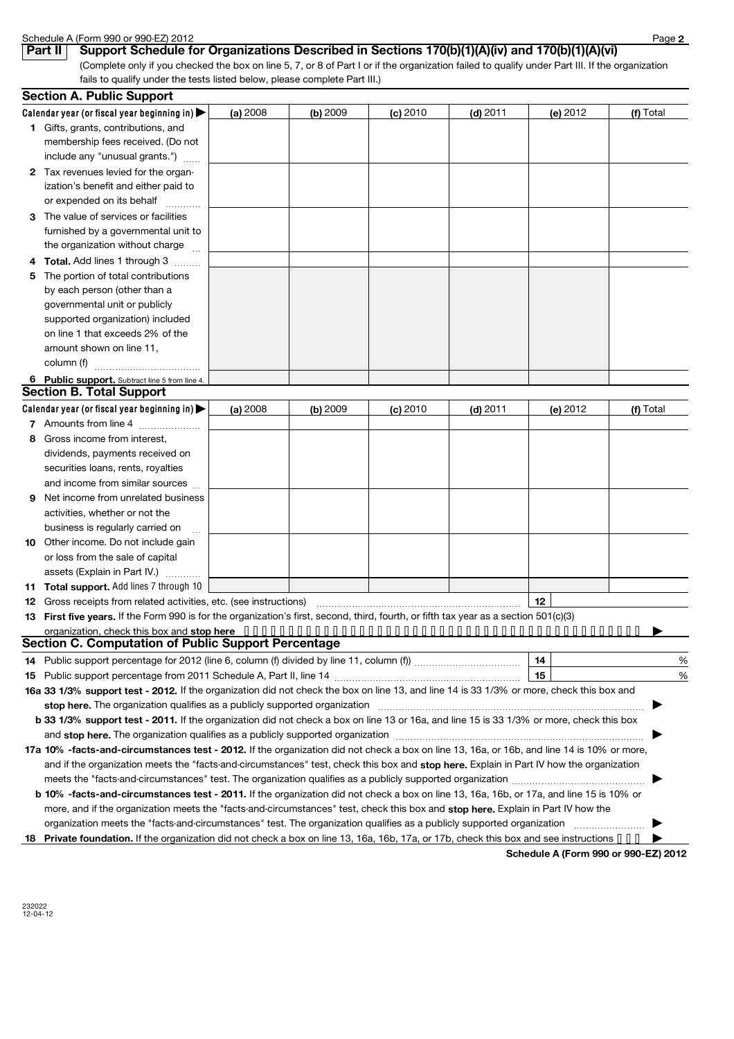|              | Schedule A (Form 990 or 990-EZ) 2012                                                                                                                                                                                           |          |            |            |            |                                      | Page 2    |
|--------------|--------------------------------------------------------------------------------------------------------------------------------------------------------------------------------------------------------------------------------|----------|------------|------------|------------|--------------------------------------|-----------|
|              | Support Schedule for Organizations Described in Sections 170(b)(1)(A)(iv) and 170(b)(1)(A)(vi)<br>Part II                                                                                                                      |          |            |            |            |                                      |           |
|              | (Complete only if you checked the box on line 5, 7, or 8 of Part I or if the organization failed to qualify under Part III. If the organization                                                                                |          |            |            |            |                                      |           |
|              | fails to qualify under the tests listed below, please complete Part III.)                                                                                                                                                      |          |            |            |            |                                      |           |
|              | <b>Section A. Public Support</b>                                                                                                                                                                                               |          |            |            |            |                                      |           |
|              | Calendar year (or fiscal year beginning in)                                                                                                                                                                                    | (a) 2008 | $(b)$ 2009 | $(c)$ 2010 | $(d)$ 2011 | (e) 2012                             | (f) Total |
|              | 1 Gifts, grants, contributions, and                                                                                                                                                                                            |          |            |            |            |                                      |           |
|              | membership fees received. (Do not                                                                                                                                                                                              |          |            |            |            |                                      |           |
|              | include any "unusual grants.")                                                                                                                                                                                                 |          |            |            |            |                                      |           |
| $\mathbf{2}$ | Tax revenues levied for the organ-                                                                                                                                                                                             |          |            |            |            |                                      |           |
|              | ization's benefit and either paid to                                                                                                                                                                                           |          |            |            |            |                                      |           |
|              | or expended on its behalf<br>.                                                                                                                                                                                                 |          |            |            |            |                                      |           |
| 3            | The value of services or facilities                                                                                                                                                                                            |          |            |            |            |                                      |           |
|              | furnished by a governmental unit to                                                                                                                                                                                            |          |            |            |            |                                      |           |
|              | the organization without charge                                                                                                                                                                                                |          |            |            |            |                                      |           |
| 4            | Total. Add lines 1 through 3                                                                                                                                                                                                   |          |            |            |            |                                      |           |
| 5            | The portion of total contributions                                                                                                                                                                                             |          |            |            |            |                                      |           |
|              | by each person (other than a                                                                                                                                                                                                   |          |            |            |            |                                      |           |
|              | governmental unit or publicly                                                                                                                                                                                                  |          |            |            |            |                                      |           |
|              | supported organization) included                                                                                                                                                                                               |          |            |            |            |                                      |           |
|              | on line 1 that exceeds 2% of the                                                                                                                                                                                               |          |            |            |            |                                      |           |
|              | amount shown on line 11,                                                                                                                                                                                                       |          |            |            |            |                                      |           |
|              | column (f)                                                                                                                                                                                                                     |          |            |            |            |                                      |           |
|              | 6 Public support. Subtract line 5 from line 4.                                                                                                                                                                                 |          |            |            |            |                                      |           |
|              | <b>Section B. Total Support</b>                                                                                                                                                                                                |          |            |            |            |                                      |           |
|              | Calendar year (or fiscal year beginning in) $\blacktriangleright$                                                                                                                                                              | (a) 2008 | $(b)$ 2009 | $(c)$ 2010 | $(d)$ 2011 | (e) 2012                             | (f) Total |
|              | 7 Amounts from line 4                                                                                                                                                                                                          |          |            |            |            |                                      |           |
| 8            | Gross income from interest,                                                                                                                                                                                                    |          |            |            |            |                                      |           |
|              | dividends, payments received on                                                                                                                                                                                                |          |            |            |            |                                      |           |
|              | securities loans, rents, royalties                                                                                                                                                                                             |          |            |            |            |                                      |           |
|              | and income from similar sources                                                                                                                                                                                                |          |            |            |            |                                      |           |
| 9            | Net income from unrelated business                                                                                                                                                                                             |          |            |            |            |                                      |           |
|              | activities, whether or not the                                                                                                                                                                                                 |          |            |            |            |                                      |           |
|              | business is regularly carried on<br>$\ddotsc$                                                                                                                                                                                  |          |            |            |            |                                      |           |
| 10           | Other income. Do not include gain                                                                                                                                                                                              |          |            |            |            |                                      |           |
|              | or loss from the sale of capital                                                                                                                                                                                               |          |            |            |            |                                      |           |
|              | assets (Explain in Part IV.)                                                                                                                                                                                                   |          |            |            |            |                                      |           |
|              | Total support. Add lines 7 through 10                                                                                                                                                                                          |          |            |            |            |                                      |           |
| 12           |                                                                                                                                                                                                                                |          |            |            |            | 12                                   |           |
| 13           | First five years. If the Form 990 is for the organization's first, second, third, fourth, or fifth tax year as a section 501(c)(3)                                                                                             |          |            |            |            |                                      |           |
|              |                                                                                                                                                                                                                                |          |            |            |            |                                      |           |
|              | Section C. Computation of Public Support Percentage                                                                                                                                                                            |          |            |            |            |                                      |           |
| 14           |                                                                                                                                                                                                                                |          |            |            |            | 14<br>15                             | %         |
| 15           |                                                                                                                                                                                                                                |          |            |            |            |                                      | %         |
|              | 16a 33 1/3% support test - 2012. If the organization did not check the box on line 13, and line 14 is 33 1/3% or more, check this box and                                                                                      |          |            |            |            |                                      |           |
|              | stop here. The organization qualifies as a publicly supported organization manufaction manufacture content of the content of the state of the state of the state of the state of the state of the state of the state of the st |          |            |            |            |                                      |           |
|              | b 33 1/3% support test - 2011. If the organization did not check a box on line 13 or 16a, and line 15 is 33 1/3% or more, check this box                                                                                       |          |            |            |            |                                      |           |
|              |                                                                                                                                                                                                                                |          |            |            |            |                                      |           |
|              | 17a 10% -facts-and-circumstances test - 2012. If the organization did not check a box on line 13, 16a, or 16b, and line 14 is 10% or more,                                                                                     |          |            |            |            |                                      |           |
|              | and if the organization meets the "facts-and-circumstances" test, check this box and stop here. Explain in Part IV how the organization                                                                                        |          |            |            |            |                                      |           |
|              |                                                                                                                                                                                                                                |          |            |            |            |                                      |           |
|              | b 10% -facts-and-circumstances test - 2011. If the organization did not check a box on line 13, 16a, 16b, or 17a, and line 15 is 10% or                                                                                        |          |            |            |            |                                      |           |
|              | more, and if the organization meets the "facts-and-circumstances" test, check this box and stop here. Explain in Part IV how the                                                                                               |          |            |            |            |                                      |           |
|              |                                                                                                                                                                                                                                |          |            |            |            |                                      |           |
| 18.          | <b>Private foundation.</b> If the organization did not check a box on line 13, 16a, 16b, 17a, or 17b, check this box and see instructions • • •                                                                                |          |            |            |            |                                      |           |
|              |                                                                                                                                                                                                                                |          |            |            |            | Schedule A (Form 990 or 990-EZ) 2012 |           |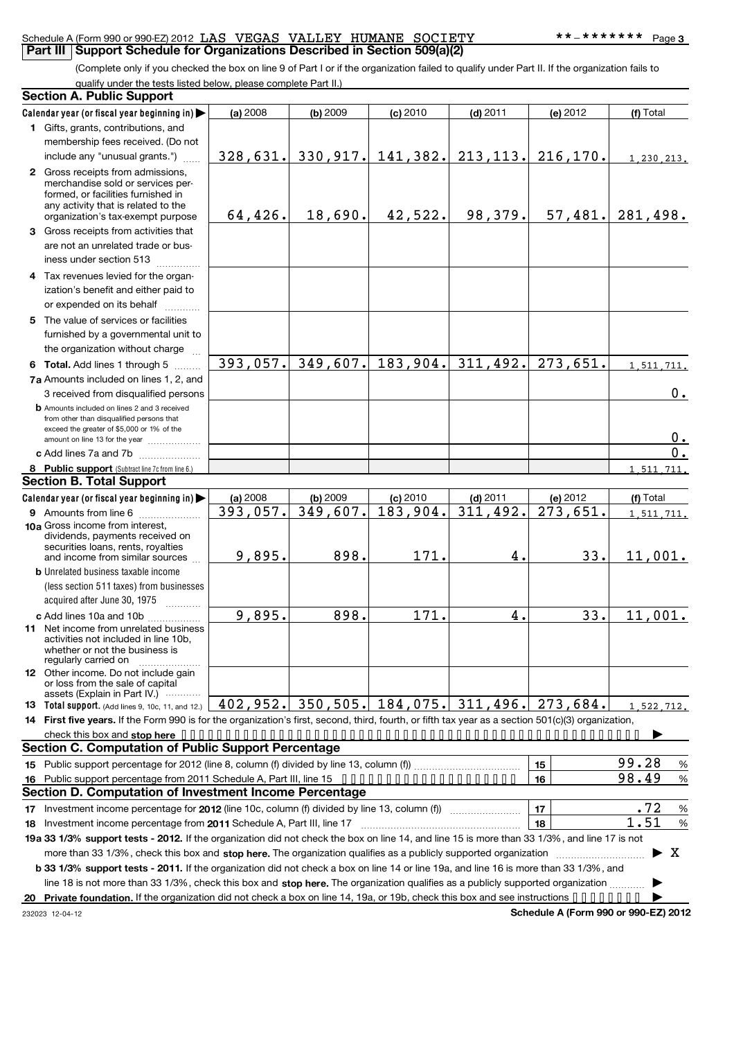### Schedule A (Form 990 or 990-EZ) 2012 LAS VEGAS VALLEY HUMANE SOCIETY \*\*\*\*\*\*\*\*\*\*\*\* Page **Part III** Support Schedule for Organizations Described in Section 509(a)(2)

(Complete only if you checked the box on line 9 of Part I or if the organization failed to qualify under Part II. If the organization fails to qualify under the tests listed below, please complete Part II.)

|    | quality arract the tests listed below, piease complete i<br><b>Section A. Public Support</b>                                                                                                                                                                             |          |                       |                    |                                                   |          |                    |
|----|--------------------------------------------------------------------------------------------------------------------------------------------------------------------------------------------------------------------------------------------------------------------------|----------|-----------------------|--------------------|---------------------------------------------------|----------|--------------------|
|    | Calendar year (or fiscal year beginning in)                                                                                                                                                                                                                              | (a) 2008 | $(b)$ 2009            | $(c)$ 2010         | $(d)$ 2011                                        | (e) 2012 | (f) Total          |
|    | 1 Gifts, grants, contributions, and                                                                                                                                                                                                                                      |          |                       |                    |                                                   |          |                    |
|    | membership fees received. (Do not                                                                                                                                                                                                                                        |          |                       |                    |                                                   |          |                    |
|    | include any "unusual grants.")                                                                                                                                                                                                                                           |          |                       |                    | 328, 631. 330, 917. 141, 382. 213, 113. 216, 170. |          | 1,230,213.         |
|    | 2 Gross receipts from admissions,<br>merchandise sold or services per-<br>formed, or facilities furnished in<br>any activity that is related to the<br>organization's tax-exempt purpose                                                                                 | 64,426.  | 18,690.               | 42,522.            | 98, 379.                                          |          | $57,481.$ 281,498. |
|    | 3 Gross receipts from activities that                                                                                                                                                                                                                                    |          |                       |                    |                                                   |          |                    |
|    | are not an unrelated trade or bus-<br>iness under section 513                                                                                                                                                                                                            |          |                       |                    |                                                   |          |                    |
|    | 4 Tax revenues levied for the organ-<br>ization's benefit and either paid to<br>or expended on its behalf                                                                                                                                                                |          |                       |                    |                                                   |          |                    |
|    | 5 The value of services or facilities<br>furnished by a governmental unit to<br>the organization without charge                                                                                                                                                          |          |                       |                    |                                                   |          |                    |
|    | 6 Total. Add lines 1 through 5                                                                                                                                                                                                                                           |          |                       |                    | $393,057$ . 349,607. 183,904. 311,492.            | 273,651. | 1,511,711.         |
|    | 7a Amounts included on lines 1, 2, and<br>3 received from disqualified persons                                                                                                                                                                                           |          |                       |                    |                                                   |          | 0.                 |
|    | <b>b</b> Amounts included on lines 2 and 3 received<br>from other than disqualified persons that<br>exceed the greater of \$5,000 or 1% of the<br>amount on line 13 for the year                                                                                         |          |                       |                    |                                                   |          | $0$ .              |
|    | c Add lines 7a and 7b                                                                                                                                                                                                                                                    |          |                       |                    |                                                   |          | 0.                 |
|    | 8 Public support (Subtract line 7c from line 6.)                                                                                                                                                                                                                         |          |                       |                    |                                                   |          | 1,511,711.         |
|    | <b>Section B. Total Support</b>                                                                                                                                                                                                                                          |          |                       |                    |                                                   |          |                    |
|    | Calendar year (or fiscal year beginning in)                                                                                                                                                                                                                              | (a) 2008 | $(b)$ 2009            | $(c)$ 2010         | $(d)$ 2011                                        | (e) 2012 | (f) Total          |
|    |                                                                                                                                                                                                                                                                          | 393,057. | $\overline{349,607}.$ | 183,904.           | 311,492.                                          | 273,651. | 1,511,711.         |
|    | 10a Gross income from interest,<br>dividends, payments received on<br>securities loans, rents, royalties<br>and income from similar sources                                                                                                                              | 9,895.   | 898.                  | 171.               | 4.                                                | 33.      | 11,001.            |
|    | <b>b</b> Unrelated business taxable income                                                                                                                                                                                                                               |          |                       |                    |                                                   |          |                    |
|    | (less section 511 taxes) from businesses<br>acquired after June 30, 1975                                                                                                                                                                                                 |          |                       |                    |                                                   |          |                    |
|    | c Add lines 10a and 10b                                                                                                                                                                                                                                                  | 9,895.   | 898.                  | $\overline{171}$ . | 4.                                                | 33.      | 11,001.            |
|    | 11 Net income from unrelated business<br>activities not included in line 10b,<br>whether or not the business is<br>regularly carried on                                                                                                                                  |          |                       |                    |                                                   |          |                    |
|    | <b>12</b> Other income. Do not include gain<br>or loss from the sale of capital                                                                                                                                                                                          |          |                       |                    |                                                   |          |                    |
|    | assets (Explain in Part IV.)<br><b>13 Total support.</b> (Add lines 9, 10c, 11, and 12.)                                                                                                                                                                                 |          |                       |                    | 402,952. 350,505. 184,075. 311,496.               | 273,684. | 1,522,712.         |
|    | 14 First five years. If the Form 990 is for the organization's first, second, third, fourth, or fifth tax year as a section 501(c)(3) organization,                                                                                                                      |          |                       |                    |                                                   |          |                    |
|    |                                                                                                                                                                                                                                                                          |          |                       |                    |                                                   |          |                    |
|    | <b>Section C. Computation of Public Support Percentage</b>                                                                                                                                                                                                               |          |                       |                    |                                                   |          |                    |
|    |                                                                                                                                                                                                                                                                          |          |                       |                    |                                                   | 15       | 99.28<br>%         |
| 16 | Public support percentage from 2011 Schedule A, Part III, line 15                                                                                                                                                                                                        |          |                       |                    |                                                   | 16       | 98.49<br>%         |
|    | Section D. Computation of Investment Income Percentage                                                                                                                                                                                                                   |          |                       |                    |                                                   |          |                    |
|    |                                                                                                                                                                                                                                                                          |          |                       |                    |                                                   | 17       | .72<br>$\%$        |
| 18 |                                                                                                                                                                                                                                                                          |          |                       |                    |                                                   | 18       | 1.51<br>$\%$       |
|    | 19a 33 1/3% support tests - 2012. If the organization did not check the box on line 14, and line 15 is more than 33 1/3%, and line 17 is not                                                                                                                             |          |                       |                    |                                                   |          |                    |
|    | more than 33 1/3%, check this box and stop here. The organization qualifies as a publicly supported organization                                                                                                                                                         |          |                       |                    |                                                   |          | X                  |
|    | b 33 1/3% support tests - 2011. If the organization did not check a box on line 14 or line 19a, and line 16 is more than 33 1/3%, and<br>line 18 is not more than 33 1/3%, check this box and stop here. The organization qualifies as a publicly supported organization |          |                       |                    |                                                   |          |                    |
|    |                                                                                                                                                                                                                                                                          |          |                       |                    |                                                   |          |                    |
|    |                                                                                                                                                                                                                                                                          |          |                       |                    |                                                   |          |                    |

232023 12-04-12

**Schedule A (Form 990 or 990-EZ) 2012**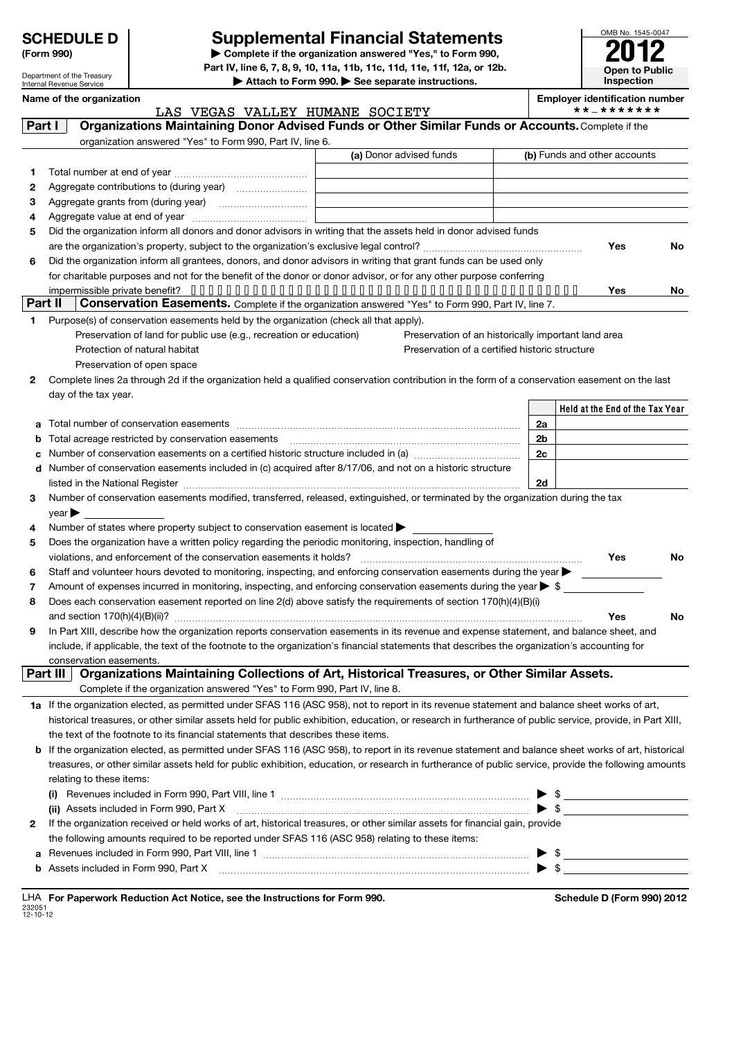| <b>SCHEDULE D</b> |
|-------------------|
|-------------------|

Department of the Treasury Internal Revenue Service

# **SCHEDULE D Supplemental Financial Statements**

**(Form 990) | Complete if the organization answered "Yes," to Form 990, Part IV, line 6, 7, 8, 9, 10, 11a, 11b, 11c, 11d, 11e, 11f, 12a, or 12b. | Attach to Form 990. | See separate instructions.**



|             | Name of the organization                                                                                                                                  | LAS VEGAS VALLEY HUMANE SOCIETY<br>Organizations Maintaining Donor Advised Funds or Other Similar Funds or Accounts. Complete if the<br>organization answered "Yes" to Form 990, Part IV, line 6.<br>(a) Donor advised funds<br>Did the organization inform all donors and donor advisors in writing that the assets held in donor advised funds<br>Did the organization inform all grantees, donors, and donor advisors in writing that grant funds can be used only<br>for charitable purposes and not for the benefit of the donor or donor advisor, or for any other purpose conferring<br>Conservation Easements. Complete if the organization answered "Yes" to Form 990, Part IV, line 7.<br>Purpose(s) of conservation easements held by the organization (check all that apply).<br>Preservation of land for public use (e.g., recreation or education)<br>Preservation of an historically important land area<br>Preservation of a certified historic structure<br>Preservation of open space<br>Complete lines 2a through 2d if the organization held a qualified conservation contribution in the form of a conservation easement on the last<br>Number of conservation easements on a certified historic structure included in (a) manufacture included in (a)<br>d Number of conservation easements included in (c) acquired after 8/17/06, and not on a historic structure<br>listed in the National Register [111] Marshall Register [11] Marshall Register [11] Marshall Register [11] Marshall Register [11] Marshall Register [11] Marshall Register [11] Marshall Register [11] Marshall Register [11]<br>Number of conservation easements modified, transferred, released, extinguished, or terminated by the organization during the tax<br>Number of states where property subject to conservation easement is located ><br>Does the organization have a written policy regarding the periodic monitoring, inspection, handling of<br>Staff and volunteer hours devoted to monitoring, inspecting, and enforcing conservation easements during the year<br>Amount of expenses incurred in monitoring, inspecting, and enforcing conservation easements during the year $\triangleright$ \$<br>Does each conservation easement reported on line 2(d) above satisfy the requirements of section 170(h)(4)(B)(i)<br>In Part XIII, describe how the organization reports conservation easements in its revenue and expense statement, and balance sheet, and<br>include, if applicable, the text of the footnote to the organization's financial statements that describes the organization's accounting for<br>Organizations Maintaining Collections of Art, Historical Treasures, or Other Similar Assets.<br>Complete if the organization answered "Yes" to Form 990, Part IV, line 8.<br>1a If the organization elected, as permitted under SFAS 116 (ASC 958), not to report in its revenue statement and balance sheet works of art, | <b>Employer identification number</b><br>**_******* |     |
|-------------|-----------------------------------------------------------------------------------------------------------------------------------------------------------|---------------------------------------------------------------------------------------------------------------------------------------------------------------------------------------------------------------------------------------------------------------------------------------------------------------------------------------------------------------------------------------------------------------------------------------------------------------------------------------------------------------------------------------------------------------------------------------------------------------------------------------------------------------------------------------------------------------------------------------------------------------------------------------------------------------------------------------------------------------------------------------------------------------------------------------------------------------------------------------------------------------------------------------------------------------------------------------------------------------------------------------------------------------------------------------------------------------------------------------------------------------------------------------------------------------------------------------------------------------------------------------------------------------------------------------------------------------------------------------------------------------------------------------------------------------------------------------------------------------------------------------------------------------------------------------------------------------------------------------------------------------------------------------------------------------------------------------------------------------------------------------------------------------------------------------------------------------------------------------------------------------------------------------------------------------------------------------------------------------------------------------------------------------------------------------------------------------------------------------------------------------------------------------------------------------------------------------------------------------------------------------------------------------------------------------------------------------------------------------------------------------------------------------------------------------------------------------------------------------------------------------------------------------------------------------------------------------------------------------------------------------------------------------------------------------------------------------------------------------------------------------------------------------------------------------------------------------|-----------------------------------------------------|-----|
| Part I      |                                                                                                                                                           |                                                                                                                                                                                                                                                                                                                                                                                                                                                                                                                                                                                                                                                                                                                                                                                                                                                                                                                                                                                                                                                                                                                                                                                                                                                                                                                                                                                                                                                                                                                                                                                                                                                                                                                                                                                                                                                                                                                                                                                                                                                                                                                                                                                                                                                                                                                                                                                                                                                                                                                                                                                                                                                                                                                                                                                                                                                                                                                                                               |                                                     |     |
|             |                                                                                                                                                           |                                                                                                                                                                                                                                                                                                                                                                                                                                                                                                                                                                                                                                                                                                                                                                                                                                                                                                                                                                                                                                                                                                                                                                                                                                                                                                                                                                                                                                                                                                                                                                                                                                                                                                                                                                                                                                                                                                                                                                                                                                                                                                                                                                                                                                                                                                                                                                                                                                                                                                                                                                                                                                                                                                                                                                                                                                                                                                                                                               |                                                     |     |
|             |                                                                                                                                                           |                                                                                                                                                                                                                                                                                                                                                                                                                                                                                                                                                                                                                                                                                                                                                                                                                                                                                                                                                                                                                                                                                                                                                                                                                                                                                                                                                                                                                                                                                                                                                                                                                                                                                                                                                                                                                                                                                                                                                                                                                                                                                                                                                                                                                                                                                                                                                                                                                                                                                                                                                                                                                                                                                                                                                                                                                                                                                                                                                               | (b) Funds and other accounts                        |     |
|             |                                                                                                                                                           |                                                                                                                                                                                                                                                                                                                                                                                                                                                                                                                                                                                                                                                                                                                                                                                                                                                                                                                                                                                                                                                                                                                                                                                                                                                                                                                                                                                                                                                                                                                                                                                                                                                                                                                                                                                                                                                                                                                                                                                                                                                                                                                                                                                                                                                                                                                                                                                                                                                                                                                                                                                                                                                                                                                                                                                                                                                                                                                                                               |                                                     |     |
| 1           |                                                                                                                                                           |                                                                                                                                                                                                                                                                                                                                                                                                                                                                                                                                                                                                                                                                                                                                                                                                                                                                                                                                                                                                                                                                                                                                                                                                                                                                                                                                                                                                                                                                                                                                                                                                                                                                                                                                                                                                                                                                                                                                                                                                                                                                                                                                                                                                                                                                                                                                                                                                                                                                                                                                                                                                                                                                                                                                                                                                                                                                                                                                                               |                                                     |     |
| 2           |                                                                                                                                                           |                                                                                                                                                                                                                                                                                                                                                                                                                                                                                                                                                                                                                                                                                                                                                                                                                                                                                                                                                                                                                                                                                                                                                                                                                                                                                                                                                                                                                                                                                                                                                                                                                                                                                                                                                                                                                                                                                                                                                                                                                                                                                                                                                                                                                                                                                                                                                                                                                                                                                                                                                                                                                                                                                                                                                                                                                                                                                                                                                               |                                                     |     |
| 3<br>4      |                                                                                                                                                           |                                                                                                                                                                                                                                                                                                                                                                                                                                                                                                                                                                                                                                                                                                                                                                                                                                                                                                                                                                                                                                                                                                                                                                                                                                                                                                                                                                                                                                                                                                                                                                                                                                                                                                                                                                                                                                                                                                                                                                                                                                                                                                                                                                                                                                                                                                                                                                                                                                                                                                                                                                                                                                                                                                                                                                                                                                                                                                                                                               |                                                     |     |
| 5           |                                                                                                                                                           |                                                                                                                                                                                                                                                                                                                                                                                                                                                                                                                                                                                                                                                                                                                                                                                                                                                                                                                                                                                                                                                                                                                                                                                                                                                                                                                                                                                                                                                                                                                                                                                                                                                                                                                                                                                                                                                                                                                                                                                                                                                                                                                                                                                                                                                                                                                                                                                                                                                                                                                                                                                                                                                                                                                                                                                                                                                                                                                                                               |                                                     |     |
|             |                                                                                                                                                           |                                                                                                                                                                                                                                                                                                                                                                                                                                                                                                                                                                                                                                                                                                                                                                                                                                                                                                                                                                                                                                                                                                                                                                                                                                                                                                                                                                                                                                                                                                                                                                                                                                                                                                                                                                                                                                                                                                                                                                                                                                                                                                                                                                                                                                                                                                                                                                                                                                                                                                                                                                                                                                                                                                                                                                                                                                                                                                                                                               | Yes                                                 | No  |
| 6           |                                                                                                                                                           |                                                                                                                                                                                                                                                                                                                                                                                                                                                                                                                                                                                                                                                                                                                                                                                                                                                                                                                                                                                                                                                                                                                                                                                                                                                                                                                                                                                                                                                                                                                                                                                                                                                                                                                                                                                                                                                                                                                                                                                                                                                                                                                                                                                                                                                                                                                                                                                                                                                                                                                                                                                                                                                                                                                                                                                                                                                                                                                                                               |                                                     |     |
|             |                                                                                                                                                           |                                                                                                                                                                                                                                                                                                                                                                                                                                                                                                                                                                                                                                                                                                                                                                                                                                                                                                                                                                                                                                                                                                                                                                                                                                                                                                                                                                                                                                                                                                                                                                                                                                                                                                                                                                                                                                                                                                                                                                                                                                                                                                                                                                                                                                                                                                                                                                                                                                                                                                                                                                                                                                                                                                                                                                                                                                                                                                                                                               |                                                     |     |
|             |                                                                                                                                                           |                                                                                                                                                                                                                                                                                                                                                                                                                                                                                                                                                                                                                                                                                                                                                                                                                                                                                                                                                                                                                                                                                                                                                                                                                                                                                                                                                                                                                                                                                                                                                                                                                                                                                                                                                                                                                                                                                                                                                                                                                                                                                                                                                                                                                                                                                                                                                                                                                                                                                                                                                                                                                                                                                                                                                                                                                                                                                                                                                               | Yes                                                 | No. |
| Part II     |                                                                                                                                                           |                                                                                                                                                                                                                                                                                                                                                                                                                                                                                                                                                                                                                                                                                                                                                                                                                                                                                                                                                                                                                                                                                                                                                                                                                                                                                                                                                                                                                                                                                                                                                                                                                                                                                                                                                                                                                                                                                                                                                                                                                                                                                                                                                                                                                                                                                                                                                                                                                                                                                                                                                                                                                                                                                                                                                                                                                                                                                                                                                               |                                                     |     |
| 1           |                                                                                                                                                           |                                                                                                                                                                                                                                                                                                                                                                                                                                                                                                                                                                                                                                                                                                                                                                                                                                                                                                                                                                                                                                                                                                                                                                                                                                                                                                                                                                                                                                                                                                                                                                                                                                                                                                                                                                                                                                                                                                                                                                                                                                                                                                                                                                                                                                                                                                                                                                                                                                                                                                                                                                                                                                                                                                                                                                                                                                                                                                                                                               |                                                     |     |
|             |                                                                                                                                                           |                                                                                                                                                                                                                                                                                                                                                                                                                                                                                                                                                                                                                                                                                                                                                                                                                                                                                                                                                                                                                                                                                                                                                                                                                                                                                                                                                                                                                                                                                                                                                                                                                                                                                                                                                                                                                                                                                                                                                                                                                                                                                                                                                                                                                                                                                                                                                                                                                                                                                                                                                                                                                                                                                                                                                                                                                                                                                                                                                               |                                                     |     |
|             | Protection of natural habitat                                                                                                                             |                                                                                                                                                                                                                                                                                                                                                                                                                                                                                                                                                                                                                                                                                                                                                                                                                                                                                                                                                                                                                                                                                                                                                                                                                                                                                                                                                                                                                                                                                                                                                                                                                                                                                                                                                                                                                                                                                                                                                                                                                                                                                                                                                                                                                                                                                                                                                                                                                                                                                                                                                                                                                                                                                                                                                                                                                                                                                                                                                               |                                                     |     |
|             |                                                                                                                                                           |                                                                                                                                                                                                                                                                                                                                                                                                                                                                                                                                                                                                                                                                                                                                                                                                                                                                                                                                                                                                                                                                                                                                                                                                                                                                                                                                                                                                                                                                                                                                                                                                                                                                                                                                                                                                                                                                                                                                                                                                                                                                                                                                                                                                                                                                                                                                                                                                                                                                                                                                                                                                                                                                                                                                                                                                                                                                                                                                                               |                                                     |     |
| 2           |                                                                                                                                                           |                                                                                                                                                                                                                                                                                                                                                                                                                                                                                                                                                                                                                                                                                                                                                                                                                                                                                                                                                                                                                                                                                                                                                                                                                                                                                                                                                                                                                                                                                                                                                                                                                                                                                                                                                                                                                                                                                                                                                                                                                                                                                                                                                                                                                                                                                                                                                                                                                                                                                                                                                                                                                                                                                                                                                                                                                                                                                                                                                               |                                                     |     |
|             | day of the tax year.                                                                                                                                      |                                                                                                                                                                                                                                                                                                                                                                                                                                                                                                                                                                                                                                                                                                                                                                                                                                                                                                                                                                                                                                                                                                                                                                                                                                                                                                                                                                                                                                                                                                                                                                                                                                                                                                                                                                                                                                                                                                                                                                                                                                                                                                                                                                                                                                                                                                                                                                                                                                                                                                                                                                                                                                                                                                                                                                                                                                                                                                                                                               |                                                     |     |
|             |                                                                                                                                                           |                                                                                                                                                                                                                                                                                                                                                                                                                                                                                                                                                                                                                                                                                                                                                                                                                                                                                                                                                                                                                                                                                                                                                                                                                                                                                                                                                                                                                                                                                                                                                                                                                                                                                                                                                                                                                                                                                                                                                                                                                                                                                                                                                                                                                                                                                                                                                                                                                                                                                                                                                                                                                                                                                                                                                                                                                                                                                                                                                               | Held at the End of the Tax Year                     |     |
|             |                                                                                                                                                           |                                                                                                                                                                                                                                                                                                                                                                                                                                                                                                                                                                                                                                                                                                                                                                                                                                                                                                                                                                                                                                                                                                                                                                                                                                                                                                                                                                                                                                                                                                                                                                                                                                                                                                                                                                                                                                                                                                                                                                                                                                                                                                                                                                                                                                                                                                                                                                                                                                                                                                                                                                                                                                                                                                                                                                                                                                                                                                                                                               | 2a                                                  |     |
| b           |                                                                                                                                                           |                                                                                                                                                                                                                                                                                                                                                                                                                                                                                                                                                                                                                                                                                                                                                                                                                                                                                                                                                                                                                                                                                                                                                                                                                                                                                                                                                                                                                                                                                                                                                                                                                                                                                                                                                                                                                                                                                                                                                                                                                                                                                                                                                                                                                                                                                                                                                                                                                                                                                                                                                                                                                                                                                                                                                                                                                                                                                                                                                               | 2b                                                  |     |
| c           |                                                                                                                                                           |                                                                                                                                                                                                                                                                                                                                                                                                                                                                                                                                                                                                                                                                                                                                                                                                                                                                                                                                                                                                                                                                                                                                                                                                                                                                                                                                                                                                                                                                                                                                                                                                                                                                                                                                                                                                                                                                                                                                                                                                                                                                                                                                                                                                                                                                                                                                                                                                                                                                                                                                                                                                                                                                                                                                                                                                                                                                                                                                                               | 2c                                                  |     |
|             |                                                                                                                                                           |                                                                                                                                                                                                                                                                                                                                                                                                                                                                                                                                                                                                                                                                                                                                                                                                                                                                                                                                                                                                                                                                                                                                                                                                                                                                                                                                                                                                                                                                                                                                                                                                                                                                                                                                                                                                                                                                                                                                                                                                                                                                                                                                                                                                                                                                                                                                                                                                                                                                                                                                                                                                                                                                                                                                                                                                                                                                                                                                                               |                                                     |     |
|             |                                                                                                                                                           |                                                                                                                                                                                                                                                                                                                                                                                                                                                                                                                                                                                                                                                                                                                                                                                                                                                                                                                                                                                                                                                                                                                                                                                                                                                                                                                                                                                                                                                                                                                                                                                                                                                                                                                                                                                                                                                                                                                                                                                                                                                                                                                                                                                                                                                                                                                                                                                                                                                                                                                                                                                                                                                                                                                                                                                                                                                                                                                                                               | 2d                                                  |     |
| 3<br>4<br>5 | year                                                                                                                                                      |                                                                                                                                                                                                                                                                                                                                                                                                                                                                                                                                                                                                                                                                                                                                                                                                                                                                                                                                                                                                                                                                                                                                                                                                                                                                                                                                                                                                                                                                                                                                                                                                                                                                                                                                                                                                                                                                                                                                                                                                                                                                                                                                                                                                                                                                                                                                                                                                                                                                                                                                                                                                                                                                                                                                                                                                                                                                                                                                                               |                                                     |     |
|             |                                                                                                                                                           |                                                                                                                                                                                                                                                                                                                                                                                                                                                                                                                                                                                                                                                                                                                                                                                                                                                                                                                                                                                                                                                                                                                                                                                                                                                                                                                                                                                                                                                                                                                                                                                                                                                                                                                                                                                                                                                                                                                                                                                                                                                                                                                                                                                                                                                                                                                                                                                                                                                                                                                                                                                                                                                                                                                                                                                                                                                                                                                                                               | Yes                                                 | No  |
| 6           |                                                                                                                                                           |                                                                                                                                                                                                                                                                                                                                                                                                                                                                                                                                                                                                                                                                                                                                                                                                                                                                                                                                                                                                                                                                                                                                                                                                                                                                                                                                                                                                                                                                                                                                                                                                                                                                                                                                                                                                                                                                                                                                                                                                                                                                                                                                                                                                                                                                                                                                                                                                                                                                                                                                                                                                                                                                                                                                                                                                                                                                                                                                                               |                                                     |     |
| 7           |                                                                                                                                                           |                                                                                                                                                                                                                                                                                                                                                                                                                                                                                                                                                                                                                                                                                                                                                                                                                                                                                                                                                                                                                                                                                                                                                                                                                                                                                                                                                                                                                                                                                                                                                                                                                                                                                                                                                                                                                                                                                                                                                                                                                                                                                                                                                                                                                                                                                                                                                                                                                                                                                                                                                                                                                                                                                                                                                                                                                                                                                                                                                               |                                                     |     |
| 8           |                                                                                                                                                           |                                                                                                                                                                                                                                                                                                                                                                                                                                                                                                                                                                                                                                                                                                                                                                                                                                                                                                                                                                                                                                                                                                                                                                                                                                                                                                                                                                                                                                                                                                                                                                                                                                                                                                                                                                                                                                                                                                                                                                                                                                                                                                                                                                                                                                                                                                                                                                                                                                                                                                                                                                                                                                                                                                                                                                                                                                                                                                                                                               |                                                     |     |
|             |                                                                                                                                                           |                                                                                                                                                                                                                                                                                                                                                                                                                                                                                                                                                                                                                                                                                                                                                                                                                                                                                                                                                                                                                                                                                                                                                                                                                                                                                                                                                                                                                                                                                                                                                                                                                                                                                                                                                                                                                                                                                                                                                                                                                                                                                                                                                                                                                                                                                                                                                                                                                                                                                                                                                                                                                                                                                                                                                                                                                                                                                                                                                               | Yes                                                 | No  |
| 9           | conservation easements.                                                                                                                                   |                                                                                                                                                                                                                                                                                                                                                                                                                                                                                                                                                                                                                                                                                                                                                                                                                                                                                                                                                                                                                                                                                                                                                                                                                                                                                                                                                                                                                                                                                                                                                                                                                                                                                                                                                                                                                                                                                                                                                                                                                                                                                                                                                                                                                                                                                                                                                                                                                                                                                                                                                                                                                                                                                                                                                                                                                                                                                                                                                               |                                                     |     |
|             | Part III                                                                                                                                                  |                                                                                                                                                                                                                                                                                                                                                                                                                                                                                                                                                                                                                                                                                                                                                                                                                                                                                                                                                                                                                                                                                                                                                                                                                                                                                                                                                                                                                                                                                                                                                                                                                                                                                                                                                                                                                                                                                                                                                                                                                                                                                                                                                                                                                                                                                                                                                                                                                                                                                                                                                                                                                                                                                                                                                                                                                                                                                                                                                               |                                                     |     |
|             |                                                                                                                                                           |                                                                                                                                                                                                                                                                                                                                                                                                                                                                                                                                                                                                                                                                                                                                                                                                                                                                                                                                                                                                                                                                                                                                                                                                                                                                                                                                                                                                                                                                                                                                                                                                                                                                                                                                                                                                                                                                                                                                                                                                                                                                                                                                                                                                                                                                                                                                                                                                                                                                                                                                                                                                                                                                                                                                                                                                                                                                                                                                                               |                                                     |     |
|             | historical treasures, or other similar assets held for public exhibition, education, or research in furtherance of public service, provide, in Part XIII, |                                                                                                                                                                                                                                                                                                                                                                                                                                                                                                                                                                                                                                                                                                                                                                                                                                                                                                                                                                                                                                                                                                                                                                                                                                                                                                                                                                                                                                                                                                                                                                                                                                                                                                                                                                                                                                                                                                                                                                                                                                                                                                                                                                                                                                                                                                                                                                                                                                                                                                                                                                                                                                                                                                                                                                                                                                                                                                                                                               |                                                     |     |
|             | the text of the footnote to its financial statements that describes these items.                                                                          |                                                                                                                                                                                                                                                                                                                                                                                                                                                                                                                                                                                                                                                                                                                                                                                                                                                                                                                                                                                                                                                                                                                                                                                                                                                                                                                                                                                                                                                                                                                                                                                                                                                                                                                                                                                                                                                                                                                                                                                                                                                                                                                                                                                                                                                                                                                                                                                                                                                                                                                                                                                                                                                                                                                                                                                                                                                                                                                                                               |                                                     |     |
|             | b If the organization elected, as permitted under SFAS 116 (ASC 958), to report in its revenue statement and balance sheet works of art, historical       |                                                                                                                                                                                                                                                                                                                                                                                                                                                                                                                                                                                                                                                                                                                                                                                                                                                                                                                                                                                                                                                                                                                                                                                                                                                                                                                                                                                                                                                                                                                                                                                                                                                                                                                                                                                                                                                                                                                                                                                                                                                                                                                                                                                                                                                                                                                                                                                                                                                                                                                                                                                                                                                                                                                                                                                                                                                                                                                                                               |                                                     |     |
|             | treasures, or other similar assets held for public exhibition, education, or research in furtherance of public service, provide the following amounts     |                                                                                                                                                                                                                                                                                                                                                                                                                                                                                                                                                                                                                                                                                                                                                                                                                                                                                                                                                                                                                                                                                                                                                                                                                                                                                                                                                                                                                                                                                                                                                                                                                                                                                                                                                                                                                                                                                                                                                                                                                                                                                                                                                                                                                                                                                                                                                                                                                                                                                                                                                                                                                                                                                                                                                                                                                                                                                                                                                               |                                                     |     |
|             | relating to these items:                                                                                                                                  |                                                                                                                                                                                                                                                                                                                                                                                                                                                                                                                                                                                                                                                                                                                                                                                                                                                                                                                                                                                                                                                                                                                                                                                                                                                                                                                                                                                                                                                                                                                                                                                                                                                                                                                                                                                                                                                                                                                                                                                                                                                                                                                                                                                                                                                                                                                                                                                                                                                                                                                                                                                                                                                                                                                                                                                                                                                                                                                                                               |                                                     |     |
|             |                                                                                                                                                           |                                                                                                                                                                                                                                                                                                                                                                                                                                                                                                                                                                                                                                                                                                                                                                                                                                                                                                                                                                                                                                                                                                                                                                                                                                                                                                                                                                                                                                                                                                                                                                                                                                                                                                                                                                                                                                                                                                                                                                                                                                                                                                                                                                                                                                                                                                                                                                                                                                                                                                                                                                                                                                                                                                                                                                                                                                                                                                                                                               |                                                     |     |
|             | (ii) Assets included in Form 990, Part X                                                                                                                  |                                                                                                                                                                                                                                                                                                                                                                                                                                                                                                                                                                                                                                                                                                                                                                                                                                                                                                                                                                                                                                                                                                                                                                                                                                                                                                                                                                                                                                                                                                                                                                                                                                                                                                                                                                                                                                                                                                                                                                                                                                                                                                                                                                                                                                                                                                                                                                                                                                                                                                                                                                                                                                                                                                                                                                                                                                                                                                                                                               | $\triangleright$ \$                                 |     |
| 2           | If the organization received or held works of art, historical treasures, or other similar assets for financial gain, provide                              |                                                                                                                                                                                                                                                                                                                                                                                                                                                                                                                                                                                                                                                                                                                                                                                                                                                                                                                                                                                                                                                                                                                                                                                                                                                                                                                                                                                                                                                                                                                                                                                                                                                                                                                                                                                                                                                                                                                                                                                                                                                                                                                                                                                                                                                                                                                                                                                                                                                                                                                                                                                                                                                                                                                                                                                                                                                                                                                                                               |                                                     |     |
|             | the following amounts required to be reported under SFAS 116 (ASC 958) relating to these items:                                                           |                                                                                                                                                                                                                                                                                                                                                                                                                                                                                                                                                                                                                                                                                                                                                                                                                                                                                                                                                                                                                                                                                                                                                                                                                                                                                                                                                                                                                                                                                                                                                                                                                                                                                                                                                                                                                                                                                                                                                                                                                                                                                                                                                                                                                                                                                                                                                                                                                                                                                                                                                                                                                                                                                                                                                                                                                                                                                                                                                               |                                                     |     |
| a           |                                                                                                                                                           |                                                                                                                                                                                                                                                                                                                                                                                                                                                                                                                                                                                                                                                                                                                                                                                                                                                                                                                                                                                                                                                                                                                                                                                                                                                                                                                                                                                                                                                                                                                                                                                                                                                                                                                                                                                                                                                                                                                                                                                                                                                                                                                                                                                                                                                                                                                                                                                                                                                                                                                                                                                                                                                                                                                                                                                                                                                                                                                                                               |                                                     |     |
| b           | Assets included in Form 990, Part X                                                                                                                       |                                                                                                                                                                                                                                                                                                                                                                                                                                                                                                                                                                                                                                                                                                                                                                                                                                                                                                                                                                                                                                                                                                                                                                                                                                                                                                                                                                                                                                                                                                                                                                                                                                                                                                                                                                                                                                                                                                                                                                                                                                                                                                                                                                                                                                                                                                                                                                                                                                                                                                                                                                                                                                                                                                                                                                                                                                                                                                                                                               |                                                     |     |
|             |                                                                                                                                                           |                                                                                                                                                                                                                                                                                                                                                                                                                                                                                                                                                                                                                                                                                                                                                                                                                                                                                                                                                                                                                                                                                                                                                                                                                                                                                                                                                                                                                                                                                                                                                                                                                                                                                                                                                                                                                                                                                                                                                                                                                                                                                                                                                                                                                                                                                                                                                                                                                                                                                                                                                                                                                                                                                                                                                                                                                                                                                                                                                               |                                                     |     |

232051 12-10-12 LHA For Paperwork Reduction Act Notice, see the Instructions for Form 990. Shedule D (Form 990) 2012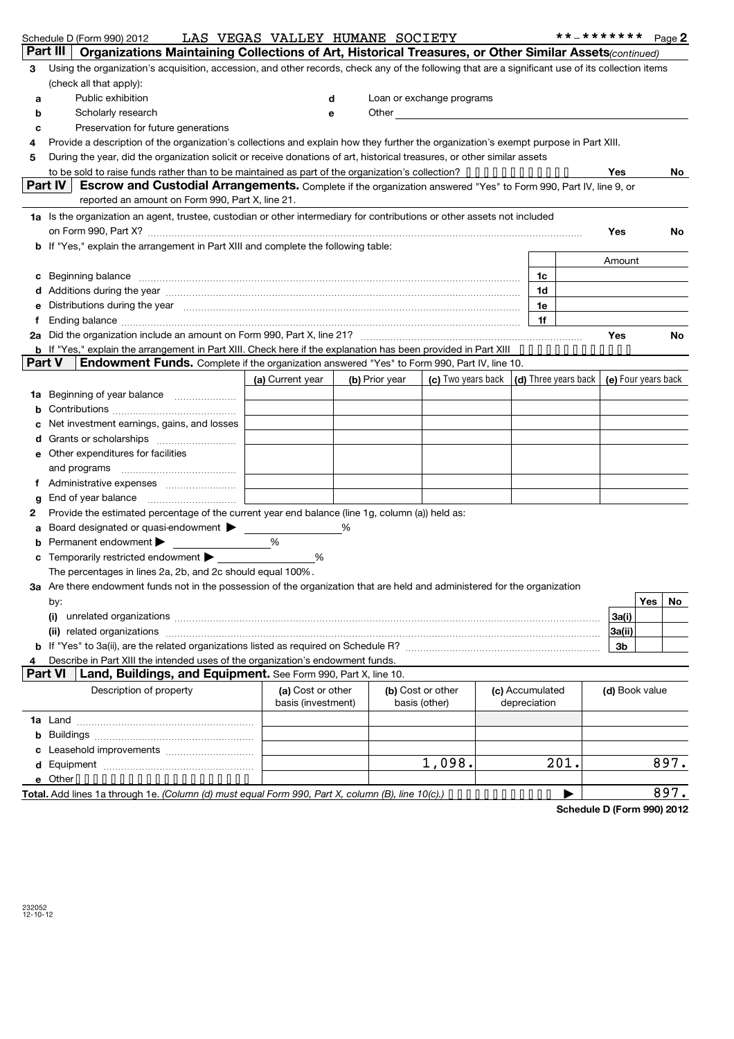|               | Schedule D (Form 990) 2012                                                                                                                                                                                                     |  | LAS VEGAS VALLEY HUMANE SOCIETY |   |                |                                                                                                                                                                                                                                |                 | **_*******     | Page 2    |
|---------------|--------------------------------------------------------------------------------------------------------------------------------------------------------------------------------------------------------------------------------|--|---------------------------------|---|----------------|--------------------------------------------------------------------------------------------------------------------------------------------------------------------------------------------------------------------------------|-----------------|----------------|-----------|
|               | Part III<br>Organizations Maintaining Collections of Art, Historical Treasures, or Other Similar Assets(continued)                                                                                                             |  |                                 |   |                |                                                                                                                                                                                                                                |                 |                |           |
| 3             | Using the organization's acquisition, accession, and other records, check any of the following that are a significant use of its collection items                                                                              |  |                                 |   |                |                                                                                                                                                                                                                                |                 |                |           |
|               | (check all that apply):                                                                                                                                                                                                        |  |                                 |   |                |                                                                                                                                                                                                                                |                 |                |           |
| a             | Public exhibition                                                                                                                                                                                                              |  |                                 | d |                | Loan or exchange programs                                                                                                                                                                                                      |                 |                |           |
| b             | Scholarly research                                                                                                                                                                                                             |  |                                 | е |                | Other the contract of the contract of the contract of the contract of the contract of the contract of the contract of the contract of the contract of the contract of the contract of the contract of the contract of the cont |                 |                |           |
| c             | Preservation for future generations                                                                                                                                                                                            |  |                                 |   |                |                                                                                                                                                                                                                                |                 |                |           |
| 4             | Provide a description of the organization's collections and explain how they further the organization's exempt purpose in Part XIII.                                                                                           |  |                                 |   |                |                                                                                                                                                                                                                                |                 |                |           |
| 5             | During the year, did the organization solicit or receive donations of art, historical treasures, or other similar assets                                                                                                       |  |                                 |   |                |                                                                                                                                                                                                                                |                 |                |           |
|               | to be sold to raise funds rather than to be maintained as part of the organization's collection? $\cdots$                                                                                                                      |  |                                 |   |                |                                                                                                                                                                                                                                |                 | Yes            | No.       |
|               | Part IV<br>Escrow and Custodial Arrangements. Complete if the organization answered "Yes" to Form 990, Part IV, line 9, or                                                                                                     |  |                                 |   |                |                                                                                                                                                                                                                                |                 |                |           |
|               | reported an amount on Form 990, Part X, line 21.                                                                                                                                                                               |  |                                 |   |                |                                                                                                                                                                                                                                |                 |                |           |
|               | 1a Is the organization an agent, trustee, custodian or other intermediary for contributions or other assets not included                                                                                                       |  |                                 |   |                |                                                                                                                                                                                                                                |                 |                |           |
|               | on Form 990, Part X? [11] matter and the contract of the contract of the contract of the contract of the contract of the contract of the contract of the contract of the contract of the contract of the contract of the contr |  |                                 |   |                |                                                                                                                                                                                                                                |                 | Yes            | <b>No</b> |
|               | <b>b</b> If "Yes," explain the arrangement in Part XIII and complete the following table:                                                                                                                                      |  |                                 |   |                |                                                                                                                                                                                                                                |                 |                |           |
|               |                                                                                                                                                                                                                                |  |                                 |   |                |                                                                                                                                                                                                                                |                 | Amount         |           |
| c             | Beginning balance material continuum contracts and a series of the contract of the contract of the contract of                                                                                                                 |  |                                 |   |                |                                                                                                                                                                                                                                | 1c              |                |           |
|               | Additions during the year manufactured and an account of the state of the state of the state of the state of the state of the state of the state of the state of the state of the state of the state of the state of the state |  |                                 |   |                |                                                                                                                                                                                                                                | 1d              |                |           |
|               | Distributions during the year measurements are all the state of the state of the state of the state of the state of the state of the state of the state of the state of the state of the state of the state of the state of th |  |                                 |   |                |                                                                                                                                                                                                                                | 1e              |                |           |
|               |                                                                                                                                                                                                                                |  |                                 |   |                |                                                                                                                                                                                                                                | 1f              |                |           |
| 2a            | Did the organization include an amount on Form 990, Part X, line 21? [11] manufacture in the organization include an amount on Form 990, Part X, line 21? [11] manufacture in the organization include an amount of the organi |  |                                 |   |                |                                                                                                                                                                                                                                |                 | Yes            | No.       |
| <b>Part V</b> | b If "Yes," explain the arrangement in Part XIII. Check here if the explanation has been provided in Part XIII<br>Endowment Funds. Complete if the organization answered "Yes" to Form 990, Part IV, line 10.                  |  |                                 |   |                |                                                                                                                                                                                                                                |                 |                |           |
|               |                                                                                                                                                                                                                                |  |                                 |   |                |                                                                                                                                                                                                                                |                 |                |           |
|               |                                                                                                                                                                                                                                |  | (a) Current year                |   | (b) Prior year | (c) Two years back $\vert$ (d) Three years back $\vert$ (e) Four years back                                                                                                                                                    |                 |                |           |
| 1a            |                                                                                                                                                                                                                                |  |                                 |   |                |                                                                                                                                                                                                                                |                 |                |           |
| b             |                                                                                                                                                                                                                                |  |                                 |   |                |                                                                                                                                                                                                                                |                 |                |           |
| c             | Net investment earnings, gains, and losses                                                                                                                                                                                     |  |                                 |   |                |                                                                                                                                                                                                                                |                 |                |           |
|               | Other expenditures for facilities                                                                                                                                                                                              |  |                                 |   |                |                                                                                                                                                                                                                                |                 |                |           |
| е             |                                                                                                                                                                                                                                |  |                                 |   |                |                                                                                                                                                                                                                                |                 |                |           |
| f             |                                                                                                                                                                                                                                |  |                                 |   |                |                                                                                                                                                                                                                                |                 |                |           |
|               |                                                                                                                                                                                                                                |  |                                 |   |                |                                                                                                                                                                                                                                |                 |                |           |
| g<br>2        | Provide the estimated percentage of the current year end balance (line 1g, column (a)) held as:                                                                                                                                |  |                                 |   |                |                                                                                                                                                                                                                                |                 |                |           |
| a             | Board designated or quasi-endowment > _____                                                                                                                                                                                    |  |                                 |   |                |                                                                                                                                                                                                                                |                 |                |           |
| b             | Permanent endowment                                                                                                                                                                                                            |  | %                               |   |                |                                                                                                                                                                                                                                |                 |                |           |
|               | Temporarily restricted endowment                                                                                                                                                                                               |  | %                               |   |                |                                                                                                                                                                                                                                |                 |                |           |
|               | The percentages in lines 2a, 2b, and 2c should equal 100%.                                                                                                                                                                     |  |                                 |   |                |                                                                                                                                                                                                                                |                 |                |           |
|               | 3a Are there endowment funds not in the possession of the organization that are held and administered for the organization                                                                                                     |  |                                 |   |                |                                                                                                                                                                                                                                |                 |                |           |
|               | by:                                                                                                                                                                                                                            |  |                                 |   |                |                                                                                                                                                                                                                                |                 |                | Yes<br>No |
|               | (i)                                                                                                                                                                                                                            |  |                                 |   |                |                                                                                                                                                                                                                                |                 | 3a(i)          |           |
|               |                                                                                                                                                                                                                                |  |                                 |   |                |                                                                                                                                                                                                                                |                 | 3a(ii)         |           |
|               |                                                                                                                                                                                                                                |  |                                 |   |                |                                                                                                                                                                                                                                |                 | 3b             |           |
| 4             | Describe in Part XIII the intended uses of the organization's endowment funds.                                                                                                                                                 |  |                                 |   |                |                                                                                                                                                                                                                                |                 |                |           |
|               | <b>Part VI</b><br>Land, Buildings, and Equipment. See Form 990, Part X, line 10.                                                                                                                                               |  |                                 |   |                |                                                                                                                                                                                                                                |                 |                |           |
|               | Description of property                                                                                                                                                                                                        |  | (a) Cost or other               |   |                | (b) Cost or other                                                                                                                                                                                                              | (c) Accumulated | (d) Book value |           |
|               |                                                                                                                                                                                                                                |  | basis (investment)              |   |                | basis (other)                                                                                                                                                                                                                  | depreciation    |                |           |
|               |                                                                                                                                                                                                                                |  |                                 |   |                |                                                                                                                                                                                                                                |                 |                |           |
| b             |                                                                                                                                                                                                                                |  |                                 |   |                |                                                                                                                                                                                                                                |                 |                |           |
| c             |                                                                                                                                                                                                                                |  |                                 |   |                |                                                                                                                                                                                                                                |                 |                |           |
| d             |                                                                                                                                                                                                                                |  |                                 |   |                | 1,098.                                                                                                                                                                                                                         | 201.            |                | 897.      |
|               | e Other                                                                                                                                                                                                                        |  |                                 |   |                |                                                                                                                                                                                                                                |                 |                |           |

**Total.** *(Column (d) must equal Form 990, Part X, column (B), line 10(c).)* Add lines 1a through 1e. | •••••••••••• 897.**Schedule D (Form 990) 2012**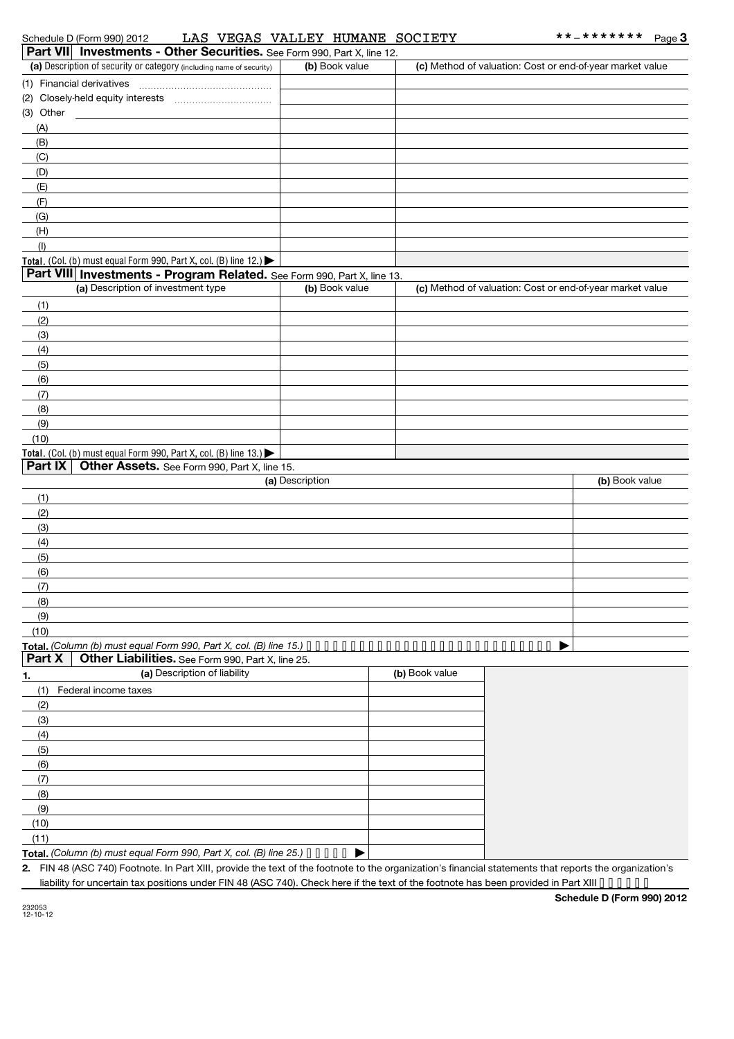| Part VII Investments - Other Securities. See Form 990, Part X, line 12.                                                                           |                 |                |                                                           |                |
|---------------------------------------------------------------------------------------------------------------------------------------------------|-----------------|----------------|-----------------------------------------------------------|----------------|
| (a) Description of security or category (including name of security)                                                                              | (b) Book value  |                | (c) Method of valuation: Cost or end-of-year market value |                |
|                                                                                                                                                   |                 |                |                                                           |                |
|                                                                                                                                                   |                 |                |                                                           |                |
| (3) Other                                                                                                                                         |                 |                |                                                           |                |
| (A)                                                                                                                                               |                 |                |                                                           |                |
| (B)                                                                                                                                               |                 |                |                                                           |                |
| (C)                                                                                                                                               |                 |                |                                                           |                |
| (D)                                                                                                                                               |                 |                |                                                           |                |
| (E)                                                                                                                                               |                 |                |                                                           |                |
| (F)                                                                                                                                               |                 |                |                                                           |                |
| (G)                                                                                                                                               |                 |                |                                                           |                |
| (H)                                                                                                                                               |                 |                |                                                           |                |
| (1)                                                                                                                                               |                 |                |                                                           |                |
| Total. (Col. (b) must equal Form 990, Part X, col. (B) line 12.)                                                                                  |                 |                |                                                           |                |
| Part VIII Investments - Program Related. See Form 990, Part X, line 13.                                                                           |                 |                |                                                           |                |
| (a) Description of investment type                                                                                                                | (b) Book value  |                | (c) Method of valuation: Cost or end-of-year market value |                |
|                                                                                                                                                   |                 |                |                                                           |                |
| (1)                                                                                                                                               |                 |                |                                                           |                |
| (2)                                                                                                                                               |                 |                |                                                           |                |
| (3)                                                                                                                                               |                 |                |                                                           |                |
| (4)                                                                                                                                               |                 |                |                                                           |                |
| (5)                                                                                                                                               |                 |                |                                                           |                |
| (6)                                                                                                                                               |                 |                |                                                           |                |
| (7)                                                                                                                                               |                 |                |                                                           |                |
| (8)                                                                                                                                               |                 |                |                                                           |                |
| (9)                                                                                                                                               |                 |                |                                                           |                |
| (10)                                                                                                                                              |                 |                |                                                           |                |
| Total. (Col. (b) must equal Form 990, Part X, col. (B) line $13.$ )                                                                               |                 |                |                                                           |                |
| Other Assets. See Form 990, Part X, line 15.<br>Part IX                                                                                           |                 |                |                                                           |                |
|                                                                                                                                                   | (a) Description |                |                                                           | (b) Book value |
| (1)                                                                                                                                               |                 |                |                                                           |                |
| (2)                                                                                                                                               |                 |                |                                                           |                |
| (3)                                                                                                                                               |                 |                |                                                           |                |
| (4)                                                                                                                                               |                 |                |                                                           |                |
| (5)                                                                                                                                               |                 |                |                                                           |                |
| (6)                                                                                                                                               |                 |                |                                                           |                |
| (7)                                                                                                                                               |                 |                |                                                           |                |
| (8)                                                                                                                                               |                 |                |                                                           |                |
| (9)                                                                                                                                               |                 |                |                                                           |                |
| (10)                                                                                                                                              |                 |                |                                                           |                |
| Total. (Column (b) must equal Form 990, Part X, col. (B) line 15.) $\cdots \cdots \cdots \cdots \cdots \cdots \cdots \cdots \cdots \cdots \cdots$ |                 |                |                                                           |                |
| Part X<br>Other Liabilities. See Form 990, Part X, line 25.                                                                                       |                 |                |                                                           |                |
| (a) Description of liability<br><u>1.</u>                                                                                                         |                 | (b) Book value |                                                           |                |
| Federal income taxes<br>(1)                                                                                                                       |                 |                |                                                           |                |
| (2)                                                                                                                                               |                 |                |                                                           |                |
| (3)                                                                                                                                               |                 |                |                                                           |                |
| (4)                                                                                                                                               |                 |                |                                                           |                |
| (5)                                                                                                                                               |                 |                |                                                           |                |
| (6)                                                                                                                                               |                 |                |                                                           |                |
| (7)                                                                                                                                               |                 |                |                                                           |                |
| (8)                                                                                                                                               |                 |                |                                                           |                |
| (9)                                                                                                                                               |                 |                |                                                           |                |
| (10)                                                                                                                                              |                 |                |                                                           |                |
| (11)                                                                                                                                              |                 |                |                                                           |                |
| Total. (Column (b) must equal Form 990, Part X, col. (B) line 25.) $\bullet \bullet \bullet \bullet \bullet$                                      | ▶               |                |                                                           |                |

**2.** FIN 48 (ASC 740) Footnote. In Part XIII, provide the text of the footnote to the organization's financial statements that reports the organization's liability for uncertain tax positions under FIN 48 (ASC 740). Check here if the text of the footnote has been provided in Part XIII ••••••

**Schedule D (Form 990) 2012**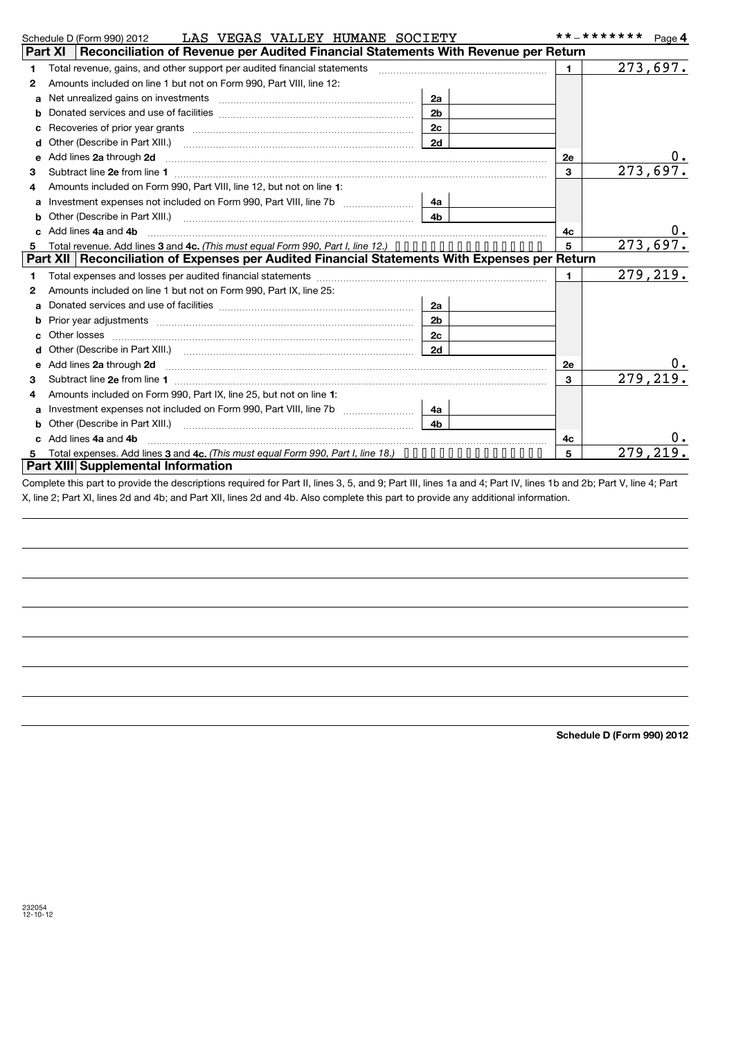|   | LAS VEGAS VALLEY HUMANE SOCIETY<br>Schedule D (Form 990) 2012                                                                                                                                                                        |                | **_*******   | Page 4   |
|---|--------------------------------------------------------------------------------------------------------------------------------------------------------------------------------------------------------------------------------------|----------------|--------------|----------|
|   | Reconciliation of Revenue per Audited Financial Statements With Revenue per Return<br><b>Part XI</b>                                                                                                                                 |                |              |          |
| 1 | Total revenue, gains, and other support per audited financial statements                                                                                                                                                             |                | $\mathbf{1}$ | 273,697. |
| 2 | Amounts included on line 1 but not on Form 990, Part VIII, line 12:                                                                                                                                                                  |                |              |          |
| a |                                                                                                                                                                                                                                      | 2a             |              |          |
| b |                                                                                                                                                                                                                                      | 2 <sub>b</sub> |              |          |
| с |                                                                                                                                                                                                                                      | 2c             |              |          |
| d |                                                                                                                                                                                                                                      | 2d             |              |          |
| e | Add lines 2a through 2d                                                                                                                                                                                                              |                | 2e           | υ.       |
| 3 |                                                                                                                                                                                                                                      |                | 3            | 273,697. |
| 4 | Amounts included on Form 990, Part VIII, line 12, but not on line 1:                                                                                                                                                                 |                |              |          |
| a |                                                                                                                                                                                                                                      | 4a             |              |          |
|   | Other (Describe in Part XIII.) <b>Construction Contract Construction</b> Chemistry Chemistry Chemistry Chemistry Chemistry                                                                                                           | 4 <sub>b</sub> |              |          |
|   | Add lines 4a and 4b                                                                                                                                                                                                                  |                | 4с           | $0$ .    |
| 5 | Total revenue. Add lines 3 and 4c. (This must equal Form 990, Part I, line 12.)                                                                                                                                                      |                | 5            | 273,697. |
|   | Part XII   Reconciliation of Expenses per Audited Financial Statements With Expenses per Return                                                                                                                                      |                |              |          |
| 1 |                                                                                                                                                                                                                                      |                | $\mathbf{1}$ | 279,219. |
| 2 | Amounts included on line 1 but not on Form 990, Part IX, line 25:                                                                                                                                                                    |                |              |          |
| a |                                                                                                                                                                                                                                      | <b>2a</b>      |              |          |
| b |                                                                                                                                                                                                                                      | 2 <sub>b</sub> |              |          |
| с |                                                                                                                                                                                                                                      | 2c             |              |          |
| d |                                                                                                                                                                                                                                      | 2d             |              |          |
| e | Add lines 2a through 2d <b>contained a contained a contained a contained a contained a contained a contained a contained a contact a contact a contact a contact a contact a contact a contact a contact a contact a contact a c</b> |                | 2e           | υ.       |
| 3 |                                                                                                                                                                                                                                      |                | $\mathbf{3}$ | 279,219  |
| 4 | Amounts included on Form 990, Part IX, line 25, but not on line 1:                                                                                                                                                                   |                |              |          |
| a |                                                                                                                                                                                                                                      | 4a             |              |          |
|   |                                                                                                                                                                                                                                      | 4 <sub>b</sub> |              |          |
|   | Add lines 4a and 4b                                                                                                                                                                                                                  |                | 4с           |          |
| 5 | Total expenses. Add lines 3 and 4c, (This must equal Form 990, Part I, line 18.) $\cdots \cdots \cdots \cdots \cdots$                                                                                                                |                | 5            | 279.21   |
|   | Part XIII Supplemental Information                                                                                                                                                                                                   |                |              |          |

Complete this part to provide the descriptions required for Part II, lines 3, 5, and 9; Part III, lines 1a and 4; Part IV, lines 1b and 2b; Part V, line 4; Part X, line 2; Part XI, lines 2d and 4b; and Part XII, lines 2d and 4b. Also complete this part to provide any additional information.

**Schedule D (Form 990) 2012**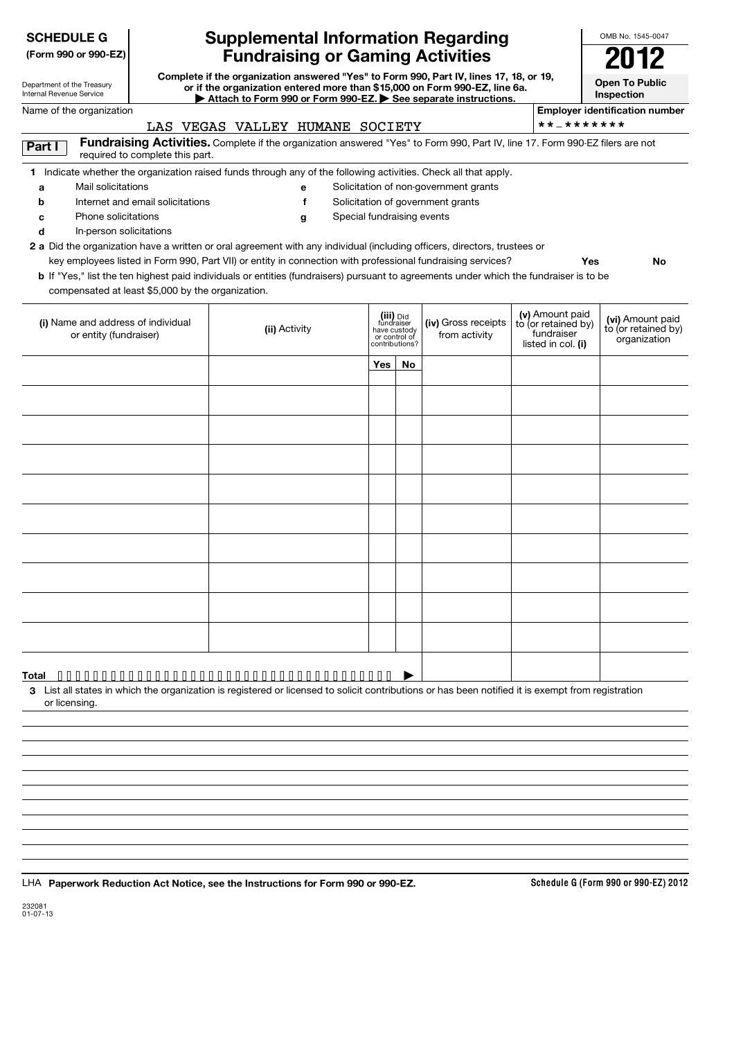| <b>Fundraising or Gaming Activities</b><br>(Form 990 or 990-EZ)<br>Complete if the organization answered "Yes" to Form 990, Part IV, lines 17, 18, or 19,<br>Department of the Treasury<br>or if the organization entered more than \$15,000 on Form 990-EZ, line 6a.<br>Internal Revenue Service<br>Attach to Form 990 or Form 990-EZ. See separate instructions.<br>Name of the organization<br>LAS VEGAS VALLEY HUMANE SOCIETY<br>Fundraising Activities. Complete if the organization answered "Yes" to Form 990, Part IV, line 17. Form 990-EZ filers are not<br>Part I<br>required to complete this part.<br>1 Indicate whether the organization raised funds through any of the following activities. Check all that apply.<br>Mail solicitations<br>a<br>е<br>Solicitation of government grants<br>Internet and email solicitations<br>f<br>h<br>Special fundraising events<br>Phone solicitations<br>g<br>c<br>In-person solicitations<br>d<br>2 a Did the organization have a written or oral agreement with any individual (including officers, directors, trustees or<br>key employees listed in Form 990, Part VII) or entity in connection with professional fundraising services?<br>b If "Yes," list the ten highest paid individuals or entities (fundraisers) pursuant to agreements under which the fundraiser is to be<br>compensated at least \$5,000 by the organization.<br>(iii) Did<br>(i) Name and address of individual<br>fundraiser<br>(ii) Activity<br>have custody<br>or entity (fundraiser)<br>or control of<br>contributions?<br>Yes<br>No | Solicitation of non-government grants<br>(iv) Gross receipts<br>from activity | * * _ * * * * * * *<br>Yes<br>(v) Amount paid<br>to (or retained by)<br>fundraiser<br>listed in col. (i) | 2012<br><b>Open To Public</b><br>Inspection<br><b>Employer identification number</b><br>No<br>(vi) Amount paid |
|-----------------------------------------------------------------------------------------------------------------------------------------------------------------------------------------------------------------------------------------------------------------------------------------------------------------------------------------------------------------------------------------------------------------------------------------------------------------------------------------------------------------------------------------------------------------------------------------------------------------------------------------------------------------------------------------------------------------------------------------------------------------------------------------------------------------------------------------------------------------------------------------------------------------------------------------------------------------------------------------------------------------------------------------------------------------------------------------------------------------------------------------------------------------------------------------------------------------------------------------------------------------------------------------------------------------------------------------------------------------------------------------------------------------------------------------------------------------------------------------------------------------------------------------------------------------------------|-------------------------------------------------------------------------------|----------------------------------------------------------------------------------------------------------|----------------------------------------------------------------------------------------------------------------|
|                                                                                                                                                                                                                                                                                                                                                                                                                                                                                                                                                                                                                                                                                                                                                                                                                                                                                                                                                                                                                                                                                                                                                                                                                                                                                                                                                                                                                                                                                                                                                                             |                                                                               |                                                                                                          |                                                                                                                |
|                                                                                                                                                                                                                                                                                                                                                                                                                                                                                                                                                                                                                                                                                                                                                                                                                                                                                                                                                                                                                                                                                                                                                                                                                                                                                                                                                                                                                                                                                                                                                                             |                                                                               |                                                                                                          |                                                                                                                |
|                                                                                                                                                                                                                                                                                                                                                                                                                                                                                                                                                                                                                                                                                                                                                                                                                                                                                                                                                                                                                                                                                                                                                                                                                                                                                                                                                                                                                                                                                                                                                                             |                                                                               |                                                                                                          |                                                                                                                |
|                                                                                                                                                                                                                                                                                                                                                                                                                                                                                                                                                                                                                                                                                                                                                                                                                                                                                                                                                                                                                                                                                                                                                                                                                                                                                                                                                                                                                                                                                                                                                                             |                                                                               |                                                                                                          |                                                                                                                |
|                                                                                                                                                                                                                                                                                                                                                                                                                                                                                                                                                                                                                                                                                                                                                                                                                                                                                                                                                                                                                                                                                                                                                                                                                                                                                                                                                                                                                                                                                                                                                                             |                                                                               |                                                                                                          |                                                                                                                |
|                                                                                                                                                                                                                                                                                                                                                                                                                                                                                                                                                                                                                                                                                                                                                                                                                                                                                                                                                                                                                                                                                                                                                                                                                                                                                                                                                                                                                                                                                                                                                                             |                                                                               |                                                                                                          |                                                                                                                |
|                                                                                                                                                                                                                                                                                                                                                                                                                                                                                                                                                                                                                                                                                                                                                                                                                                                                                                                                                                                                                                                                                                                                                                                                                                                                                                                                                                                                                                                                                                                                                                             |                                                                               |                                                                                                          |                                                                                                                |
|                                                                                                                                                                                                                                                                                                                                                                                                                                                                                                                                                                                                                                                                                                                                                                                                                                                                                                                                                                                                                                                                                                                                                                                                                                                                                                                                                                                                                                                                                                                                                                             |                                                                               |                                                                                                          |                                                                                                                |
|                                                                                                                                                                                                                                                                                                                                                                                                                                                                                                                                                                                                                                                                                                                                                                                                                                                                                                                                                                                                                                                                                                                                                                                                                                                                                                                                                                                                                                                                                                                                                                             |                                                                               |                                                                                                          |                                                                                                                |
|                                                                                                                                                                                                                                                                                                                                                                                                                                                                                                                                                                                                                                                                                                                                                                                                                                                                                                                                                                                                                                                                                                                                                                                                                                                                                                                                                                                                                                                                                                                                                                             |                                                                               |                                                                                                          |                                                                                                                |
|                                                                                                                                                                                                                                                                                                                                                                                                                                                                                                                                                                                                                                                                                                                                                                                                                                                                                                                                                                                                                                                                                                                                                                                                                                                                                                                                                                                                                                                                                                                                                                             |                                                                               |                                                                                                          |                                                                                                                |
|                                                                                                                                                                                                                                                                                                                                                                                                                                                                                                                                                                                                                                                                                                                                                                                                                                                                                                                                                                                                                                                                                                                                                                                                                                                                                                                                                                                                                                                                                                                                                                             |                                                                               |                                                                                                          | to (or retained by)<br>organization                                                                            |
|                                                                                                                                                                                                                                                                                                                                                                                                                                                                                                                                                                                                                                                                                                                                                                                                                                                                                                                                                                                                                                                                                                                                                                                                                                                                                                                                                                                                                                                                                                                                                                             |                                                                               |                                                                                                          |                                                                                                                |
|                                                                                                                                                                                                                                                                                                                                                                                                                                                                                                                                                                                                                                                                                                                                                                                                                                                                                                                                                                                                                                                                                                                                                                                                                                                                                                                                                                                                                                                                                                                                                                             |                                                                               |                                                                                                          |                                                                                                                |
|                                                                                                                                                                                                                                                                                                                                                                                                                                                                                                                                                                                                                                                                                                                                                                                                                                                                                                                                                                                                                                                                                                                                                                                                                                                                                                                                                                                                                                                                                                                                                                             |                                                                               |                                                                                                          |                                                                                                                |
|                                                                                                                                                                                                                                                                                                                                                                                                                                                                                                                                                                                                                                                                                                                                                                                                                                                                                                                                                                                                                                                                                                                                                                                                                                                                                                                                                                                                                                                                                                                                                                             |                                                                               |                                                                                                          |                                                                                                                |
|                                                                                                                                                                                                                                                                                                                                                                                                                                                                                                                                                                                                                                                                                                                                                                                                                                                                                                                                                                                                                                                                                                                                                                                                                                                                                                                                                                                                                                                                                                                                                                             |                                                                               |                                                                                                          |                                                                                                                |
|                                                                                                                                                                                                                                                                                                                                                                                                                                                                                                                                                                                                                                                                                                                                                                                                                                                                                                                                                                                                                                                                                                                                                                                                                                                                                                                                                                                                                                                                                                                                                                             |                                                                               |                                                                                                          |                                                                                                                |
|                                                                                                                                                                                                                                                                                                                                                                                                                                                                                                                                                                                                                                                                                                                                                                                                                                                                                                                                                                                                                                                                                                                                                                                                                                                                                                                                                                                                                                                                                                                                                                             |                                                                               |                                                                                                          |                                                                                                                |
|                                                                                                                                                                                                                                                                                                                                                                                                                                                                                                                                                                                                                                                                                                                                                                                                                                                                                                                                                                                                                                                                                                                                                                                                                                                                                                                                                                                                                                                                                                                                                                             |                                                                               |                                                                                                          |                                                                                                                |
|                                                                                                                                                                                                                                                                                                                                                                                                                                                                                                                                                                                                                                                                                                                                                                                                                                                                                                                                                                                                                                                                                                                                                                                                                                                                                                                                                                                                                                                                                                                                                                             |                                                                               |                                                                                                          |                                                                                                                |
|                                                                                                                                                                                                                                                                                                                                                                                                                                                                                                                                                                                                                                                                                                                                                                                                                                                                                                                                                                                                                                                                                                                                                                                                                                                                                                                                                                                                                                                                                                                                                                             |                                                                               |                                                                                                          |                                                                                                                |
|                                                                                                                                                                                                                                                                                                                                                                                                                                                                                                                                                                                                                                                                                                                                                                                                                                                                                                                                                                                                                                                                                                                                                                                                                                                                                                                                                                                                                                                                                                                                                                             |                                                                               |                                                                                                          |                                                                                                                |
|                                                                                                                                                                                                                                                                                                                                                                                                                                                                                                                                                                                                                                                                                                                                                                                                                                                                                                                                                                                                                                                                                                                                                                                                                                                                                                                                                                                                                                                                                                                                                                             |                                                                               |                                                                                                          |                                                                                                                |
| 3 List all states in which the organization is registered or licensed to solicit contributions or has been notified it is exempt from registration                                                                                                                                                                                                                                                                                                                                                                                                                                                                                                                                                                                                                                                                                                                                                                                                                                                                                                                                                                                                                                                                                                                                                                                                                                                                                                                                                                                                                          |                                                                               |                                                                                                          |                                                                                                                |
| or licensing.                                                                                                                                                                                                                                                                                                                                                                                                                                                                                                                                                                                                                                                                                                                                                                                                                                                                                                                                                                                                                                                                                                                                                                                                                                                                                                                                                                                                                                                                                                                                                               |                                                                               |                                                                                                          |                                                                                                                |
|                                                                                                                                                                                                                                                                                                                                                                                                                                                                                                                                                                                                                                                                                                                                                                                                                                                                                                                                                                                                                                                                                                                                                                                                                                                                                                                                                                                                                                                                                                                                                                             |                                                                               |                                                                                                          |                                                                                                                |
|                                                                                                                                                                                                                                                                                                                                                                                                                                                                                                                                                                                                                                                                                                                                                                                                                                                                                                                                                                                                                                                                                                                                                                                                                                                                                                                                                                                                                                                                                                                                                                             |                                                                               |                                                                                                          |                                                                                                                |
|                                                                                                                                                                                                                                                                                                                                                                                                                                                                                                                                                                                                                                                                                                                                                                                                                                                                                                                                                                                                                                                                                                                                                                                                                                                                                                                                                                                                                                                                                                                                                                             |                                                                               |                                                                                                          |                                                                                                                |
|                                                                                                                                                                                                                                                                                                                                                                                                                                                                                                                                                                                                                                                                                                                                                                                                                                                                                                                                                                                                                                                                                                                                                                                                                                                                                                                                                                                                                                                                                                                                                                             |                                                                               |                                                                                                          |                                                                                                                |
|                                                                                                                                                                                                                                                                                                                                                                                                                                                                                                                                                                                                                                                                                                                                                                                                                                                                                                                                                                                                                                                                                                                                                                                                                                                                                                                                                                                                                                                                                                                                                                             |                                                                               |                                                                                                          |                                                                                                                |
|                                                                                                                                                                                                                                                                                                                                                                                                                                                                                                                                                                                                                                                                                                                                                                                                                                                                                                                                                                                                                                                                                                                                                                                                                                                                                                                                                                                                                                                                                                                                                                             |                                                                               |                                                                                                          |                                                                                                                |
|                                                                                                                                                                                                                                                                                                                                                                                                                                                                                                                                                                                                                                                                                                                                                                                                                                                                                                                                                                                                                                                                                                                                                                                                                                                                                                                                                                                                                                                                                                                                                                             |                                                                               |                                                                                                          |                                                                                                                |
| LHA Paperwork Reduction Act Notice, see the Instructions for Form 990 or 990-EZ.                                                                                                                                                                                                                                                                                                                                                                                                                                                                                                                                                                                                                                                                                                                                                                                                                                                                                                                                                                                                                                                                                                                                                                                                                                                                                                                                                                                                                                                                                            |                                                                               |                                                                                                          | Schedule G (Form 990 or 990-EZ) 2012                                                                           |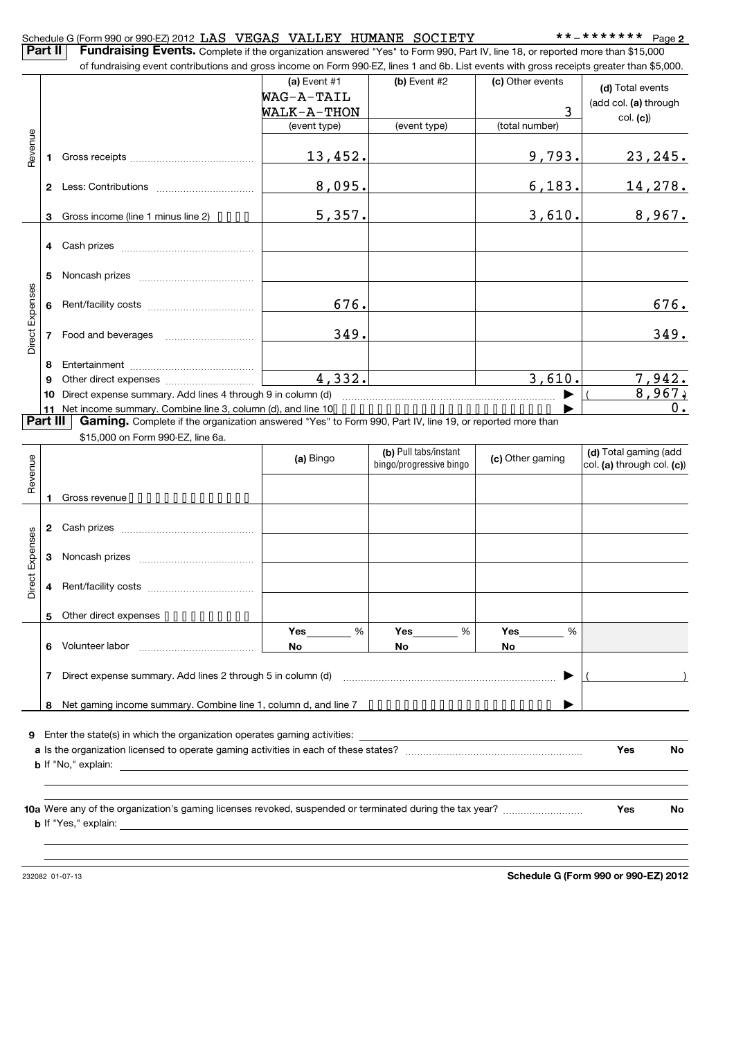|                 | Part II      | Schedule G (Form 990 or 990-EZ) 2012 LAS VEGAS VALLEY HUMANE SOCIETY<br>Fundraising Events. Complete if the organization answered "Yes" to Form 990, Part IV, line 18, or reported more than \$15,000 |              |                                                |                  | **_******* Page 2          |
|-----------------|--------------|-------------------------------------------------------------------------------------------------------------------------------------------------------------------------------------------------------|--------------|------------------------------------------------|------------------|----------------------------|
|                 |              | of fundraising event contributions and gross income on Form 990-EZ, lines 1 and 6b. List events with gross receipts greater than \$5,000.                                                             |              |                                                |                  |                            |
|                 |              |                                                                                                                                                                                                       | (a) Event #1 | (b) Event #2                                   | (c) Other events |                            |
|                 |              |                                                                                                                                                                                                       | WAG-A-TAIL   |                                                |                  | (d) Total events           |
|                 |              |                                                                                                                                                                                                       | WALK-A-THON  |                                                | 3                | (add col. (a) through      |
|                 |              |                                                                                                                                                                                                       | (event type) | (event type)                                   | (total number)   | col. (c)                   |
| Revenue         |              |                                                                                                                                                                                                       |              |                                                |                  |                            |
|                 | 1            |                                                                                                                                                                                                       | 13,452.      |                                                | 9,793.           | <u>23,245.</u>             |
|                 |              |                                                                                                                                                                                                       |              |                                                |                  |                            |
|                 | $\mathbf{2}$ |                                                                                                                                                                                                       | 8,095.       |                                                | 6,183.           | 14,278.                    |
|                 |              |                                                                                                                                                                                                       |              |                                                |                  |                            |
|                 | 3            | Gross income (line 1 minus line 2) $\cdots$                                                                                                                                                           | 5,357.       |                                                | 3,610.           | 8,967.                     |
|                 |              |                                                                                                                                                                                                       |              |                                                |                  |                            |
|                 |              |                                                                                                                                                                                                       |              |                                                |                  |                            |
|                 |              |                                                                                                                                                                                                       |              |                                                |                  |                            |
|                 | 5            |                                                                                                                                                                                                       |              |                                                |                  |                            |
|                 |              |                                                                                                                                                                                                       |              |                                                |                  |                            |
|                 | 6            |                                                                                                                                                                                                       | 676.         |                                                |                  | 676.                       |
| Direct Expenses |              |                                                                                                                                                                                                       |              |                                                |                  |                            |
|                 | 7            |                                                                                                                                                                                                       | 349.         |                                                |                  | 349.                       |
|                 |              |                                                                                                                                                                                                       |              |                                                |                  |                            |
|                 | 8            |                                                                                                                                                                                                       |              |                                                | 3,610.           |                            |
|                 | 9            |                                                                                                                                                                                                       | 4,332.       | <u> 1989 - Jan Barbara Barbara, manazarta </u> |                  | 7,942.<br>8,967            |
|                 | 10           | Direct expense summary. Add lines 4 through 9 in column (d)                                                                                                                                           |              |                                                |                  | $0$ .                      |
| Part III        | 11           | Net income summary. Combine line 3, column (d), and line 10.<br>Gaming. Complete if the organization answered "Yes" to Form 990, Part IV, line 19, or reported more than                              |              |                                                |                  |                            |
|                 |              | \$15,000 on Form 990-EZ, line 6a.                                                                                                                                                                     |              |                                                |                  |                            |
|                 |              |                                                                                                                                                                                                       |              | (b) Pull tabs/instant                          |                  | (d) Total gaming (add      |
| Revenue         |              |                                                                                                                                                                                                       | (a) Bingo    | bingo/progressive bingo                        | (c) Other gaming | col. (a) through col. (c)) |
|                 |              |                                                                                                                                                                                                       |              |                                                |                  |                            |
|                 | 1            | Gross revenue                                                                                                                                                                                         |              |                                                |                  |                            |
|                 |              |                                                                                                                                                                                                       |              |                                                |                  |                            |
|                 | 2            |                                                                                                                                                                                                       |              |                                                |                  |                            |
| Expenses        |              |                                                                                                                                                                                                       |              |                                                |                  |                            |
|                 | 3            |                                                                                                                                                                                                       |              |                                                |                  |                            |
| ect             |              |                                                                                                                                                                                                       |              |                                                |                  |                            |
| à               |              |                                                                                                                                                                                                       |              |                                                |                  |                            |
|                 |              |                                                                                                                                                                                                       |              |                                                |                  |                            |
|                 | 5            | Other direct expenses                                                                                                                                                                                 |              |                                                |                  |                            |
|                 |              |                                                                                                                                                                                                       | %<br>Yes     | %<br>Yes                                       | %<br>Yes         |                            |
|                 | 6            |                                                                                                                                                                                                       | No           | No                                             | No               |                            |
|                 |              |                                                                                                                                                                                                       |              |                                                |                  |                            |
|                 | 7            |                                                                                                                                                                                                       |              |                                                |                  |                            |
|                 |              |                                                                                                                                                                                                       |              |                                                |                  |                            |
|                 | 8            |                                                                                                                                                                                                       |              |                                                |                  |                            |
| 9               |              | Enter the state(s) in which the organization operates gaming activities:                                                                                                                              |              |                                                |                  |                            |
|                 |              |                                                                                                                                                                                                       |              |                                                |                  | Yes<br>No                  |
|                 |              |                                                                                                                                                                                                       |              |                                                |                  |                            |
|                 |              |                                                                                                                                                                                                       |              |                                                |                  |                            |
|                 |              |                                                                                                                                                                                                       |              |                                                |                  |                            |
|                 |              |                                                                                                                                                                                                       |              |                                                |                  | Yes<br>No                  |
|                 |              | $\mathbf b$ If "Yes," explain: $\qquad \qquad$                                                                                                                                                        |              |                                                |                  |                            |
|                 |              |                                                                                                                                                                                                       |              |                                                |                  |                            |
|                 |              |                                                                                                                                                                                                       |              |                                                |                  |                            |
|                 |              |                                                                                                                                                                                                       |              |                                                |                  |                            |

232082 01-07-13

**Schedule G (Form 990 or 990-EZ) 2012**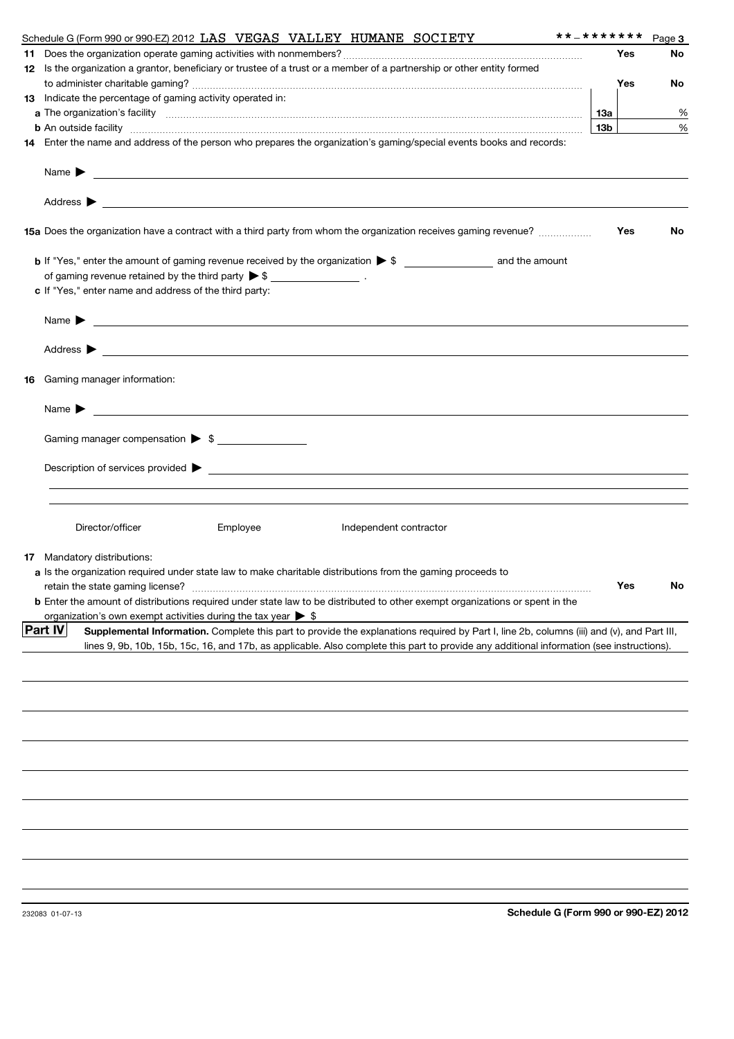| **_*******<br>Schedule G (Form 990 or 990-EZ) 2012 LAS VEGAS VALLEY HUMANE SOCIETY                                                                                                                                                   |                 |     | Page 3 |
|--------------------------------------------------------------------------------------------------------------------------------------------------------------------------------------------------------------------------------------|-----------------|-----|--------|
|                                                                                                                                                                                                                                      |                 | Yes | No     |
| 12 Is the organization a grantor, beneficiary or trustee of a trust or a member of a partnership or other entity formed                                                                                                              |                 |     |        |
|                                                                                                                                                                                                                                      |                 | Yes | No     |
| 13 Indicate the percentage of gaming activity operated in:                                                                                                                                                                           |                 |     |        |
|                                                                                                                                                                                                                                      | 1За             |     | %      |
| <b>b</b> An outside facility <i>www.communicality.communicality.communicality www.communicality.communicality.communicality</i>                                                                                                      | 13 <sub>b</sub> |     | %      |
| 14 Enter the name and address of the person who prepares the organization's gaming/special events books and records:                                                                                                                 |                 |     |        |
|                                                                                                                                                                                                                                      |                 |     |        |
| Name $\blacktriangleright$<br><u> 1989 - Johann Stoff, amerikansk politiker (d. 1989)</u>                                                                                                                                            |                 |     |        |
|                                                                                                                                                                                                                                      |                 |     |        |
|                                                                                                                                                                                                                                      |                 |     |        |
|                                                                                                                                                                                                                                      |                 |     |        |
| 15a Does the organization have a contract with a third party from whom the organization receives gaming revenue?                                                                                                                     |                 | Yes | No     |
|                                                                                                                                                                                                                                      |                 |     |        |
|                                                                                                                                                                                                                                      |                 |     |        |
| of gaming revenue retained by the third party $\triangleright$ \$ __________________.                                                                                                                                                |                 |     |        |
| c If "Yes," enter name and address of the third party:                                                                                                                                                                               |                 |     |        |
|                                                                                                                                                                                                                                      |                 |     |        |
| Name $\blacktriangleright$<br><u> 1989 - Johann Stoff, amerikansk politiker (* 1908)</u>                                                                                                                                             |                 |     |        |
|                                                                                                                                                                                                                                      |                 |     |        |
|                                                                                                                                                                                                                                      |                 |     |        |
|                                                                                                                                                                                                                                      |                 |     |        |
| <b>16</b> Gaming manager information:                                                                                                                                                                                                |                 |     |        |
|                                                                                                                                                                                                                                      |                 |     |        |
| Name <b>Decision of the Contract of the Contract of the Contract of the Contract of the Contract of the Contract of the Contract of the Contract of the Contract of the Contract of the Contract of the Contract of the Contract</b> |                 |     |        |
|                                                                                                                                                                                                                                      |                 |     |        |
| Gaming manager compensation > \$                                                                                                                                                                                                     |                 |     |        |
|                                                                                                                                                                                                                                      |                 |     |        |
|                                                                                                                                                                                                                                      |                 |     |        |
|                                                                                                                                                                                                                                      |                 |     |        |
|                                                                                                                                                                                                                                      |                 |     |        |
|                                                                                                                                                                                                                                      |                 |     |        |
| Director/officer<br>Employee<br>Independent contractor                                                                                                                                                                               |                 |     |        |
|                                                                                                                                                                                                                                      |                 |     |        |
| <b>17</b> Mandatory distributions:                                                                                                                                                                                                   |                 |     |        |
| a Is the organization required under state law to make charitable distributions from the gaming proceeds to                                                                                                                          |                 |     |        |
|                                                                                                                                                                                                                                      |                 | Yes | N٥     |
| <b>b</b> Enter the amount of distributions required under state law to be distributed to other exempt organizations or spent in the                                                                                                  |                 |     |        |
| organization's own exempt activities during the tax year $\triangleright$ \$                                                                                                                                                         |                 |     |        |
| <b>Part IV</b><br>Supplemental Information. Complete this part to provide the explanations required by Part I, line 2b, columns (iii) and (v), and Part III,                                                                         |                 |     |        |
| lines 9, 9b, 10b, 15b, 15c, 16, and 17b, as applicable. Also complete this part to provide any additional information (see instructions).                                                                                            |                 |     |        |
|                                                                                                                                                                                                                                      |                 |     |        |
|                                                                                                                                                                                                                                      |                 |     |        |
|                                                                                                                                                                                                                                      |                 |     |        |
|                                                                                                                                                                                                                                      |                 |     |        |
|                                                                                                                                                                                                                                      |                 |     |        |
|                                                                                                                                                                                                                                      |                 |     |        |
|                                                                                                                                                                                                                                      |                 |     |        |
|                                                                                                                                                                                                                                      |                 |     |        |
|                                                                                                                                                                                                                                      |                 |     |        |
|                                                                                                                                                                                                                                      |                 |     |        |
|                                                                                                                                                                                                                                      |                 |     |        |
|                                                                                                                                                                                                                                      |                 |     |        |
|                                                                                                                                                                                                                                      |                 |     |        |
|                                                                                                                                                                                                                                      |                 |     |        |
|                                                                                                                                                                                                                                      |                 |     |        |
|                                                                                                                                                                                                                                      |                 |     |        |
|                                                                                                                                                                                                                                      |                 |     |        |
| Schedule G (Form 990 or 990-EZ) 2012<br>232083 01-07-13                                                                                                                                                                              |                 |     |        |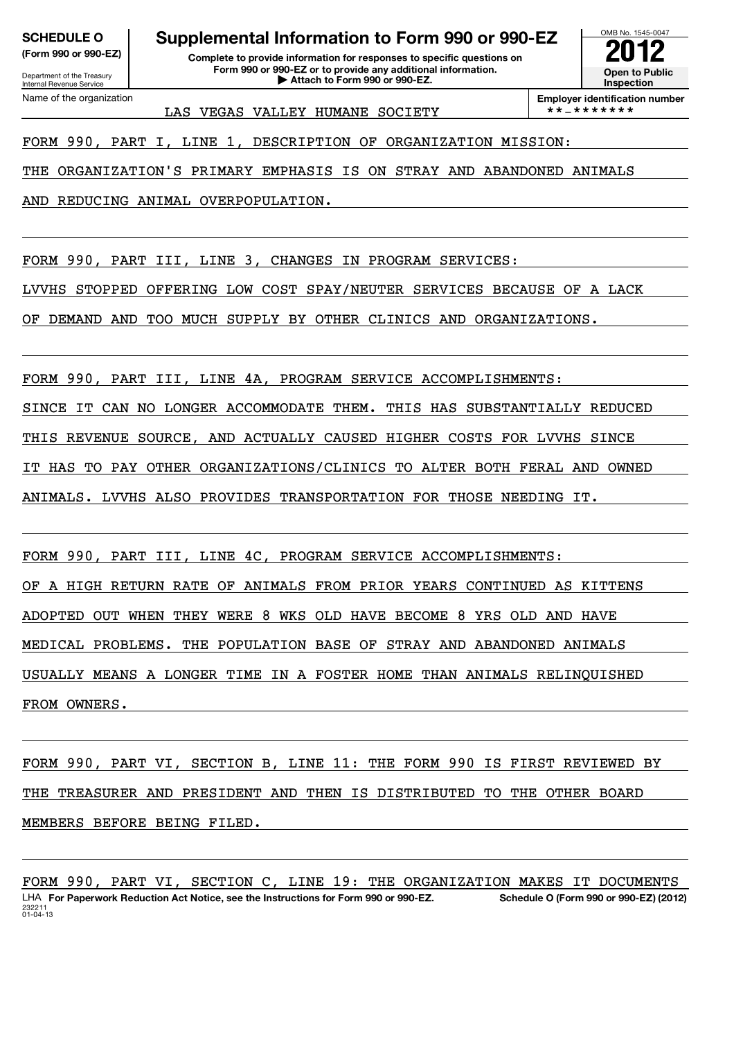Department of the Treasury Internal Revenue Service Name of the organization

# **SCHEDULE O Supplemental Information to Form 990 or 990-EZ**

**(Form 990 or 990-EZ) Complete to provide information for responses to specific questions on Form 990 or 990-EZ or to provide any additional information. | Attach to Form 990 or 990-EZ. Open to Public**

LAS VEGAS VALLEY HUMANE SOCIETY  $\vert$  \*\*-\*\*\*\*\*\*\*\*

**Inspection Employer identification number**

a

OMB No. 1545-0047

12

FORM 990, PART I, LINE 1, DESCRIPTION OF ORGANIZATION MISSION:

THE ORGANIZATION'S PRIMARY EMPHASIS IS ON STRAY AND ABANDONED ANIMALS

AND REDUCING ANIMAL OVERPOPULATION.

FORM 990, PART III, LINE 3, CHANGES IN PROGRAM SERVICES:

LVVHS STOPPED OFFERING LOW COST SPAY/NEUTER SERVICES BECAUSE OF A LACK

OF DEMAND AND TOO MUCH SUPPLY BY OTHER CLINICS AND ORGANIZATIONS.

FORM 990, PART III, LINE 4A, PROGRAM SERVICE ACCOMPLISHMENTS:

SINCE IT CAN NO LONGER ACCOMMODATE THEM. THIS HAS SUBSTANTIALLY REDUCED

THIS REVENUE SOURCE, AND ACTUALLY CAUSED HIGHER COSTS FOR LVVHS SINCE

IT HAS TO PAY OTHER ORGANIZATIONS/CLINICS TO ALTER BOTH FERAL AND OWNED

ANIMALS. LVVHS ALSO PROVIDES TRANSPORTATION FOR THOSE NEEDING IT.

FORM 990, PART III, LINE 4C, PROGRAM SERVICE ACCOMPLISHMENTS: OF A HIGH RETURN RATE OF ANIMALS FROM PRIOR YEARS CONTINUED AS KITTENS ADOPTED OUT WHEN THEY WERE 8 WKS OLD HAVE BECOME 8 YRS OLD AND HAVE MEDICAL PROBLEMS. THE POPULATION BASE OF STRAY AND ABANDONED ANIMALS USUALLY MEANS A LONGER TIME IN A FOSTER HOME THAN ANIMALS RELINQUISHED FROM OWNERS.

FORM 990, PART VI, SECTION B, LINE 11: THE FORM 990 IS FIRST REVIEWED BY THE TREASURER AND PRESIDENT AND THEN IS DISTRIBUTED TO THE OTHER BOARD MEMBERS BEFORE BEING FILED.

<sup>232211</sup> 01-04-13 **For Paperwork Reduction Act Notice, see the Instructions for Form 990 or 990-EZ. Schedule O (Form 990 or 990-EZ) (2012)** LHA FORM 990, PART VI, SECTION C, LINE 19: THE ORGANIZATION MAKES IT DOCUMENTS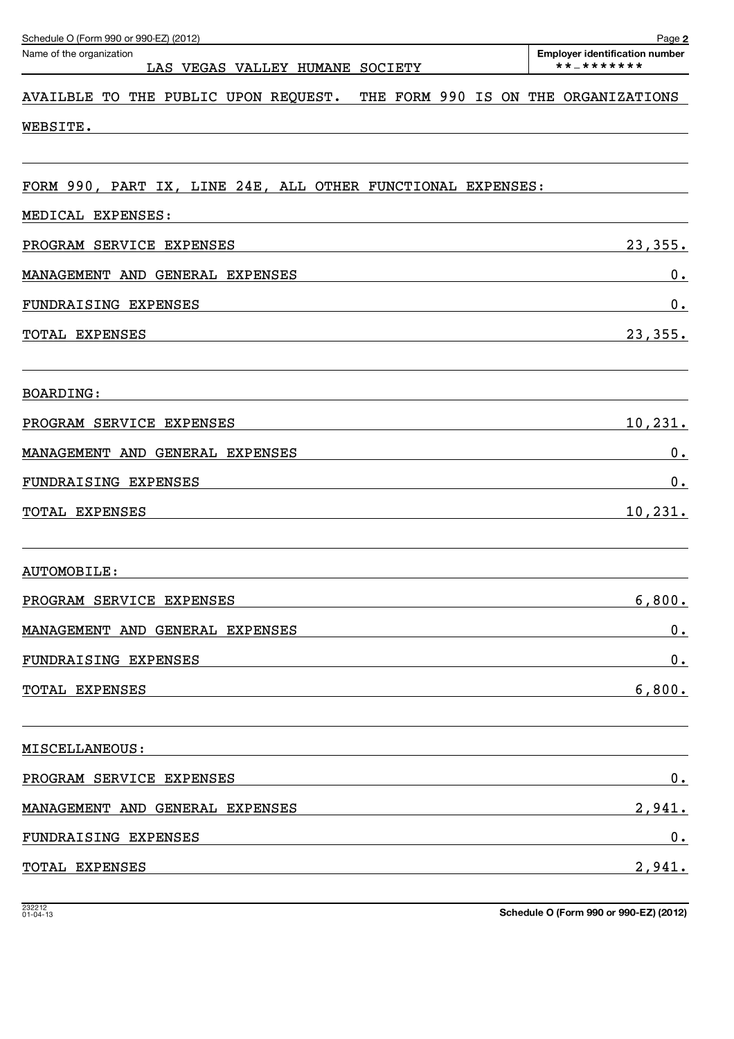| Schedule O (Form 990 or 990-EZ) (2012)<br>Name of the organization<br>LAS VEGAS VALLEY HUMANE SOCIETY                                                                                                                                           | Page 2<br><b>Employer identification number</b><br>**_******* |
|-------------------------------------------------------------------------------------------------------------------------------------------------------------------------------------------------------------------------------------------------|---------------------------------------------------------------|
| THE FORM 990 IS ON<br>AVAILBLE TO THE PUBLIC UPON REQUEST.                                                                                                                                                                                      | THE ORGANIZATIONS                                             |
| WEBSITE.                                                                                                                                                                                                                                        |                                                               |
| FORM 990, PART IX, LINE 24E, ALL OTHER FUNCTIONAL EXPENSES:                                                                                                                                                                                     |                                                               |
| MEDICAL EXPENSES:                                                                                                                                                                                                                               |                                                               |
| PROGRAM SERVICE EXPENSES                                                                                                                                                                                                                        | 23,355.                                                       |
| MANAGEMENT AND GENERAL EXPENSES                                                                                                                                                                                                                 | 0.                                                            |
| FUNDRAISING EXPENSES                                                                                                                                                                                                                            | 0.                                                            |
| TOTAL EXPENSES<br>the control of the control of the control of the control of the control of the control of the control of the control of the control of the control of the control of the control of the control of the control of the control | 23, 355.                                                      |
| <b>BOARDING:</b>                                                                                                                                                                                                                                |                                                               |
| PROGRAM SERVICE EXPENSES                                                                                                                                                                                                                        | <u>10,231.</u>                                                |
| MANAGEMENT AND GENERAL EXPENSES                                                                                                                                                                                                                 | $0$ .                                                         |
| FUNDRAISING EXPENSES                                                                                                                                                                                                                            | 0.                                                            |
| TOTAL EXPENSES<br>the control of the control of the control of the control of the control of the control of the control of the control of the control of the control of the control of the control of the control of the control of the control | 10, 231.                                                      |
| AUTOMOBILE:                                                                                                                                                                                                                                     |                                                               |
| PROGRAM SERVICE EXPENSES                                                                                                                                                                                                                        | 6,800.                                                        |
| MANAGEMENT AND GENERAL EXPENSES                                                                                                                                                                                                                 | $0_{.}$                                                       |
| FUNDRAISING EXPENSES                                                                                                                                                                                                                            | $0_{.}$                                                       |
| TOTAL EXPENSES                                                                                                                                                                                                                                  | 6,800.                                                        |
| MISCELLANEOUS:                                                                                                                                                                                                                                  |                                                               |
| PROGRAM SERVICE EXPENSES                                                                                                                                                                                                                        | 0.                                                            |
| MANAGEMENT AND GENERAL EXPENSES                                                                                                                                                                                                                 | <u>2,941.</u>                                                 |
| FUNDRAISING EXPENSES                                                                                                                                                                                                                            | 0.                                                            |
| TOTAL EXPENSES                                                                                                                                                                                                                                  | 2,941.                                                        |

**Schedule O (Form 990 or 990-EZ) (2012)**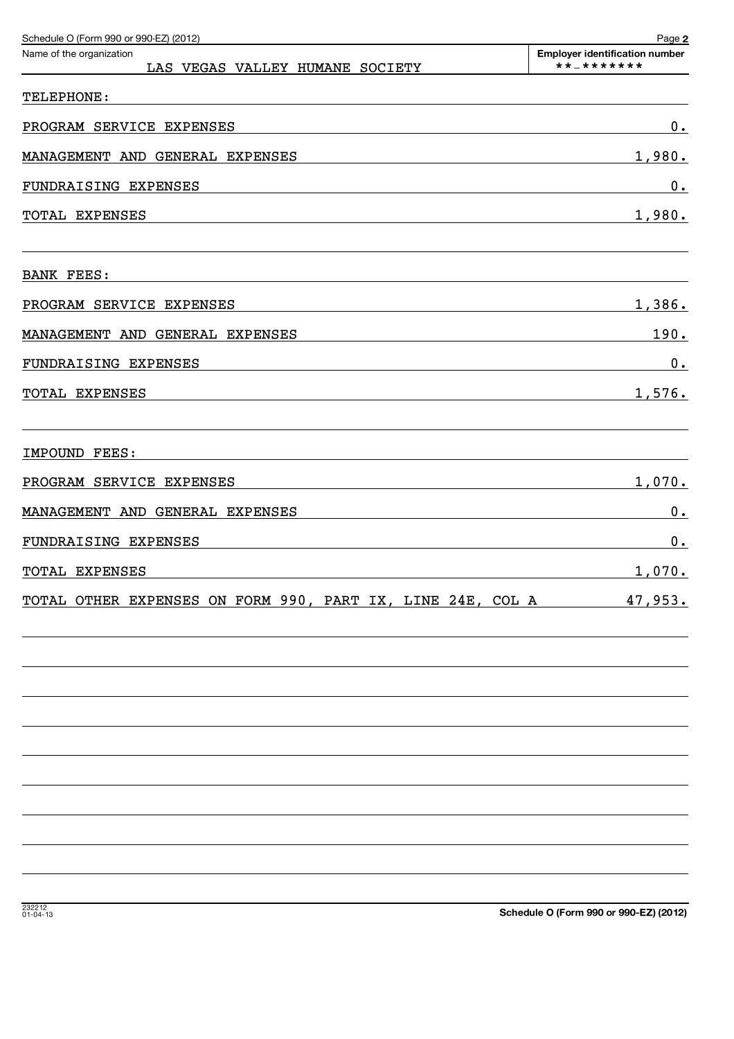| Schedule O (Form 990 or 990-EZ) (2012)                      | Page 2                                              |
|-------------------------------------------------------------|-----------------------------------------------------|
| Name of the organization<br>LAS VEGAS VALLEY HUMANE SOCIETY | <b>Employer identification number</b><br>**_******* |
| TELEPHONE:                                                  |                                                     |
| PROGRAM SERVICE EXPENSES                                    | $0_{.}$                                             |
| MANAGEMENT AND GENERAL EXPENSES                             | 1,980.                                              |
| FUNDRAISING EXPENSES                                        | $0_{.}$                                             |
| TOTAL EXPENSES                                              | 1,980.                                              |
|                                                             |                                                     |
| BANK FEES:                                                  |                                                     |
| PROGRAM SERVICE EXPENSES                                    | 1,386.                                              |
| MANAGEMENT AND GENERAL EXPENSES                             | 190.                                                |
| FUNDRAISING EXPENSES                                        | 0.                                                  |
| TOTAL EXPENSES                                              | 1,576.                                              |
|                                                             |                                                     |
| IMPOUND FEES:                                               |                                                     |
| PROGRAM SERVICE EXPENSES                                    | 1,070.                                              |
| MANAGEMENT AND GENERAL EXPENSES                             | 0.                                                  |
| FUNDRAISING EXPENSES                                        | 0.                                                  |
| TOTAL EXPENSES                                              | 1,070.                                              |
| TOTAL OTHER EXPENSES ON FORM 990, PART IX, LINE 24E, COL A  | 47,953.                                             |
|                                                             |                                                     |
|                                                             |                                                     |
|                                                             |                                                     |
|                                                             |                                                     |
|                                                             |                                                     |
|                                                             |                                                     |
|                                                             |                                                     |
|                                                             |                                                     |
|                                                             |                                                     |
|                                                             |                                                     |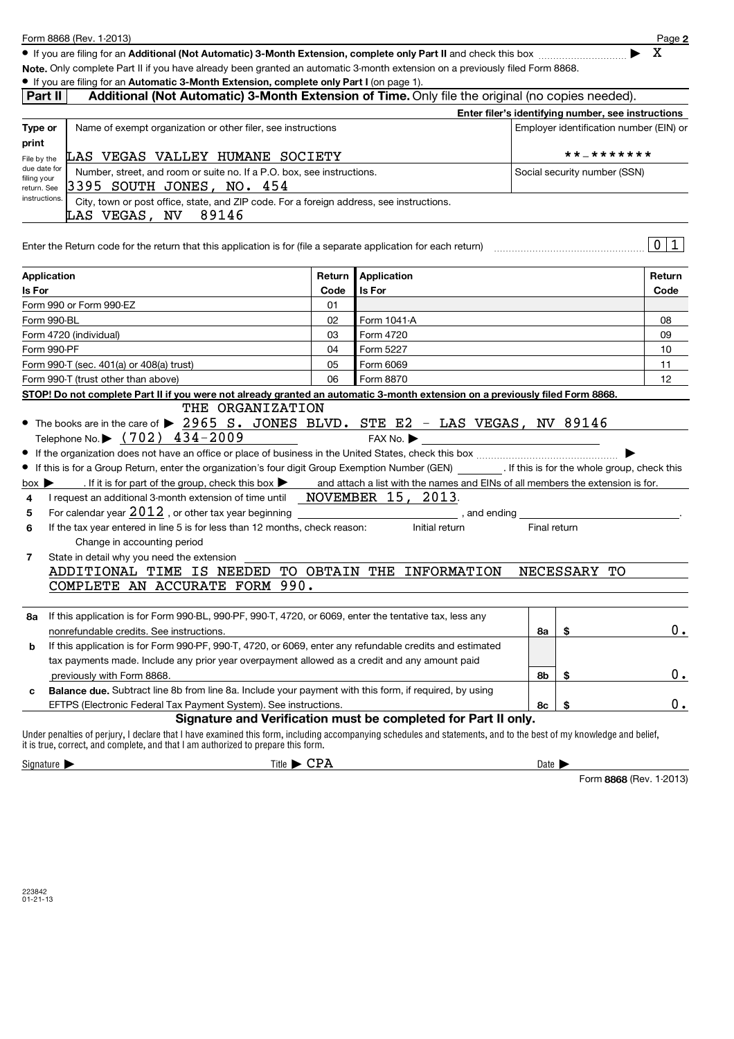|                                                             | • If you are filing for an Automatic 3-Month Extension, complete only Part I (on page 1).<br>Additional (Not Automatic) 3-Month Extension of Time. Only file the original (no copies needed).                                                                                                                                                                                                                                                                                                                                                                                                                                                                                                                                                                                                                                                       |        |                                                                |              |           |                                                    |  |  |
|-------------------------------------------------------------|-----------------------------------------------------------------------------------------------------------------------------------------------------------------------------------------------------------------------------------------------------------------------------------------------------------------------------------------------------------------------------------------------------------------------------------------------------------------------------------------------------------------------------------------------------------------------------------------------------------------------------------------------------------------------------------------------------------------------------------------------------------------------------------------------------------------------------------------------------|--------|----------------------------------------------------------------|--------------|-----------|----------------------------------------------------|--|--|
| Part II                                                     |                                                                                                                                                                                                                                                                                                                                                                                                                                                                                                                                                                                                                                                                                                                                                                                                                                                     |        |                                                                |              |           |                                                    |  |  |
|                                                             | Name of exempt organization or other filer, see instructions                                                                                                                                                                                                                                                                                                                                                                                                                                                                                                                                                                                                                                                                                                                                                                                        |        |                                                                |              |           | Enter filer's identifying number, see instructions |  |  |
| Employer identification number (EIN) or<br>Type or<br>print |                                                                                                                                                                                                                                                                                                                                                                                                                                                                                                                                                                                                                                                                                                                                                                                                                                                     |        |                                                                |              |           |                                                    |  |  |
| File by the                                                 | LAS VEGAS VALLEY HUMANE SOCIETY                                                                                                                                                                                                                                                                                                                                                                                                                                                                                                                                                                                                                                                                                                                                                                                                                     |        | **_*******                                                     |              |           |                                                    |  |  |
| due date for                                                | Number, street, and room or suite no. If a P.O. box, see instructions.                                                                                                                                                                                                                                                                                                                                                                                                                                                                                                                                                                                                                                                                                                                                                                              |        | Social security number (SSN)                                   |              |           |                                                    |  |  |
| filing your<br>return. See                                  | 3395 SOUTH JONES, NO. 454                                                                                                                                                                                                                                                                                                                                                                                                                                                                                                                                                                                                                                                                                                                                                                                                                           |        |                                                                |              |           |                                                    |  |  |
| instructions.                                               | City, town or post office, state, and ZIP code. For a foreign address, see instructions.<br>LAS VEGAS, NV 89146                                                                                                                                                                                                                                                                                                                                                                                                                                                                                                                                                                                                                                                                                                                                     |        |                                                                |              |           |                                                    |  |  |
|                                                             |                                                                                                                                                                                                                                                                                                                                                                                                                                                                                                                                                                                                                                                                                                                                                                                                                                                     |        |                                                                |              |           |                                                    |  |  |
|                                                             | Enter the Return code for the return that this application is for (file a separate application for each return)                                                                                                                                                                                                                                                                                                                                                                                                                                                                                                                                                                                                                                                                                                                                     |        |                                                                |              |           | 0 1                                                |  |  |
| <b>Application</b>                                          |                                                                                                                                                                                                                                                                                                                                                                                                                                                                                                                                                                                                                                                                                                                                                                                                                                                     | Return | Application                                                    |              |           | Return                                             |  |  |
| Is For                                                      |                                                                                                                                                                                                                                                                                                                                                                                                                                                                                                                                                                                                                                                                                                                                                                                                                                                     | Code   | Is For                                                         |              |           | Code                                               |  |  |
|                                                             | Form 990 or Form 990-EZ                                                                                                                                                                                                                                                                                                                                                                                                                                                                                                                                                                                                                                                                                                                                                                                                                             | 01     |                                                                |              |           |                                                    |  |  |
| Form 990-BL                                                 |                                                                                                                                                                                                                                                                                                                                                                                                                                                                                                                                                                                                                                                                                                                                                                                                                                                     | 02     | Form 1041-A                                                    |              |           | 08                                                 |  |  |
|                                                             | Form 4720 (individual)                                                                                                                                                                                                                                                                                                                                                                                                                                                                                                                                                                                                                                                                                                                                                                                                                              | 03     | Form 4720                                                      |              |           | 09                                                 |  |  |
| Form 990-PF                                                 |                                                                                                                                                                                                                                                                                                                                                                                                                                                                                                                                                                                                                                                                                                                                                                                                                                                     | 04     | Form 5227                                                      |              |           | 10                                                 |  |  |
|                                                             | Form 990-T (sec. 401(a) or 408(a) trust)                                                                                                                                                                                                                                                                                                                                                                                                                                                                                                                                                                                                                                                                                                                                                                                                            | 05     | Form 6069                                                      |              |           | 11                                                 |  |  |
|                                                             | Form 990-T (trust other than above)<br>STOP! Do not complete Part II if you were not already granted an automatic 3-month extension on a previously filed Form 8868.                                                                                                                                                                                                                                                                                                                                                                                                                                                                                                                                                                                                                                                                                | 06     | Form 8870                                                      |              |           | 12                                                 |  |  |
| $box \blacktriangleright$<br>4<br>5<br>6<br>7               | • The books are in the care of > 2965 S. JONES BLVD. STE E2 - LAS VEGAS, NV 89146<br>Telephone No. $\blacktriangleright$ (702) 434-2009<br>If this is for a Group Return, enter the organization's four digit Group Exemption Number (GEN) [If this is for the whole group, check this<br>. If it is for part of the group, check this box and attach a list with the names and EINs of all members the extension is for.<br>I request an additional 3-month extension of time until NOVEMBER 15, 2013.<br>For calendar year $2012$ , or other tax year beginning $\qquad \qquad$ , and ending<br>If the tax year entered in line 5 is for less than 12 months, check reason:<br>Change in accounting period<br>State in detail why you need the extension<br>ADDITIONAL TIME IS NEEDED TO OBTAIN THE INFORMATION<br>COMPLETE AN ACCURATE FORM 990. |        | $FAX No.$ $\rightarrow$ $\qquad \qquad$<br>Initial return      | Final return | NECESSARY | TО                                                 |  |  |
|                                                             |                                                                                                                                                                                                                                                                                                                                                                                                                                                                                                                                                                                                                                                                                                                                                                                                                                                     |        |                                                                |              |           |                                                    |  |  |
|                                                             | 8a If this application is for Form 990-BL, 990-PF, 990-T, 4720, or 6069, enter the tentative tax, less any                                                                                                                                                                                                                                                                                                                                                                                                                                                                                                                                                                                                                                                                                                                                          |        |                                                                |              |           |                                                    |  |  |
|                                                             | nonrefundable credits. See instructions.                                                                                                                                                                                                                                                                                                                                                                                                                                                                                                                                                                                                                                                                                                                                                                                                            |        |                                                                | 8a           |           | 0.                                                 |  |  |
| b                                                           | If this application is for Form 990-PF, 990-T, 4720, or 6069, enter any refundable credits and estimated                                                                                                                                                                                                                                                                                                                                                                                                                                                                                                                                                                                                                                                                                                                                            |        |                                                                |              |           |                                                    |  |  |
|                                                             | tax payments made. Include any prior year overpayment allowed as a credit and any amount paid                                                                                                                                                                                                                                                                                                                                                                                                                                                                                                                                                                                                                                                                                                                                                       |        |                                                                |              |           |                                                    |  |  |
|                                                             | previously with Form 8868.<br>Balance due. Subtract line 8b from line 8a. Include your payment with this form, if required, by using                                                                                                                                                                                                                                                                                                                                                                                                                                                                                                                                                                                                                                                                                                                |        |                                                                | 8b           | \$        | $0_{.}$                                            |  |  |
| с                                                           | EFTPS (Electronic Federal Tax Payment System). See instructions.                                                                                                                                                                                                                                                                                                                                                                                                                                                                                                                                                                                                                                                                                                                                                                                    |        |                                                                | 8с           | \$        | 0.                                                 |  |  |
|                                                             |                                                                                                                                                                                                                                                                                                                                                                                                                                                                                                                                                                                                                                                                                                                                                                                                                                                     |        | Signature and Verification must be completed for Part II only. |              |           |                                                    |  |  |
|                                                             | Under penalties of perjury, I declare that I have examined this form, including accompanying schedules and statements, and to the best of my knowledge and belief,<br>it is true, correct, and complete, and that I am authorized to prepare this form.                                                                                                                                                                                                                                                                                                                                                                                                                                                                                                                                                                                             |        |                                                                |              |           |                                                    |  |  |

**Additional (Not Automatic) 3-Month Extension, complete only Part II** ¥ If you are filing for an and check this box ~~~~~~~~~~ |

**Note.** Only complete Part II if you have already been granted an automatic 3-month extension on a previously filed Form 8868.

Form 8868 (Rev. 1-2013)

 $\Box$ Signature  $\blacktriangleright$  Date  $\blacktriangleright$  Date  $\blacktriangleright$  Date  $\blacktriangleright$  Date  $\blacktriangleright$ 

Form 8868 (Rev. 1-2013)

**2**

X

223842 01-21-13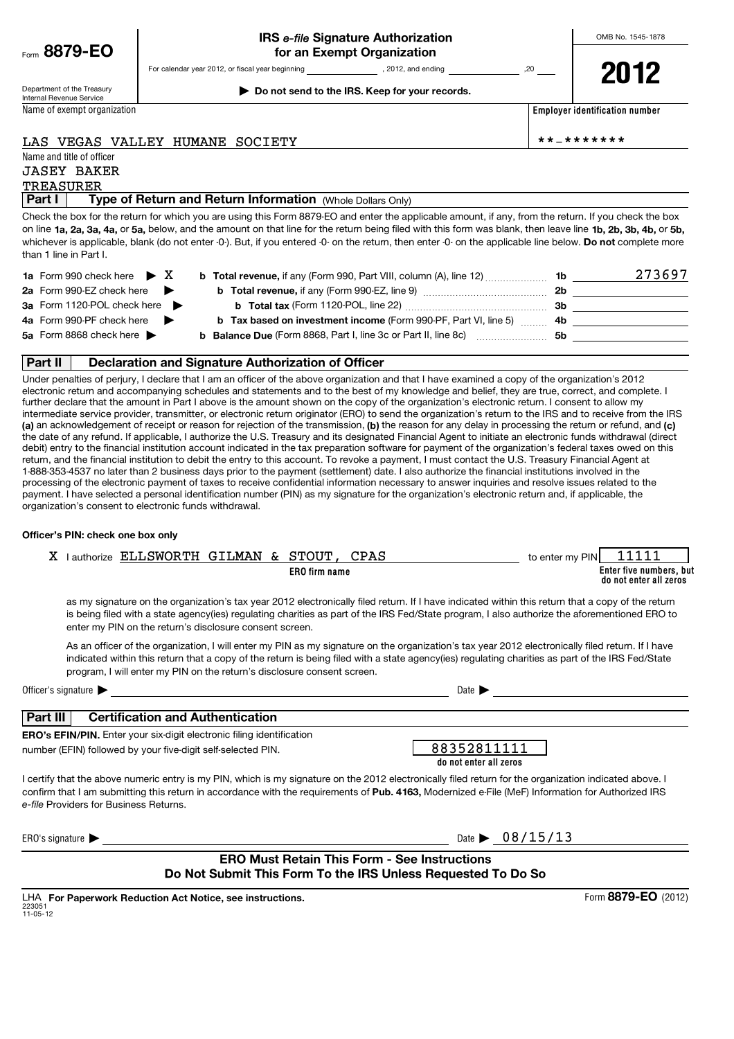|  | Form $8879$ -EO |  |  |  |
|--|-----------------|--|--|--|
|--|-----------------|--|--|--|

OMB No. 1545-1878

Department of the Treasury Internal Revenue Service Name of exempt organization **| Do not send to the IRS. Keep for your records.**

For calendar year 2012, or fiscal year beginning , 2012, and ending , 2012, and ending

**Employer identification number**

# LAS VEGAS VALLEY HUMANE SOCIETY \*\*-\*\*\*\*\*\*\*

| Part I    | <b>Type of Return and Return Information</b> (Whole Dollars Only) |  |
|-----------|-------------------------------------------------------------------|--|
| TREASURER |                                                                   |  |
|           | JASEY BAKER                                                       |  |
|           | Name and title of officer                                         |  |

on line **1a, 2a, 3a, 4a,** or **5a,** below, and the amount on that line for the return being filed with this form was blank, then leave line **1b, 2b, 3b, 4b,** or **5b,** whichever is applicable, blank (do not enter -0-). But, if you entered -0- on the return, then enter -0- on the applicable line below. **Do not** complete more Check the box for the return for which you are using this Form 8879-EO and enter the applicable amount, if any, from the return. If you check the box than 1 line in Part I.

| 1a Form 990 check here $\triangleright X$       | <b>b</b> Total revenue, if any (Form 990, Part VIII, column (A), line 12) <b>1b</b> |     | 273697 |
|-------------------------------------------------|-------------------------------------------------------------------------------------|-----|--------|
| 2a Form 990-EZ check here $\blacktriangleright$ | <b>b</b> Total revenue, if any (Form 990-EZ, line 9)                                | 2b. |        |
| 3a Form 1120-POL check here                     | <b>b</b> Total tax (Form 1120-POL, line 22)                                         | 3b  |        |
| 4a Form 990-PF check here $\blacktriangleright$ | <b>b</b> Tax based on investment income (Form 990-PF, Part VI, line 5)  4b          |     |        |
| 5a Form 8868 check here $\blacktriangleright$   | <b>b</b> Balance Due (Form 8868, Part I, line 3c or Part II, line 8c)               | 5b  |        |

## **Part II | Declaration and Signature Authorization of Officer**

(a) an acknowledgement of receipt or reason for rejection of the transmission, (b) the reason for any delay in processing the return or refund, and (c) Under penalties of perjury, I declare that I am an officer of the above organization and that I have examined a copy of the organization's 2012 electronic return and accompanying schedules and statements and to the best of my knowledge and belief, they are true, correct, and complete. I further declare that the amount in Part I above is the amount shown on the copy of the organization's electronic return. I consent to allow my intermediate service provider, transmitter, or electronic return originator (ERO) to send the organization's return to the IRS and to receive from the IRS the date of any refund. If applicable, I authorize the U.S. Treasury and its designated Financial Agent to initiate an electronic funds withdrawal (direct debit) entry to the financial institution account indicated in the tax preparation software for payment of the organization's federal taxes owed on this return, and the financial institution to debit the entry to this account. To revoke a payment, I must contact the U.S. Treasury Financial Agent at 1-888-353-4537 no later than 2 business days prior to the payment (settlement) date. I also authorize the financial institutions involved in the processing of the electronic payment of taxes to receive confidential information necessary to answer inquiries and resolve issues related to the payment. I have selected a personal identification number (PIN) as my signature for the organization's electronic return and, if applicable, the organization's consent to electronic funds withdrawal.

## **Officer's PIN: check one box only**

| l authorize | ELLSWORTH GILMAN & |  | STOUT                | <b>PAP</b> | to enter my PIN |                                                   |
|-------------|--------------------|--|----------------------|------------|-----------------|---------------------------------------------------|
|             |                    |  | <b>ERO</b> firm name |            |                 | Enter five numbers, but<br>do not enter all zeros |

as my signature on the organization's tax year 2012 electronically filed return. If I have indicated within this return that a copy of the return is being filed with a state agency(ies) regulating charities as part of the IRS Fed/State program, I also authorize the aforementioned ERO to enter my PIN on the return's disclosure consent screen.

As an officer of the organization, I will enter my PIN as my signature on the organization's tax year 2012 electronically filed return. If I have indicated within this return that a copy of the return is being filed with a state agency(ies) regulating charities as part of the IRS Fed/State program, I will enter my PIN on the return's disclosure consent screen.

| Officer's signature<br>the contract of the contract of the contract of the contract of the contract of the contract of the contract of | Date I |
|----------------------------------------------------------------------------------------------------------------------------------------|--------|
|----------------------------------------------------------------------------------------------------------------------------------------|--------|

| I )ate |  |
|--------|--|
|        |  |

# **Part III Certification and Authentication**

**ERO's EFIN/PIN.** Enter your six-digit electronic filing identification number (EFIN) followed by your five-digit self-selected PIN.

| 88352811111            |
|------------------------|
|                        |
| do not enter all zeros |

confirm that I am submitting this return in accordance with the requirements of Pub. 4163, Modernized e-File (MeF) Information for Authorized IRS *e-file* Providers for Business Returns. I certify that the above numeric entry is my PIN, which is my signature on the 2012 electronically filed return for the organization indicated above. I

ERO's signature  $\blacktriangleright$  Date is the latter of the latter of the latter of the latter of the latter of the latter of the latter of the latter of the latter of the latter of the latter of the latter of the latter of the latt

| te $\blacktriangleright$ |  | 08/15/13 |  |
|--------------------------|--|----------|--|
|--------------------------|--|----------|--|

## **ERO Must Retain This Form - See Instructions Do Not Submit This Form To the IRS Unless Requested To Do So**

223051 11-05-12 LHA For Paperwork Reduction Act Notice, see instructions. Form 8879-EO (2012)